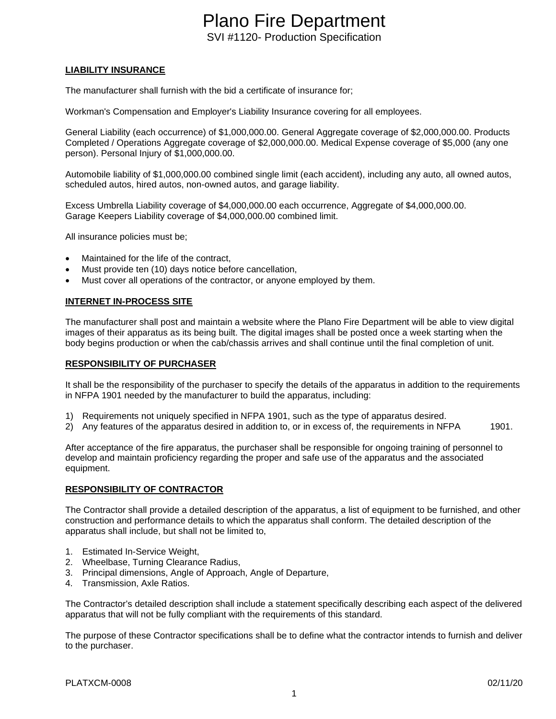#### **LIABILITY INSURANCE**

The manufacturer shall furnish with the bid a certificate of insurance for;

Workman's Compensation and Employer's Liability Insurance covering for all employees.

General Liability (each occurrence) of \$1,000,000.00. General Aggregate coverage of \$2,000,000.00. Products Completed / Operations Aggregate coverage of \$2,000,000.00. Medical Expense coverage of \$5,000 (any one person). Personal Injury of \$1,000,000.00.

Automobile liability of \$1,000,000.00 combined single limit (each accident), including any auto, all owned autos, scheduled autos, hired autos, non-owned autos, and garage liability.

Excess Umbrella Liability coverage of \$4,000,000.00 each occurrence, Aggregate of \$4,000,000.00. Garage Keepers Liability coverage of \$4,000,000.00 combined limit.

All insurance policies must be;

- Maintained for the life of the contract,
- Must provide ten (10) days notice before cancellation,
- Must cover all operations of the contractor, or anyone employed by them.

#### **INTERNET IN-PROCESS SITE**

The manufacturer shall post and maintain a website where the Plano Fire Department will be able to view digital images of their apparatus as its being built. The digital images shall be posted once a week starting when the body begins production or when the cab/chassis arrives and shall continue until the final completion of unit.

#### **RESPONSIBILITY OF PURCHASER**

It shall be the responsibility of the purchaser to specify the details of the apparatus in addition to the requirements in NFPA 1901 needed by the manufacturer to build the apparatus, including:

- 1) Requirements not uniquely specified in NFPA 1901, such as the type of apparatus desired.
- 2) Any features of the apparatus desired in addition to, or in excess of, the requirements in NFPA 1901.

After acceptance of the fire apparatus, the purchaser shall be responsible for ongoing training of personnel to develop and maintain proficiency regarding the proper and safe use of the apparatus and the associated equipment.

#### **RESPONSIBILITY OF CONTRACTOR**

The Contractor shall provide a detailed description of the apparatus, a list of equipment to be furnished, and other construction and performance details to which the apparatus shall conform. The detailed description of the apparatus shall include, but shall not be limited to,

- 1. Estimated In-Service Weight,
- 2. Wheelbase, Turning Clearance Radius,
- 3. Principal dimensions, Angle of Approach, Angle of Departure,
- 4. Transmission, Axle Ratios.

The Contractor's detailed description shall include a statement specifically describing each aspect of the delivered apparatus that will not be fully compliant with the requirements of this standard.

The purpose of these Contractor specifications shall be to define what the contractor intends to furnish and deliver to the purchaser.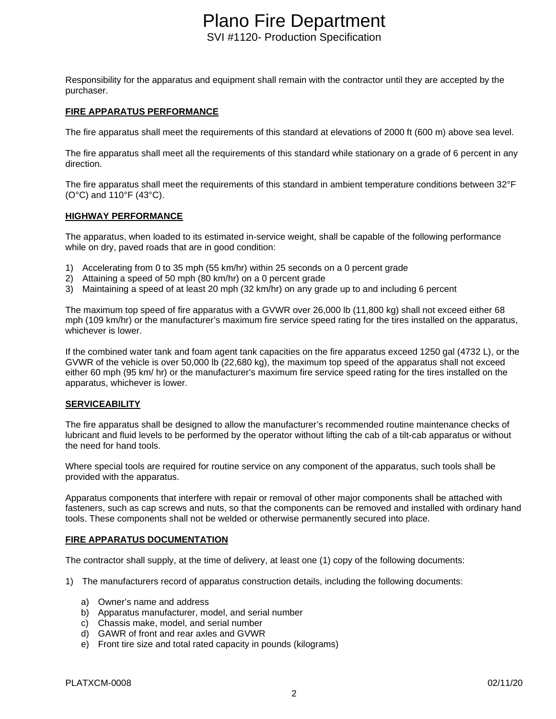Responsibility for the apparatus and equipment shall remain with the contractor until they are accepted by the purchaser.

#### **FIRE APPARATUS PERFORMANCE**

The fire apparatus shall meet the requirements of this standard at elevations of 2000 ft (600 m) above sea level.

The fire apparatus shall meet all the requirements of this standard while stationary on a grade of 6 percent in any direction.

The fire apparatus shall meet the requirements of this standard in ambient temperature conditions between 32°F (O°C) and 110°F (43°C).

#### **HIGHWAY PERFORMANCE**

The apparatus, when loaded to its estimated in-service weight, shall be capable of the following performance while on dry, paved roads that are in good condition:

- 1) Accelerating from 0 to 35 mph (55 km/hr) within 25 seconds on a 0 percent grade
- 2) Attaining a speed of 50 mph (80 km/hr) on a 0 percent grade
- 3) Maintaining a speed of at least 20 mph (32 km/hr) on any grade up to and including 6 percent

The maximum top speed of fire apparatus with a GVWR over 26,000 lb (11,800 kg) shall not exceed either 68 mph (109 km/hr) or the manufacturer's maximum fire service speed rating for the tires installed on the apparatus, whichever is lower.

If the combined water tank and foam agent tank capacities on the fire apparatus exceed 1250 gal (4732 L), or the GVWR of the vehicle is over 50,000 lb (22,680 kg), the maximum top speed of the apparatus shall not exceed either 60 mph (95 km/ hr) or the manufacturer's maximum fire service speed rating for the tires installed on the apparatus, whichever is lower.

#### **SERVICEABILITY**

The fire apparatus shall be designed to allow the manufacturer's recommended routine maintenance checks of lubricant and fluid levels to be performed by the operator without lifting the cab of a tilt-cab apparatus or without the need for hand tools.

Where special tools are required for routine service on any component of the apparatus, such tools shall be provided with the apparatus.

Apparatus components that interfere with repair or removal of other major components shall be attached with fasteners, such as cap screws and nuts, so that the components can be removed and installed with ordinary hand tools. These components shall not be welded or otherwise permanently secured into place.

#### **FIRE APPARATUS DOCUMENTATION**

The contractor shall supply, at the time of delivery, at least one (1) copy of the following documents:

- 1) The manufacturers record of apparatus construction details, including the following documents:
	- a) Owner's name and address
	- b) Apparatus manufacturer, model, and serial number
	- c) Chassis make, model, and serial number
	- d) GAWR of front and rear axles and GVWR
	- e) Front tire size and total rated capacity in pounds (kilograms)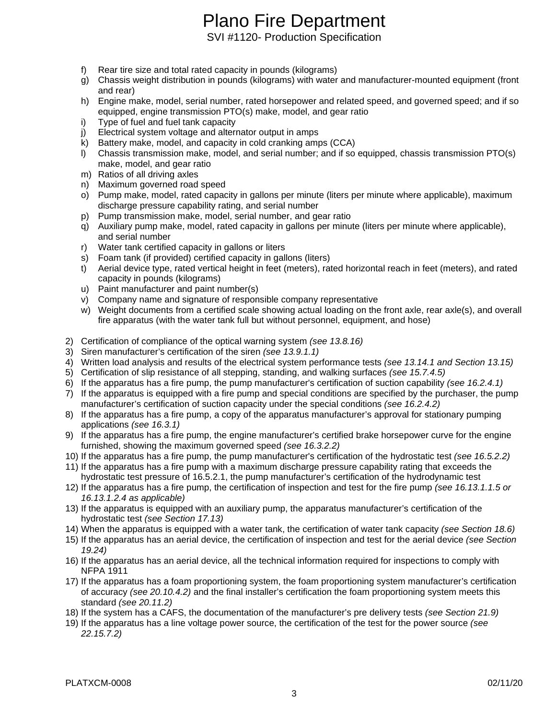# Plano Fire Department

SVI #1120- Production Specification

- f) Rear tire size and total rated capacity in pounds (kilograms)
- g) Chassis weight distribution in pounds (kilograms) with water and manufacturer-mounted equipment (front and rear)
- h) Engine make, model, serial number, rated horsepower and related speed, and governed speed; and if so equipped, engine transmission PTO(s) make, model, and gear ratio
- i) Type of fuel and fuel tank capacity
- j) Electrical system voltage and alternator output in amps
- k) Battery make, model, and capacity in cold cranking amps (CCA)
- l) Chassis transmission make, model, and serial number; and if so equipped, chassis transmission PTO(s) make, model, and gear ratio
- m) Ratios of all driving axles
- n) Maximum governed road speed
- o) Pump make, model, rated capacity in gallons per minute (liters per minute where applicable), maximum discharge pressure capability rating, and serial number
- p) Pump transmission make, model, serial number, and gear ratio
- q) Auxiliary pump make, model, rated capacity in gallons per minute (liters per minute where applicable), and serial number
- r) Water tank certified capacity in gallons or liters
- s) Foam tank (if provided) certified capacity in gallons (liters)
- t) Aerial device type, rated vertical height in feet (meters), rated horizontal reach in feet (meters), and rated capacity in pounds (kilograms)
- u) Paint manufacturer and paint number(s)
- v) Company name and signature of responsible company representative
- w) Weight documents from a certified scale showing actual loading on the front axle, rear axle(s), and overall fire apparatus (with the water tank full but without personnel, equipment, and hose)
- 2) Certification of compliance of the optical warning system *(see 13.8.16)*
- 3) Siren manufacturer's certification of the siren *(see 13.9.1.1)*
- 4) Written load analysis and results of the electrical system performance tests *(see 13.14.1 and Section 13.15)*
- 5) Certification of slip resistance of all stepping, standing, and walking surfaces *(see 15.7.4.5)*
- 6) If the apparatus has a fire pump, the pump manufacturer's certification of suction capability *(see 16.2.4.1)*
- 7) If the apparatus is equipped with a fire pump and special conditions are specified by the purchaser, the pump manufacturer's certification of suction capacity under the special conditions *(see 16.2.4.2)*
- 8) If the apparatus has a fire pump, a copy of the apparatus manufacturer's approval for stationary pumping applications *(see 16.3.1)*
- 9) If the apparatus has a fire pump, the engine manufacturer's certified brake horsepower curve for the engine furnished, showing the maximum governed speed *(see 16.3.2.2)*
- 10) If the apparatus has a fire pump, the pump manufacturer's certification of the hydrostatic test *(see 16.5.2.2)*
- 11) If the apparatus has a fire pump with a maximum discharge pressure capability rating that exceeds the hydrostatic test pressure of 16.5.2.1, the pump manufacturer's certification of the hydrodynamic test
- 12) If the apparatus has a fire pump, the certification of inspection and test for the fire pump *(see 16.13.1.1.5 or 16.13.1.2.4 as applicable)*
- 13) If the apparatus is equipped with an auxiliary pump, the apparatus manufacturer's certification of the hydrostatic test *(see Section 17.13)*
- 14) When the apparatus is equipped with a water tank, the certification of water tank capacity *(see Section 18.6)*
- 15) If the apparatus has an aerial device, the certification of inspection and test for the aerial device *(see Section 19.24)*
- 16) If the apparatus has an aerial device, all the technical information required for inspections to comply with NFPA 1911
- 17) If the apparatus has a foam proportioning system, the foam proportioning system manufacturer's certification of accuracy *(see 20.10.4.2)* and the final installer's certification the foam proportioning system meets this standard *(see 20.11.2)*
- 18) If the system has a CAFS, the documentation of the manufacturer's pre delivery tests *(see Section 21.9)*
- 19) If the apparatus has a line voltage power source, the certification of the test for the power source *(see 22.15.7.2)*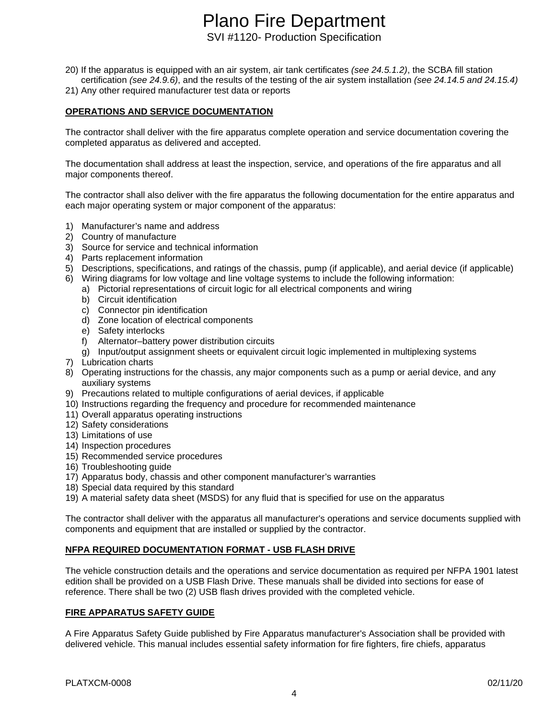- 20) If the apparatus is equipped with an air system, air tank certificates *(see 24.5.1.2)*, the SCBA fill station certification *(see 24.9.6)*, and the results of the testing of the air system installation *(see 24.14.5 and 24.15.4)*
- 21) Any other required manufacturer test data or reports

#### **OPERATIONS AND SERVICE DOCUMENTATION**

The contractor shall deliver with the fire apparatus complete operation and service documentation covering the completed apparatus as delivered and accepted.

The documentation shall address at least the inspection, service, and operations of the fire apparatus and all major components thereof.

The contractor shall also deliver with the fire apparatus the following documentation for the entire apparatus and each major operating system or major component of the apparatus:

- 1) Manufacturer's name and address
- 2) Country of manufacture
- 3) Source for service and technical information
- 4) Parts replacement information
- 5) Descriptions, specifications, and ratings of the chassis, pump (if applicable), and aerial device (if applicable)
- 6) Wiring diagrams for low voltage and line voltage systems to include the following information:
	- a) Pictorial representations of circuit logic for all electrical components and wiring
	- b) Circuit identification
	- c) Connector pin identification
	- d) Zone location of electrical components
	- e) Safety interlocks
	- f) Alternator–battery power distribution circuits
	- g) Input/output assignment sheets or equivalent circuit logic implemented in multiplexing systems
- 7) Lubrication charts
- 8) Operating instructions for the chassis, any major components such as a pump or aerial device, and any auxiliary systems
- 9) Precautions related to multiple configurations of aerial devices, if applicable
- 10) Instructions regarding the frequency and procedure for recommended maintenance
- 11) Overall apparatus operating instructions
- 12) Safety considerations
- 13) Limitations of use
- 14) Inspection procedures
- 15) Recommended service procedures
- 16) Troubleshooting guide
- 17) Apparatus body, chassis and other component manufacturer's warranties
- 18) Special data required by this standard
- 19) A material safety data sheet (MSDS) for any fluid that is specified for use on the apparatus

The contractor shall deliver with the apparatus all manufacturer's operations and service documents supplied with components and equipment that are installed or supplied by the contractor.

#### **NFPA REQUIRED DOCUMENTATION FORMAT - USB FLASH DRIVE**

The vehicle construction details and the operations and service documentation as required per NFPA 1901 latest edition shall be provided on a USB Flash Drive. These manuals shall be divided into sections for ease of reference. There shall be two (2) USB flash drives provided with the completed vehicle.

#### **FIRE APPARATUS SAFETY GUIDE**

A Fire Apparatus Safety Guide published by Fire Apparatus manufacturer's Association shall be provided with delivered vehicle. This manual includes essential safety information for fire fighters, fire chiefs, apparatus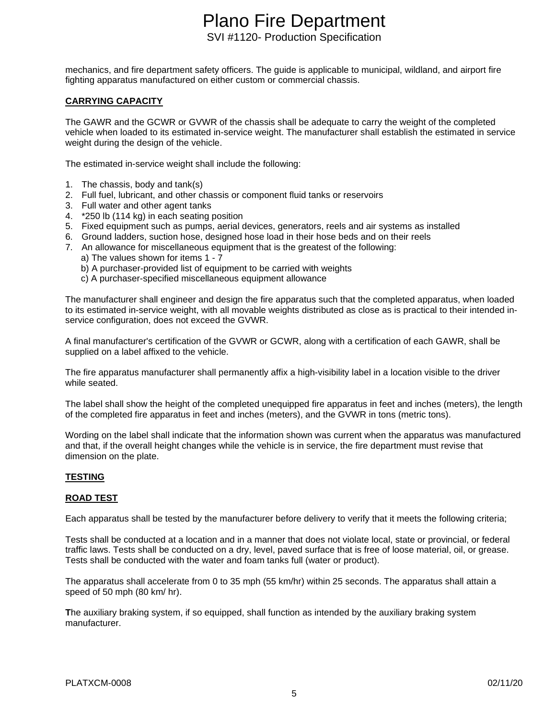mechanics, and fire department safety officers. The guide is applicable to municipal, wildland, and airport fire fighting apparatus manufactured on either custom or commercial chassis.

#### **CARRYING CAPACITY**

The GAWR and the GCWR or GVWR of the chassis shall be adequate to carry the weight of the completed vehicle when loaded to its estimated in-service weight. The manufacturer shall establish the estimated in service weight during the design of the vehicle.

The estimated in-service weight shall include the following:

- 1. The chassis, body and tank(s)
- 2. Full fuel, lubricant, and other chassis or component fluid tanks or reservoirs
- 3. Full water and other agent tanks
- 4. \*250 lb (114 kg) in each seating position
- 5. Fixed equipment such as pumps, aerial devices, generators, reels and air systems as installed
- 6. Ground ladders, suction hose, designed hose load in their hose beds and on their reels
- 7. An allowance for miscellaneous equipment that is the greatest of the following:
	- a) The values shown for items 1 7
	- b) A purchaser-provided list of equipment to be carried with weights
	- c) A purchaser-specified miscellaneous equipment allowance

The manufacturer shall engineer and design the fire apparatus such that the completed apparatus, when loaded to its estimated in-service weight, with all movable weights distributed as close as is practical to their intended inservice configuration, does not exceed the GVWR.

A final manufacturer's certification of the GVWR or GCWR, along with a certification of each GAWR, shall be supplied on a label affixed to the vehicle.

The fire apparatus manufacturer shall permanently affix a high-visibility label in a location visible to the driver while seated.

The label shall show the height of the completed unequipped fire apparatus in feet and inches (meters), the length of the completed fire apparatus in feet and inches (meters), and the GVWR in tons (metric tons).

Wording on the label shall indicate that the information shown was current when the apparatus was manufactured and that, if the overall height changes while the vehicle is in service, the fire department must revise that dimension on the plate.

#### **TESTING**

#### **ROAD TEST**

Each apparatus shall be tested by the manufacturer before delivery to verify that it meets the following criteria;

Tests shall be conducted at a location and in a manner that does not violate local, state or provincial, or federal traffic laws. Tests shall be conducted on a dry, level, paved surface that is free of loose material, oil, or grease. Tests shall be conducted with the water and foam tanks full (water or product).

The apparatus shall accelerate from 0 to 35 mph (55 km/hr) within 25 seconds. The apparatus shall attain a speed of 50 mph (80 km/ hr).

**T**he auxiliary braking system, if so equipped, shall function as intended by the auxiliary braking system manufacturer.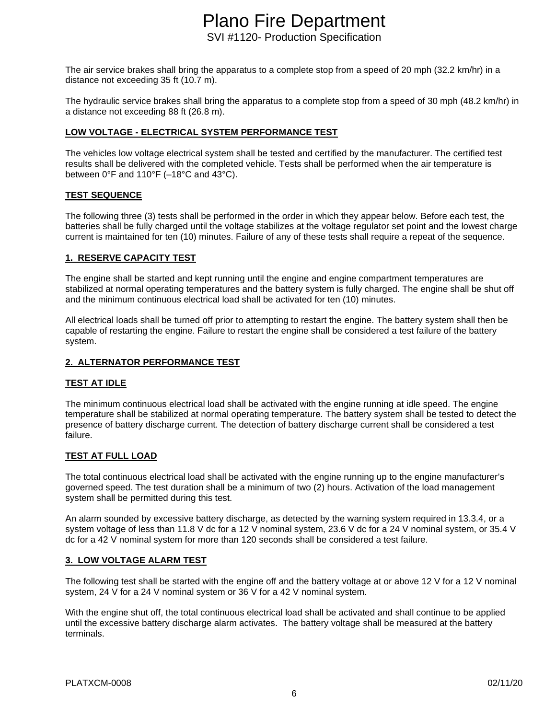The air service brakes shall bring the apparatus to a complete stop from a speed of 20 mph (32.2 km/hr) in a distance not exceeding 35 ft (10.7 m).

The hydraulic service brakes shall bring the apparatus to a complete stop from a speed of 30 mph (48.2 km/hr) in a distance not exceeding 88 ft (26.8 m).

#### **LOW VOLTAGE - ELECTRICAL SYSTEM PERFORMANCE TEST**

The vehicles low voltage electrical system shall be tested and certified by the manufacturer. The certified test results shall be delivered with the completed vehicle. Tests shall be performed when the air temperature is between 0°F and 110°F (–18°C and 43°C).

#### **TEST SEQUENCE**

The following three (3) tests shall be performed in the order in which they appear below. Before each test, the batteries shall be fully charged until the voltage stabilizes at the voltage regulator set point and the lowest charge current is maintained for ten (10) minutes. Failure of any of these tests shall require a repeat of the sequence.

#### **1. RESERVE CAPACITY TEST**

The engine shall be started and kept running until the engine and engine compartment temperatures are stabilized at normal operating temperatures and the battery system is fully charged. The engine shall be shut off and the minimum continuous electrical load shall be activated for ten (10) minutes.

All electrical loads shall be turned off prior to attempting to restart the engine. The battery system shall then be capable of restarting the engine. Failure to restart the engine shall be considered a test failure of the battery system.

#### **2. ALTERNATOR PERFORMANCE TEST**

#### **TEST AT IDLE**

The minimum continuous electrical load shall be activated with the engine running at idle speed. The engine temperature shall be stabilized at normal operating temperature. The battery system shall be tested to detect the presence of battery discharge current. The detection of battery discharge current shall be considered a test failure.

#### **TEST AT FULL LOAD**

The total continuous electrical load shall be activated with the engine running up to the engine manufacturer's governed speed. The test duration shall be a minimum of two (2) hours. Activation of the load management system shall be permitted during this test.

An alarm sounded by excessive battery discharge, as detected by the warning system required in 13.3.4, or a system voltage of less than 11.8 V dc for a 12 V nominal system, 23.6 V dc for a 24 V nominal system, or 35.4 V dc for a 42 V nominal system for more than 120 seconds shall be considered a test failure.

#### **3. LOW VOLTAGE ALARM TEST**

The following test shall be started with the engine off and the battery voltage at or above 12 V for a 12 V nominal system, 24 V for a 24 V nominal system or 36 V for a 42 V nominal system.

With the engine shut off, the total continuous electrical load shall be activated and shall continue to be applied until the excessive battery discharge alarm activates. The battery voltage shall be measured at the battery terminals.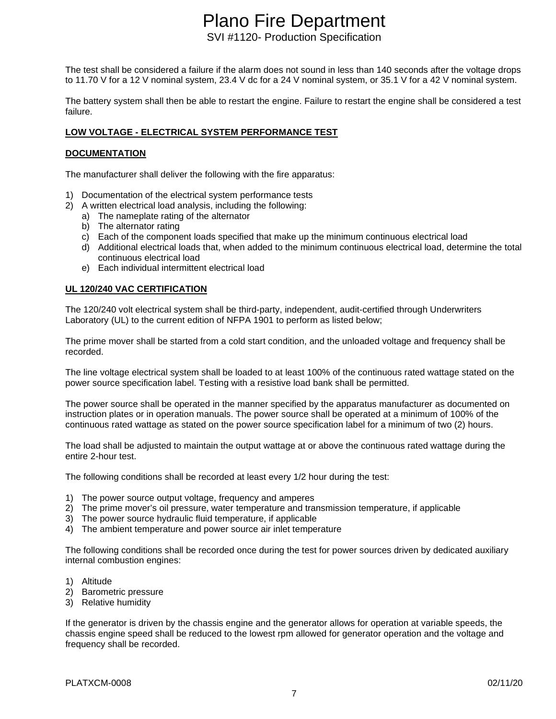# Plano Fire Department

SVI #1120- Production Specification

The test shall be considered a failure if the alarm does not sound in less than 140 seconds after the voltage drops to 11.70 V for a 12 V nominal system, 23.4 V dc for a 24 V nominal system, or 35.1 V for a 42 V nominal system.

The battery system shall then be able to restart the engine. Failure to restart the engine shall be considered a test failure.

#### **LOW VOLTAGE - ELECTRICAL SYSTEM PERFORMANCE TEST**

#### **DOCUMENTATION**

The manufacturer shall deliver the following with the fire apparatus:

- 1) Documentation of the electrical system performance tests
- 2) A written electrical load analysis, including the following:
	- a) The nameplate rating of the alternator
	- b) The alternator rating
	- c) Each of the component loads specified that make up the minimum continuous electrical load
	- d) Additional electrical loads that, when added to the minimum continuous electrical load, determine the total continuous electrical load
	- e) Each individual intermittent electrical load

#### **UL 120/240 VAC CERTIFICATION**

The 120/240 volt electrical system shall be third-party, independent, audit-certified through Underwriters Laboratory (UL) to the current edition of NFPA 1901 to perform as listed below;

The prime mover shall be started from a cold start condition, and the unloaded voltage and frequency shall be recorded.

The line voltage electrical system shall be loaded to at least 100% of the continuous rated wattage stated on the power source specification label. Testing with a resistive load bank shall be permitted.

The power source shall be operated in the manner specified by the apparatus manufacturer as documented on instruction plates or in operation manuals. The power source shall be operated at a minimum of 100% of the continuous rated wattage as stated on the power source specification label for a minimum of two (2) hours.

The load shall be adjusted to maintain the output wattage at or above the continuous rated wattage during the entire 2-hour test.

The following conditions shall be recorded at least every 1/2 hour during the test:

- 1) The power source output voltage, frequency and amperes
- 2) The prime mover's oil pressure, water temperature and transmission temperature, if applicable
- 3) The power source hydraulic fluid temperature, if applicable
- 4) The ambient temperature and power source air inlet temperature

The following conditions shall be recorded once during the test for power sources driven by dedicated auxiliary internal combustion engines:

- 1) Altitude
- 2) Barometric pressure
- 3) Relative humidity

If the generator is driven by the chassis engine and the generator allows for operation at variable speeds, the chassis engine speed shall be reduced to the lowest rpm allowed for generator operation and the voltage and frequency shall be recorded.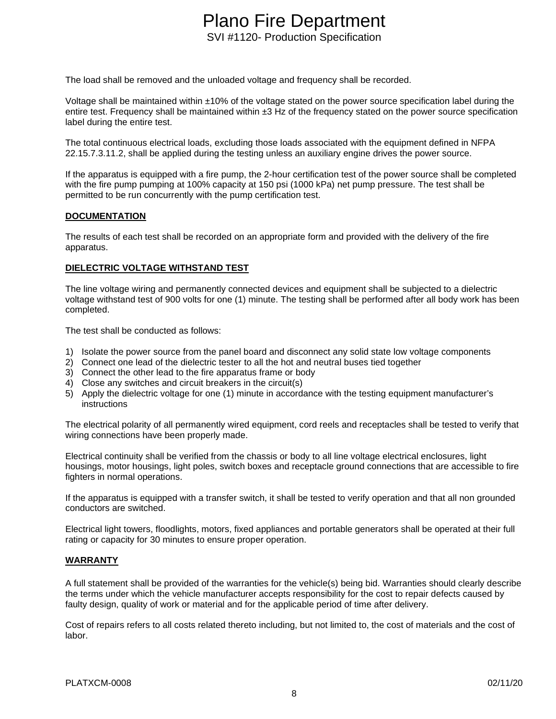The load shall be removed and the unloaded voltage and frequency shall be recorded.

Voltage shall be maintained within ±10% of the voltage stated on the power source specification label during the entire test. Frequency shall be maintained within  $\pm 3$  Hz of the frequency stated on the power source specification label during the entire test.

The total continuous electrical loads, excluding those loads associated with the equipment defined in NFPA 22.15.7.3.11.2, shall be applied during the testing unless an auxiliary engine drives the power source.

If the apparatus is equipped with a fire pump, the 2-hour certification test of the power source shall be completed with the fire pump pumping at 100% capacity at 150 psi (1000 kPa) net pump pressure. The test shall be permitted to be run concurrently with the pump certification test.

#### **DOCUMENTATION**

The results of each test shall be recorded on an appropriate form and provided with the delivery of the fire apparatus.

#### **DIELECTRIC VOLTAGE WITHSTAND TEST**

The line voltage wiring and permanently connected devices and equipment shall be subjected to a dielectric voltage withstand test of 900 volts for one (1) minute. The testing shall be performed after all body work has been completed.

The test shall be conducted as follows:

- 1) Isolate the power source from the panel board and disconnect any solid state low voltage components
- 2) Connect one lead of the dielectric tester to all the hot and neutral buses tied together
- 3) Connect the other lead to the fire apparatus frame or body
- 4) Close any switches and circuit breakers in the circuit(s)
- 5) Apply the dielectric voltage for one (1) minute in accordance with the testing equipment manufacturer's instructions

The electrical polarity of all permanently wired equipment, cord reels and receptacles shall be tested to verify that wiring connections have been properly made.

Electrical continuity shall be verified from the chassis or body to all line voltage electrical enclosures, light housings, motor housings, light poles, switch boxes and receptacle ground connections that are accessible to fire fighters in normal operations.

If the apparatus is equipped with a transfer switch, it shall be tested to verify operation and that all non grounded conductors are switched.

Electrical light towers, floodlights, motors, fixed appliances and portable generators shall be operated at their full rating or capacity for 30 minutes to ensure proper operation.

#### **WARRANTY**

A full statement shall be provided of the warranties for the vehicle(s) being bid. Warranties should clearly describe the terms under which the vehicle manufacturer accepts responsibility for the cost to repair defects caused by faulty design, quality of work or material and for the applicable period of time after delivery.

Cost of repairs refers to all costs related thereto including, but not limited to, the cost of materials and the cost of labor.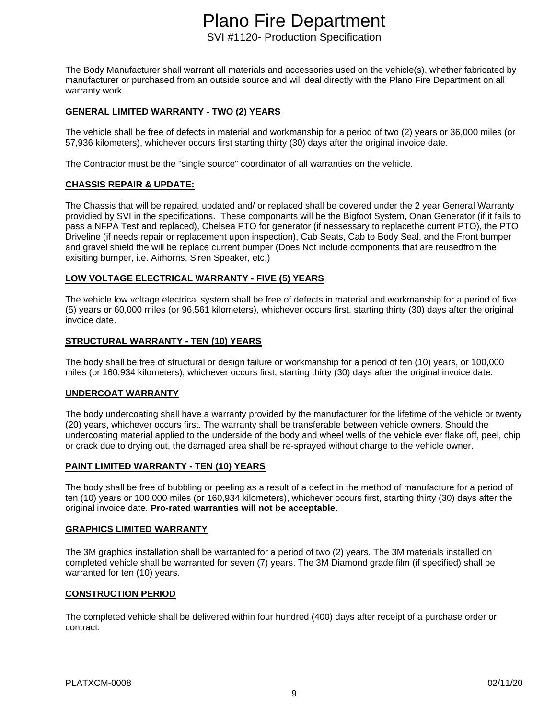The Body Manufacturer shall warrant all materials and accessories used on the vehicle(s), whether fabricated by manufacturer or purchased from an outside source and will deal directly with the Plano Fire Department on all warranty work.

#### **GENERAL LIMITED WARRANTY - TWO (2) YEARS**

The vehicle shall be free of defects in material and workmanship for a period of two (2) years or 36,000 miles (or 57,936 kilometers), whichever occurs first starting thirty (30) days after the original invoice date.

The Contractor must be the "single source" coordinator of all warranties on the vehicle.

#### **CHASSIS REPAIR & UPDATE:**

The Chassis that will be repaired, updated and/ or replaced shall be covered under the 2 year General Warranty providied by SVI in the specifications. These componants will be the Bigfoot System, Onan Generator (if it fails to pass a NFPA Test and replaced), Chelsea PTO for generator (if nessessary to replacethe current PTO), the PTO Driveline (if needs repair or replacement upon inspection), Cab Seats, Cab to Body Seal, and the Front bumper and gravel shield the will be replace current bumper (Does Not include components that are reusedfrom the exisiting bumper, i.e. Airhorns, Siren Speaker, etc.)

#### **LOW VOLTAGE ELECTRICAL WARRANTY - FIVE (5) YEARS**

The vehicle low voltage electrical system shall be free of defects in material and workmanship for a period of five (5) years or 60,000 miles (or 96,561 kilometers), whichever occurs first, starting thirty (30) days after the original invoice date.

#### **STRUCTURAL WARRANTY - TEN (10) YEARS**

The body shall be free of structural or design failure or workmanship for a period of ten (10) years, or 100,000 miles (or 160,934 kilometers), whichever occurs first, starting thirty (30) days after the original invoice date.

#### **UNDERCOAT WARRANTY**

The body undercoating shall have a warranty provided by the manufacturer for the lifetime of the vehicle or twenty (20) years, whichever occurs first. The warranty shall be transferable between vehicle owners. Should the undercoating material applied to the underside of the body and wheel wells of the vehicle ever flake off, peel, chip or crack due to drying out, the damaged area shall be re-sprayed without charge to the vehicle owner.

#### **PAINT LIMITED WARRANTY - TEN (10) YEARS**

The body shall be free of bubbling or peeling as a result of a defect in the method of manufacture for a period of ten (10) years or 100,000 miles (or 160,934 kilometers), whichever occurs first, starting thirty (30) days after the original invoice date. **Pro-rated warranties will not be acceptable.**

#### **GRAPHICS LIMITED WARRANTY**

The 3M graphics installation shall be warranted for a period of two (2) years. The 3M materials installed on completed vehicle shall be warranted for seven (7) years. The 3M Diamond grade film (if specified) shall be warranted for ten (10) years.

#### **CONSTRUCTION PERIOD**

The completed vehicle shall be delivered within four hundred (400) days after receipt of a purchase order or contract.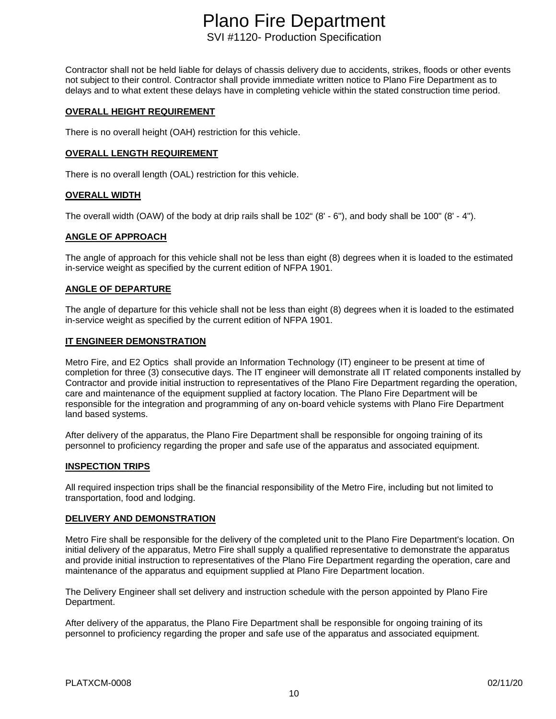Contractor shall not be held liable for delays of chassis delivery due to accidents, strikes, floods or other events not subject to their control. Contractor shall provide immediate written notice to Plano Fire Department as to delays and to what extent these delays have in completing vehicle within the stated construction time period.

#### **OVERALL HEIGHT REQUIREMENT**

There is no overall height (OAH) restriction for this vehicle.

#### **OVERALL LENGTH REQUIREMENT**

There is no overall length (OAL) restriction for this vehicle.

#### **OVERALL WIDTH**

The overall width (OAW) of the body at drip rails shall be 102" (8' - 6"), and body shall be 100" (8' - 4").

#### **ANGLE OF APPROACH**

The angle of approach for this vehicle shall not be less than eight (8) degrees when it is loaded to the estimated in-service weight as specified by the current edition of NFPA 1901.

#### **ANGLE OF DEPARTURE**

The angle of departure for this vehicle shall not be less than eight (8) degrees when it is loaded to the estimated in-service weight as specified by the current edition of NFPA 1901.

#### **IT ENGINEER DEMONSTRATION**

Metro Fire, and E2 Optics shall provide an Information Technology (IT) engineer to be present at time of completion for three (3) consecutive days. The IT engineer will demonstrate all IT related components installed by Contractor and provide initial instruction to representatives of the Plano Fire Department regarding the operation, care and maintenance of the equipment supplied at factory location. The Plano Fire Department will be responsible for the integration and programming of any on-board vehicle systems with Plano Fire Department land based systems.

After delivery of the apparatus, the Plano Fire Department shall be responsible for ongoing training of its personnel to proficiency regarding the proper and safe use of the apparatus and associated equipment.

#### **INSPECTION TRIPS**

All required inspection trips shall be the financial responsibility of the Metro Fire, including but not limited to transportation, food and lodging.

#### **DELIVERY AND DEMONSTRATION**

Metro Fire shall be responsible for the delivery of the completed unit to the Plano Fire Department's location. On initial delivery of the apparatus, Metro Fire shall supply a qualified representative to demonstrate the apparatus and provide initial instruction to representatives of the Plano Fire Department regarding the operation, care and maintenance of the apparatus and equipment supplied at Plano Fire Department location.

The Delivery Engineer shall set delivery and instruction schedule with the person appointed by Plano Fire Department.

After delivery of the apparatus, the Plano Fire Department shall be responsible for ongoing training of its personnel to proficiency regarding the proper and safe use of the apparatus and associated equipment.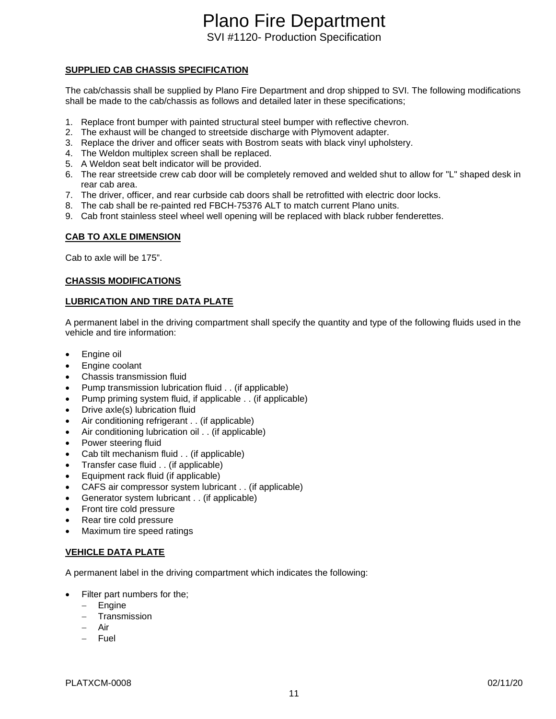#### **SUPPLIED CAB CHASSIS SPECIFICATION**

The cab/chassis shall be supplied by Plano Fire Department and drop shipped to SVI. The following modifications shall be made to the cab/chassis as follows and detailed later in these specifications;

- 1. Replace front bumper with painted structural steel bumper with reflective chevron.
- 2. The exhaust will be changed to streetside discharge with Plymovent adapter.
- 3. Replace the driver and officer seats with Bostrom seats with black vinyl upholstery.
- 4. The Weldon multiplex screen shall be replaced.
- 5. A Weldon seat belt indicator will be provided.
- 6. The rear streetside crew cab door will be completely removed and welded shut to allow for "L" shaped desk in rear cab area.
- 7. The driver, officer, and rear curbside cab doors shall be retrofitted with electric door locks.
- 8. The cab shall be re-painted red FBCH-75376 ALT to match current Plano units.
- 9. Cab front stainless steel wheel well opening will be replaced with black rubber fenderettes.

#### **CAB TO AXLE DIMENSION**

Cab to axle will be 175".

#### **CHASSIS MODIFICATIONS**

#### **LUBRICATION AND TIRE DATA PLATE**

A permanent label in the driving compartment shall specify the quantity and type of the following fluids used in the vehicle and tire information:

- Engine oil
- Engine coolant
- Chassis transmission fluid
- Pump transmission lubrication fluid . . (if applicable)
- Pump priming system fluid, if applicable . . (if applicable)
- Drive axle(s) lubrication fluid
- Air conditioning refrigerant . . (if applicable)
- Air conditioning lubrication oil . . (if applicable)
- Power steering fluid
- Cab tilt mechanism fluid . . (if applicable)
- Transfer case fluid . . (if applicable)
- Equipment rack fluid (if applicable)
- CAFS air compressor system lubricant . . (if applicable)
- Generator system lubricant . . (if applicable)
- Front tire cold pressure
- Rear tire cold pressure
- Maximum tire speed ratings

#### **VEHICLE DATA PLATE**

A permanent label in the driving compartment which indicates the following:

- Filter part numbers for the;
	- − Engine
	- − Transmission
	- − Air
	- − Fuel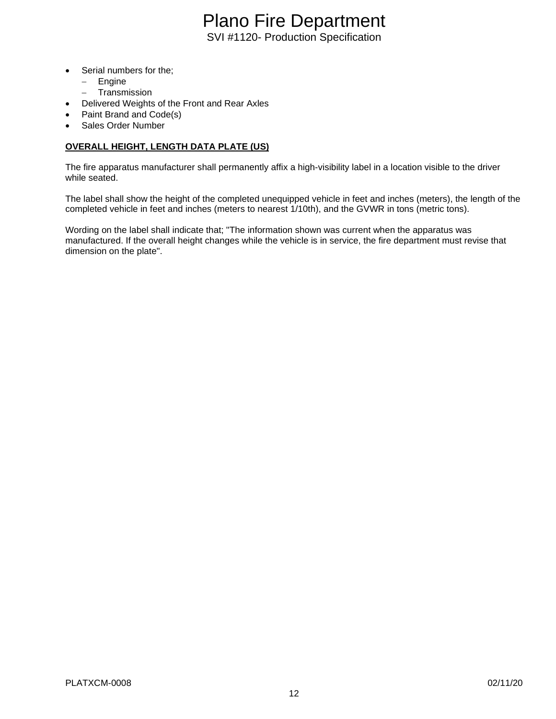- Serial numbers for the;
	- − Engine
	- − Transmission
- Delivered Weights of the Front and Rear Axles
- Paint Brand and Code(s)
- Sales Order Number

#### **OVERALL HEIGHT, LENGTH DATA PLATE (US)**

The fire apparatus manufacturer shall permanently affix a high-visibility label in a location visible to the driver while seated.

The label shall show the height of the completed unequipped vehicle in feet and inches (meters), the length of the completed vehicle in feet and inches (meters to nearest 1/10th), and the GVWR in tons (metric tons).

Wording on the label shall indicate that; "The information shown was current when the apparatus was manufactured. If the overall height changes while the vehicle is in service, the fire department must revise that dimension on the plate".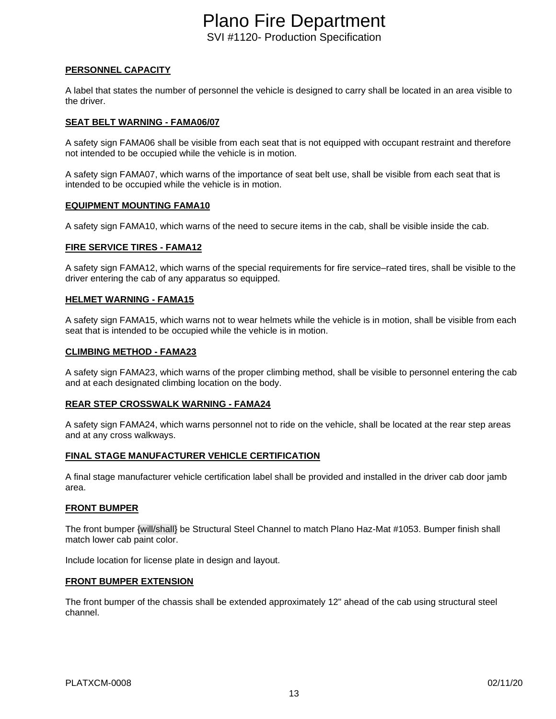#### **PERSONNEL CAPACITY**

A label that states the number of personnel the vehicle is designed to carry shall be located in an area visible to the driver.

#### **SEAT BELT WARNING - FAMA06/07**

A safety sign FAMA06 shall be visible from each seat that is not equipped with occupant restraint and therefore not intended to be occupied while the vehicle is in motion.

A safety sign FAMA07, which warns of the importance of seat belt use, shall be visible from each seat that is intended to be occupied while the vehicle is in motion.

#### **EQUIPMENT MOUNTING FAMA10**

A safety sign FAMA10, which warns of the need to secure items in the cab, shall be visible inside the cab.

#### **FIRE SERVICE TIRES - FAMA12**

A safety sign FAMA12, which warns of the special requirements for fire service–rated tires, shall be visible to the driver entering the cab of any apparatus so equipped.

#### **HELMET WARNING - FAMA15**

A safety sign FAMA15, which warns not to wear helmets while the vehicle is in motion, shall be visible from each seat that is intended to be occupied while the vehicle is in motion.

#### **CLIMBING METHOD - FAMA23**

A safety sign FAMA23, which warns of the proper climbing method, shall be visible to personnel entering the cab and at each designated climbing location on the body.

#### **REAR STEP CROSSWALK WARNING - FAMA24**

A safety sign FAMA24, which warns personnel not to ride on the vehicle, shall be located at the rear step areas and at any cross walkways.

#### **FINAL STAGE MANUFACTURER VEHICLE CERTIFICATION**

A final stage manufacturer vehicle certification label shall be provided and installed in the driver cab door jamb area.

#### **FRONT BUMPER**

The front bumper {will/shall} be Structural Steel Channel to match Plano Haz-Mat #1053. Bumper finish shall match lower cab paint color.

Include location for license plate in design and layout.

#### **FRONT BUMPER EXTENSION**

The front bumper of the chassis shall be extended approximately 12" ahead of the cab using structural steel channel.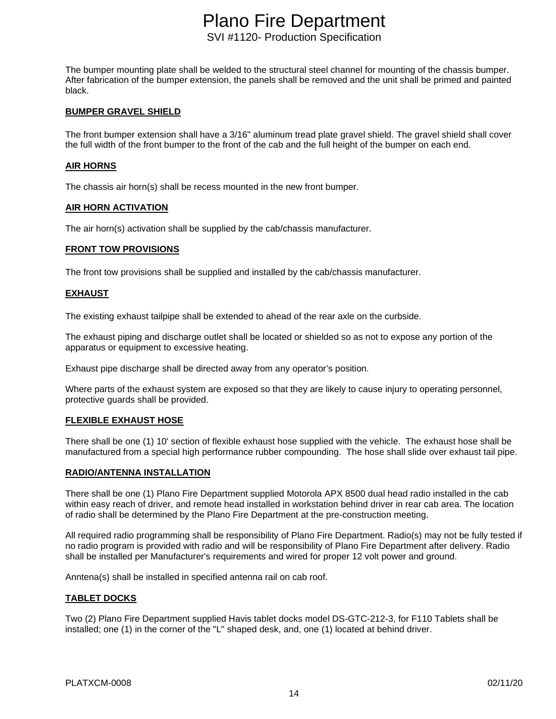The bumper mounting plate shall be welded to the structural steel channel for mounting of the chassis bumper. After fabrication of the bumper extension, the panels shall be removed and the unit shall be primed and painted black.

#### **BUMPER GRAVEL SHIELD**

The front bumper extension shall have a 3/16" aluminum tread plate gravel shield. The gravel shield shall cover the full width of the front bumper to the front of the cab and the full height of the bumper on each end.

#### **AIR HORNS**

The chassis air horn(s) shall be recess mounted in the new front bumper.

#### **AIR HORN ACTIVATION**

The air horn(s) activation shall be supplied by the cab/chassis manufacturer.

#### **FRONT TOW PROVISIONS**

The front tow provisions shall be supplied and installed by the cab/chassis manufacturer.

#### **EXHAUST**

The existing exhaust tailpipe shall be extended to ahead of the rear axle on the curbside.

The exhaust piping and discharge outlet shall be located or shielded so as not to expose any portion of the apparatus or equipment to excessive heating.

Exhaust pipe discharge shall be directed away from any operator's position.

Where parts of the exhaust system are exposed so that they are likely to cause injury to operating personnel, protective guards shall be provided.

#### **FLEXIBLE EXHAUST HOSE**

There shall be one (1) 10' section of flexible exhaust hose supplied with the vehicle. The exhaust hose shall be manufactured from a special high performance rubber compounding. The hose shall slide over exhaust tail pipe.

#### **RADIO/ANTENNA INSTALLATION**

There shall be one (1) Plano Fire Department supplied Motorola APX 8500 dual head radio installed in the cab within easy reach of driver, and remote head installed in workstation behind driver in rear cab area. The location of radio shall be determined by the Plano Fire Department at the pre-construction meeting.

All required radio programming shall be responsibility of Plano Fire Department. Radio(s) may not be fully tested if no radio program is provided with radio and will be responsibility of Plano Fire Department after delivery. Radio shall be installed per Manufacturer's requirements and wired for proper 12 volt power and ground.

Anntena(s) shall be installed in specified antenna rail on cab roof.

#### **TABLET DOCKS**

Two (2) Plano Fire Department supplied Havis tablet docks model DS-GTC-212-3, for F110 Tablets shall be installed; one (1) in the corner of the "L" shaped desk, and, one (1) located at behind driver.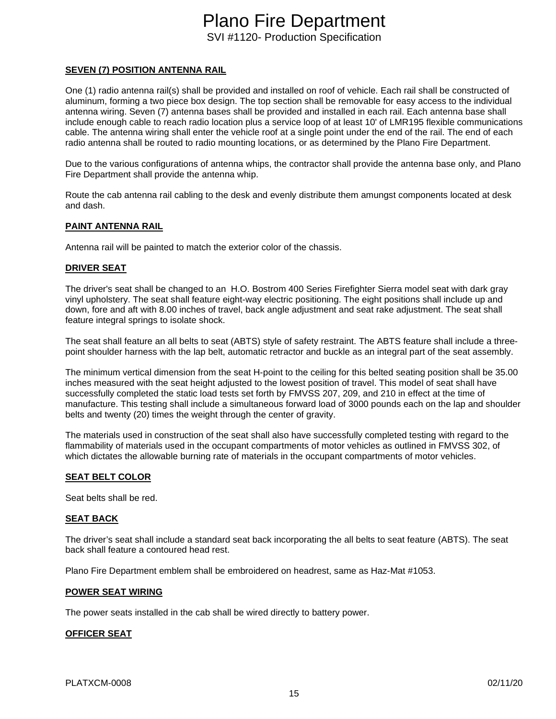#### **SEVEN (7) POSITION ANTENNA RAIL**

One (1) radio antenna rail(s) shall be provided and installed on roof of vehicle. Each rail shall be constructed of aluminum, forming a two piece box design. The top section shall be removable for easy access to the individual antenna wiring. Seven (7) antenna bases shall be provided and installed in each rail. Each antenna base shall include enough cable to reach radio location plus a service loop of at least 10' of LMR195 flexible communications cable. The antenna wiring shall enter the vehicle roof at a single point under the end of the rail. The end of each radio antenna shall be routed to radio mounting locations, or as determined by the Plano Fire Department.

Due to the various configurations of antenna whips, the contractor shall provide the antenna base only, and Plano Fire Department shall provide the antenna whip.

Route the cab antenna rail cabling to the desk and evenly distribute them amungst components located at desk and dash.

#### **PAINT ANTENNA RAIL**

Antenna rail will be painted to match the exterior color of the chassis.

#### **DRIVER SEAT**

The driver's seat shall be changed to an H.O. Bostrom 400 Series Firefighter Sierra model seat with dark gray vinyl upholstery. The seat shall feature eight-way electric positioning. The eight positions shall include up and down, fore and aft with 8.00 inches of travel, back angle adjustment and seat rake adjustment. The seat shall feature integral springs to isolate shock.

The seat shall feature an all belts to seat (ABTS) style of safety restraint. The ABTS feature shall include a threepoint shoulder harness with the lap belt, automatic retractor and buckle as an integral part of the seat assembly.

The minimum vertical dimension from the seat H-point to the ceiling for this belted seating position shall be 35.00 inches measured with the seat height adjusted to the lowest position of travel. This model of seat shall have successfully completed the static load tests set forth by FMVSS 207, 209, and 210 in effect at the time of manufacture. This testing shall include a simultaneous forward load of 3000 pounds each on the lap and shoulder belts and twenty (20) times the weight through the center of gravity.

The materials used in construction of the seat shall also have successfully completed testing with regard to the flammability of materials used in the occupant compartments of motor vehicles as outlined in FMVSS 302, of which dictates the allowable burning rate of materials in the occupant compartments of motor vehicles.

#### **SEAT BELT COLOR**

Seat belts shall be red.

#### **SEAT BACK**

The driver's seat shall include a standard seat back incorporating the all belts to seat feature (ABTS). The seat back shall feature a contoured head rest.

Plano Fire Department emblem shall be embroidered on headrest, same as Haz-Mat #1053.

#### **POWER SEAT WIRING**

The power seats installed in the cab shall be wired directly to battery power.

#### **OFFICER SEAT**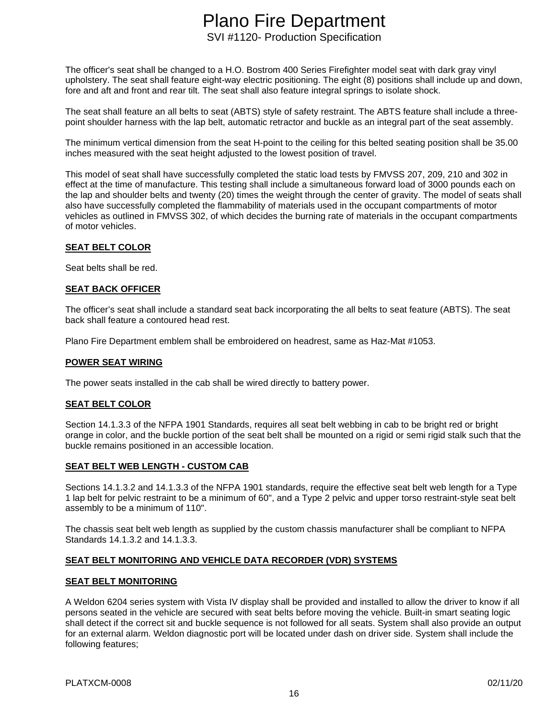The officer's seat shall be changed to a H.O. Bostrom 400 Series Firefighter model seat with dark gray vinyl upholstery. The seat shall feature eight-way electric positioning. The eight (8) positions shall include up and down, fore and aft and front and rear tilt. The seat shall also feature integral springs to isolate shock.

The seat shall feature an all belts to seat (ABTS) style of safety restraint. The ABTS feature shall include a threepoint shoulder harness with the lap belt, automatic retractor and buckle as an integral part of the seat assembly.

The minimum vertical dimension from the seat H-point to the ceiling for this belted seating position shall be 35.00 inches measured with the seat height adjusted to the lowest position of travel.

This model of seat shall have successfully completed the static load tests by FMVSS 207, 209, 210 and 302 in effect at the time of manufacture. This testing shall include a simultaneous forward load of 3000 pounds each on the lap and shoulder belts and twenty (20) times the weight through the center of gravity. The model of seats shall also have successfully completed the flammability of materials used in the occupant compartments of motor vehicles as outlined in FMVSS 302, of which decides the burning rate of materials in the occupant compartments of motor vehicles.

#### **SEAT BELT COLOR**

Seat belts shall be red.

#### **SEAT BACK OFFICER**

The officer's seat shall include a standard seat back incorporating the all belts to seat feature (ABTS). The seat back shall feature a contoured head rest.

Plano Fire Department emblem shall be embroidered on headrest, same as Haz-Mat #1053.

#### **POWER SEAT WIRING**

The power seats installed in the cab shall be wired directly to battery power.

#### **SEAT BELT COLOR**

Section 14.1.3.3 of the NFPA 1901 Standards, requires all seat belt webbing in cab to be bright red or bright orange in color, and the buckle portion of the seat belt shall be mounted on a rigid or semi rigid stalk such that the buckle remains positioned in an accessible location.

#### **SEAT BELT WEB LENGTH - CUSTOM CAB**

Sections 14.1.3.2 and 14.1.3.3 of the NFPA 1901 standards, require the effective seat belt web length for a Type 1 lap belt for pelvic restraint to be a minimum of 60", and a Type 2 pelvic and upper torso restraint-style seat belt assembly to be a minimum of 110".

The chassis seat belt web length as supplied by the custom chassis manufacturer shall be compliant to NFPA Standards 14.1.3.2 and 14.1.3.3.

#### **SEAT BELT MONITORING AND VEHICLE DATA RECORDER (VDR) SYSTEMS**

#### **SEAT BELT MONITORING**

A Weldon 6204 series system with Vista IV display shall be provided and installed to allow the driver to know if all persons seated in the vehicle are secured with seat belts before moving the vehicle. Built-in smart seating logic shall detect if the correct sit and buckle sequence is not followed for all seats. System shall also provide an output for an external alarm. Weldon diagnostic port will be located under dash on driver side. System shall include the following features;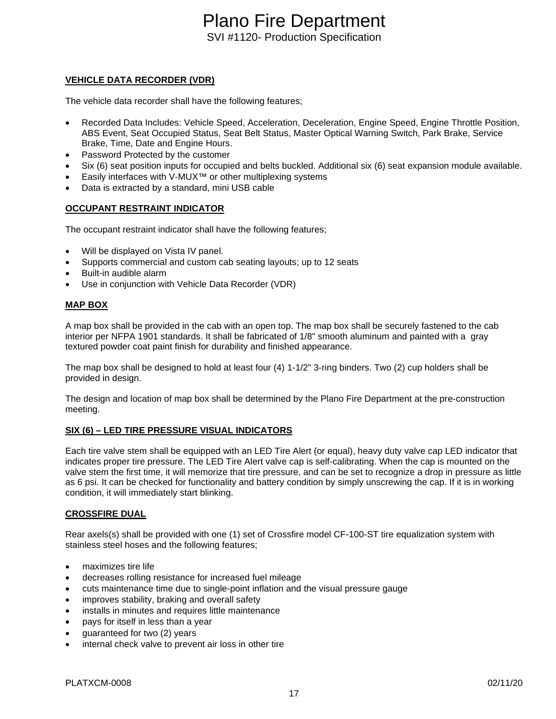#### **VEHICLE DATA RECORDER (VDR)**

The vehicle data recorder shall have the following features;

- Recorded Data Includes: Vehicle Speed, Acceleration, Deceleration, Engine Speed, Engine Throttle Position, ABS Event, Seat Occupied Status, Seat Belt Status, Master Optical Warning Switch, Park Brake, Service Brake, Time, Date and Engine Hours.
- Password Protected by the customer
- Six (6) seat position inputs for occupied and belts buckled. Additional six (6) seat expansion module available.
- Easily interfaces with V-MUX<sup>™</sup> or other multiplexing systems
- Data is extracted by a standard, mini USB cable

#### **OCCUPANT RESTRAINT INDICATOR**

The occupant restraint indicator shall have the following features;

- Will be displayed on Vista IV panel.
- Supports commercial and custom cab seating layouts; up to 12 seats
- Built-in audible alarm
- Use in conjunction with Vehicle Data Recorder (VDR)

#### **MAP BOX**

A map box shall be provided in the cab with an open top. The map box shall be securely fastened to the cab interior per NFPA 1901 standards. It shall be fabricated of 1/8" smooth aluminum and painted with a gray textured powder coat paint finish for durability and finished appearance.

The map box shall be designed to hold at least four (4) 1-1/2" 3-ring binders. Two (2) cup holders shall be provided in design.

The design and location of map box shall be determined by the Plano Fire Department at the pre-construction meeting.

#### **SIX (6) – LED TIRE PRESSURE VISUAL INDICATORS**

Each tire valve stem shall be equipped with an LED Tire Alert (or equal), heavy duty valve cap LED indicator that indicates proper tire pressure. The LED Tire Alert valve cap is self-calibrating. When the cap is mounted on the valve stem the first time, it will memorize that tire pressure, and can be set to recognize a drop in pressure as little as 6 psi. It can be checked for functionality and battery condition by simply unscrewing the cap. If it is in working condition, it will immediately start blinking.

#### **CROSSFIRE DUAL**

Rear axels(s) shall be provided with one (1) set of Crossfire model CF-100-ST tire equalization system with stainless steel hoses and the following features;

- maximizes tire life
- decreases rolling resistance for increased fuel mileage
- cuts maintenance time due to single-point inflation and the visual pressure gauge
- improves stability, braking and overall safety
- installs in minutes and requires little maintenance
- pays for itself in less than a year
- guaranteed for two (2) years
- internal check valve to prevent air loss in other tire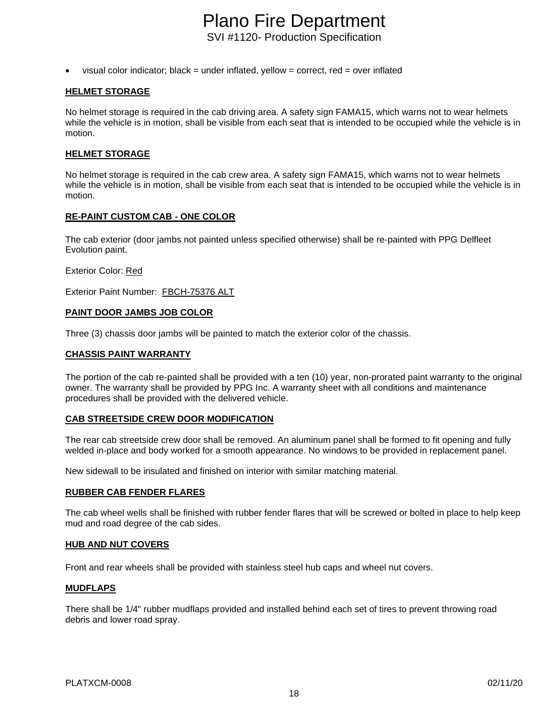• visual color indicator; black = under inflated, yellow = correct, red = over inflated

#### **HELMET STORAGE**

No helmet storage is required in the cab driving area. A safety sign FAMA15, which warns not to wear helmets while the vehicle is in motion, shall be visible from each seat that is intended to be occupied while the vehicle is in motion.

#### **HELMET STORAGE**

No helmet storage is required in the cab crew area. A safety sign FAMA15, which warns not to wear helmets while the vehicle is in motion, shall be visible from each seat that is intended to be occupied while the vehicle is in motion.

#### **RE-PAINT CUSTOM CAB - ONE COLOR**

The cab exterior (door jambs not painted unless specified otherwise) shall be re-painted with PPG Delfleet Evolution paint.

Exterior Color: Red

Exterior Paint Number: FBCH-75376 ALT

#### **PAINT DOOR JAMBS JOB COLOR**

Three (3) chassis door jambs will be painted to match the exterior color of the chassis.

#### **CHASSIS PAINT WARRANTY**

The portion of the cab re-painted shall be provided with a ten (10) year, non-prorated paint warranty to the original owner. The warranty shall be provided by PPG Inc. A warranty sheet with all conditions and maintenance procedures shall be provided with the delivered vehicle.

#### **CAB STREETSIDE CREW DOOR MODIFICATION**

The rear cab streetside crew door shall be removed. An aluminum panel shall be formed to fit opening and fully welded in-place and body worked for a smooth appearance. No windows to be provided in replacement panel.

New sidewall to be insulated and finished on interior with similar matching material.

#### **RUBBER CAB FENDER FLARES**

The cab wheel wells shall be finished with rubber fender flares that will be screwed or bolted in place to help keep mud and road degree of the cab sides.

#### **HUB AND NUT COVERS**

Front and rear wheels shall be provided with stainless steel hub caps and wheel nut covers.

#### **MUDFLAPS**

There shall be 1/4" rubber mudflaps provided and installed behind each set of tires to prevent throwing road debris and lower road spray.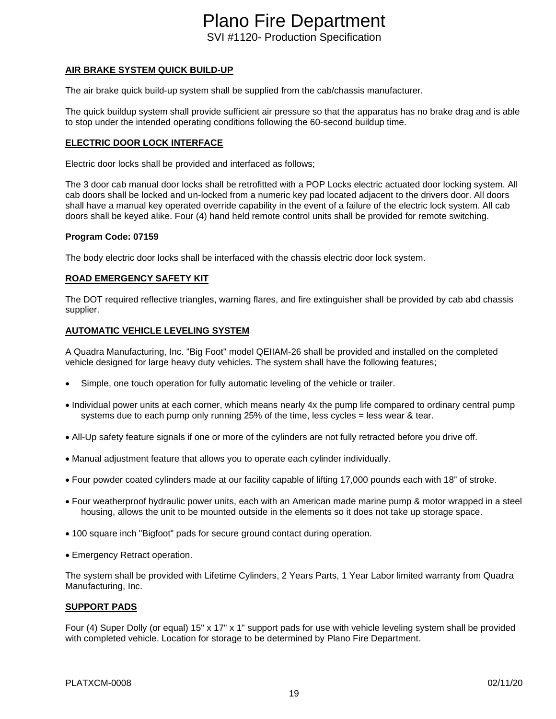#### **AIR BRAKE SYSTEM QUICK BUILD-UP**

The air brake quick build-up system shall be supplied from the cab/chassis manufacturer.

The quick buildup system shall provide sufficient air pressure so that the apparatus has no brake drag and is able to stop under the intended operating conditions following the 60-second buildup time.

#### **ELECTRIC DOOR LOCK INTERFACE**

Electric door locks shall be provided and interfaced as follows;

The 3 door cab manual door locks shall be retrofitted with a POP Locks electric actuated door locking system. All cab doors shall be locked and un-locked from a numeric key pad located adjacent to the drivers door. All doors shall have a manual key operated override capability in the event of a failure of the electric lock system. All cab doors shall be keyed alike. Four (4) hand held remote control units shall be provided for remote switching.

#### **Program Code: 07159**

The body electric door locks shall be interfaced with the chassis electric door lock system.

#### **ROAD EMERGENCY SAFETY KIT**

The DOT required reflective triangles, warning flares, and fire extinguisher shall be provided by cab abd chassis supplier.

#### **AUTOMATIC VEHICLE LEVELING SYSTEM**

A Quadra Manufacturing, Inc. "Big Foot" model QEIIAM-26 shall be provided and installed on the completed vehicle designed for large heavy duty vehicles. The system shall have the following features;

- Simple, one touch operation for fully automatic leveling of the vehicle or trailer.
- Individual power units at each corner, which means nearly 4x the pump life compared to ordinary central pump systems due to each pump only running 25% of the time, less cycles = less wear & tear.
- All-Up safety feature signals if one or more of the cylinders are not fully retracted before you drive off.
- Manual adjustment feature that allows you to operate each cylinder individually.
- Four powder coated cylinders made at our facility capable of lifting 17,000 pounds each with 18" of stroke.
- Four weatherproof hydraulic power units, each with an American made marine pump & motor wrapped in a steel housing, allows the unit to be mounted outside in the elements so it does not take up storage space.
- 100 square inch "Bigfoot" pads for secure ground contact during operation.
- Emergency Retract operation.

The system shall be provided with Lifetime Cylinders, 2 Years Parts, 1 Year Labor limited warranty from Quadra Manufacturing, Inc.

#### **SUPPORT PADS**

Four (4) Super Dolly (or equal) 15" x 17" x 1" support pads for use with vehicle leveling system shall be provided with completed vehicle. Location for storage to be determined by Plano Fire Department.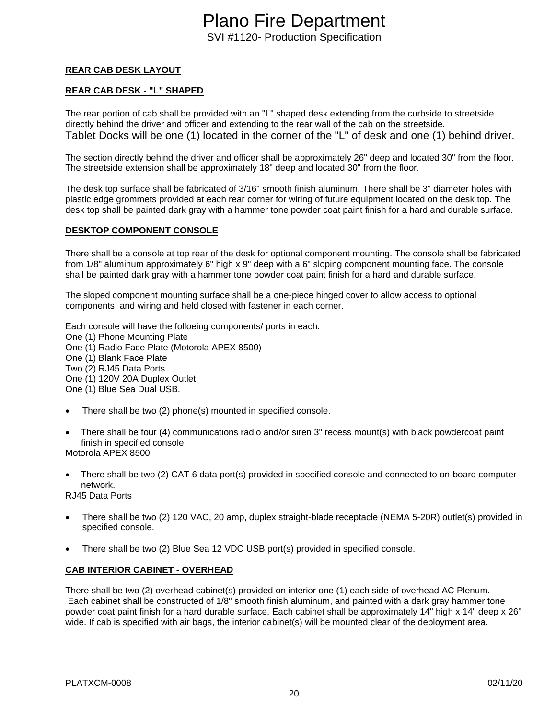#### **REAR CAB DESK LAYOUT**

#### **REAR CAB DESK - "L" SHAPED**

The rear portion of cab shall be provided with an "L" shaped desk extending from the curbside to streetside directly behind the driver and officer and extending to the rear wall of the cab on the streetside. Tablet Docks will be one (1) located in the corner of the "L" of desk and one (1) behind driver.

The section directly behind the driver and officer shall be approximately 26" deep and located 30" from the floor. The streetside extension shall be approximately 18" deep and located 30" from the floor.

The desk top surface shall be fabricated of 3/16" smooth finish aluminum. There shall be 3" diameter holes with plastic edge grommets provided at each rear corner for wiring of future equipment located on the desk top. The desk top shall be painted dark gray with a hammer tone powder coat paint finish for a hard and durable surface.

#### **DESKTOP COMPONENT CONSOLE**

There shall be a console at top rear of the desk for optional component mounting. The console shall be fabricated from 1/8" aluminum approximately 6" high x 9" deep with a 6" sloping component mounting face. The console shall be painted dark gray with a hammer tone powder coat paint finish for a hard and durable surface.

The sloped component mounting surface shall be a one-piece hinged cover to allow access to optional components, and wiring and held closed with fastener in each corner.

Each console will have the folloeing components/ ports in each.

One (1) Phone Mounting Plate

One (1) Radio Face Plate (Motorola APEX 8500)

One (1) Blank Face Plate

Two (2) RJ45 Data Ports

One (1) 120V 20A Duplex Outlet

One (1) Blue Sea Dual USB.

- There shall be two (2) phone(s) mounted in specified console.
- There shall be four (4) communications radio and/or siren 3" recess mount(s) with black powdercoat paint finish in specified console.

Motorola APEX 8500

• There shall be two (2) CAT 6 data port(s) provided in specified console and connected to on-board computer network.

RJ45 Data Ports

- There shall be two (2) 120 VAC, 20 amp, duplex straight-blade receptacle (NEMA 5-20R) outlet(s) provided in specified console.
- There shall be two (2) Blue Sea 12 VDC USB port(s) provided in specified console.

#### **CAB INTERIOR CABINET - OVERHEAD**

There shall be two (2) overhead cabinet(s) provided on interior one (1) each side of overhead AC Plenum. Each cabinet shall be constructed of 1/8" smooth finish aluminum, and painted with a dark gray hammer tone powder coat paint finish for a hard durable surface. Each cabinet shall be approximately 14" high x 14" deep x 26" wide. If cab is specified with air bags, the interior cabinet(s) will be mounted clear of the deployment area.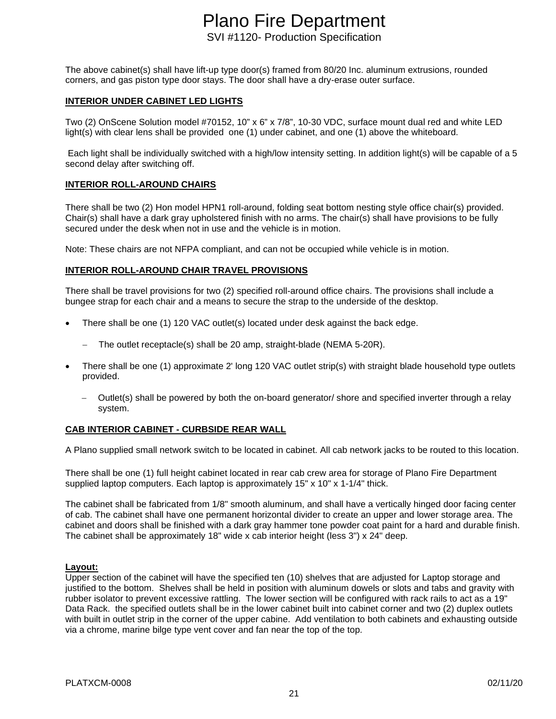The above cabinet(s) shall have lift-up type door(s) framed from 80/20 Inc. aluminum extrusions, rounded corners, and gas piston type door stays. The door shall have a dry-erase outer surface.

#### **INTERIOR UNDER CABINET LED LIGHTS**

Two (2) OnScene Solution model #70152, 10" x 6" x 7/8", 10-30 VDC, surface mount dual red and white LED light(s) with clear lens shall be provided one (1) under cabinet, and one (1) above the whiteboard.

Each light shall be individually switched with a high/low intensity setting. In addition light(s) will be capable of a 5 second delay after switching off.

#### **INTERIOR ROLL-AROUND CHAIRS**

There shall be two (2) Hon model HPN1 roll-around, folding seat bottom nesting style office chair(s) provided. Chair(s) shall have a dark gray upholstered finish with no arms. The chair(s) shall have provisions to be fully secured under the desk when not in use and the vehicle is in motion.

Note: These chairs are not NFPA compliant, and can not be occupied while vehicle is in motion.

#### **INTERIOR ROLL-AROUND CHAIR TRAVEL PROVISIONS**

There shall be travel provisions for two (2) specified roll-around office chairs. The provisions shall include a bungee strap for each chair and a means to secure the strap to the underside of the desktop.

- There shall be one (1) 120 VAC outlet(s) located under desk against the back edge.
	- The outlet receptacle(s) shall be 20 amp, straight-blade (NEMA 5-20R).
- There shall be one (1) approximate 2' long 120 VAC outlet strip(s) with straight blade household type outlets provided.
	- − Outlet(s) shall be powered by both the on-board generator/ shore and specified inverter through a relay system.

#### **CAB INTERIOR CABINET - CURBSIDE REAR WALL**

A Plano supplied small network switch to be located in cabinet. All cab network jacks to be routed to this location.

There shall be one (1) full height cabinet located in rear cab crew area for storage of Plano Fire Department supplied laptop computers. Each laptop is approximately 15" x 10" x 1-1/4" thick.

The cabinet shall be fabricated from 1/8" smooth aluminum, and shall have a vertically hinged door facing center of cab. The cabinet shall have one permanent horizontal divider to create an upper and lower storage area. The cabinet and doors shall be finished with a dark gray hammer tone powder coat paint for a hard and durable finish. The cabinet shall be approximately 18" wide x cab interior height (less  $3"$ ) x 24" deep.

#### **Layout:**

Upper section of the cabinet will have the specified ten (10) shelves that are adjusted for Laptop storage and justified to the bottom. Shelves shall be held in position with aluminum dowels or slots and tabs and gravity with rubber isolator to prevent excessive rattling. The lower section will be configured with rack rails to act as a 19" Data Rack. the specified outlets shall be in the lower cabinet built into cabinet corner and two (2) duplex outlets with built in outlet strip in the corner of the upper cabine. Add ventilation to both cabinets and exhausting outside via a chrome, marine bilge type vent cover and fan near the top of the top.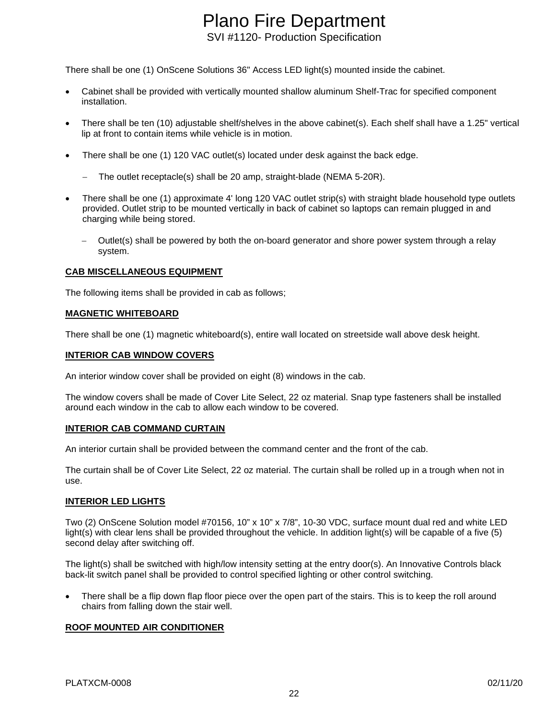There shall be one (1) OnScene Solutions 36" Access LED light(s) mounted inside the cabinet.

- Cabinet shall be provided with vertically mounted shallow aluminum Shelf-Trac for specified component installation.
- There shall be ten (10) adjustable shelf/shelves in the above cabinet(s). Each shelf shall have a 1.25" vertical lip at front to contain items while vehicle is in motion.
- There shall be one (1) 120 VAC outlet(s) located under desk against the back edge.
	- − The outlet receptacle(s) shall be 20 amp, straight-blade (NEMA 5-20R).
- There shall be one (1) approximate 4' long 120 VAC outlet strip(s) with straight blade household type outlets provided. Outlet strip to be mounted vertically in back of cabinet so laptops can remain plugged in and charging while being stored.
	- − Outlet(s) shall be powered by both the on-board generator and shore power system through a relay system.

#### **CAB MISCELLANEOUS EQUIPMENT**

The following items shall be provided in cab as follows;

#### **MAGNETIC WHITEBOARD**

There shall be one (1) magnetic whiteboard(s), entire wall located on streetside wall above desk height.

#### **INTERIOR CAB WINDOW COVERS**

An interior window cover shall be provided on eight (8) windows in the cab.

The window covers shall be made of Cover Lite Select, 22 oz material. Snap type fasteners shall be installed around each window in the cab to allow each window to be covered.

#### **INTERIOR CAB COMMAND CURTAIN**

An interior curtain shall be provided between the command center and the front of the cab.

The curtain shall be of Cover Lite Select, 22 oz material. The curtain shall be rolled up in a trough when not in use.

#### **INTERIOR LED LIGHTS**

Two (2) OnScene Solution model #70156, 10" x 10" x 7/8", 10-30 VDC, surface mount dual red and white LED light(s) with clear lens shall be provided throughout the vehicle. In addition light(s) will be capable of a five (5) second delay after switching off.

The light(s) shall be switched with high/low intensity setting at the entry door(s). An Innovative Controls black back-lit switch panel shall be provided to control specified lighting or other control switching.

• There shall be a flip down flap floor piece over the open part of the stairs. This is to keep the roll around chairs from falling down the stair well.

#### **ROOF MOUNTED AIR CONDITIONER**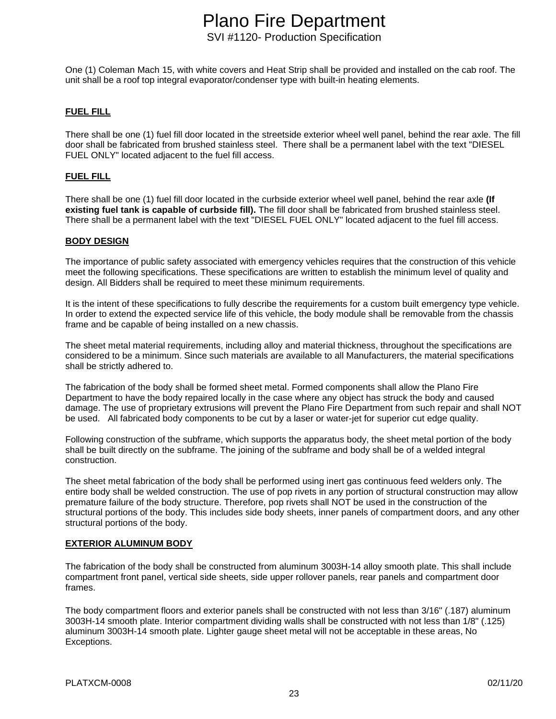One (1) Coleman Mach 15, with white covers and Heat Strip shall be provided and installed on the cab roof. The unit shall be a roof top integral evaporator/condenser type with built-in heating elements.

#### **FUEL FILL**

There shall be one (1) fuel fill door located in the streetside exterior wheel well panel, behind the rear axle. The fill door shall be fabricated from brushed stainless steel. There shall be a permanent label with the text "DIESEL FUEL ONLY" located adjacent to the fuel fill access.

#### **FUEL FILL**

There shall be one (1) fuel fill door located in the curbside exterior wheel well panel, behind the rear axle **(If existing fuel tank is capable of curbside fill).** The fill door shall be fabricated from brushed stainless steel. There shall be a permanent label with the text "DIESEL FUEL ONLY" located adjacent to the fuel fill access.

#### **BODY DESIGN**

The importance of public safety associated with emergency vehicles requires that the construction of this vehicle meet the following specifications. These specifications are written to establish the minimum level of quality and design. All Bidders shall be required to meet these minimum requirements.

It is the intent of these specifications to fully describe the requirements for a custom built emergency type vehicle. In order to extend the expected service life of this vehicle, the body module shall be removable from the chassis frame and be capable of being installed on a new chassis.

The sheet metal material requirements, including alloy and material thickness, throughout the specifications are considered to be a minimum. Since such materials are available to all Manufacturers, the material specifications shall be strictly adhered to.

The fabrication of the body shall be formed sheet metal. Formed components shall allow the Plano Fire Department to have the body repaired locally in the case where any object has struck the body and caused damage. The use of proprietary extrusions will prevent the Plano Fire Department from such repair and shall NOT be used. All fabricated body components to be cut by a laser or water-jet for superior cut edge quality.

Following construction of the subframe, which supports the apparatus body, the sheet metal portion of the body shall be built directly on the subframe. The joining of the subframe and body shall be of a welded integral construction.

The sheet metal fabrication of the body shall be performed using inert gas continuous feed welders only. The entire body shall be welded construction. The use of pop rivets in any portion of structural construction may allow premature failure of the body structure. Therefore, pop rivets shall NOT be used in the construction of the structural portions of the body. This includes side body sheets, inner panels of compartment doors, and any other structural portions of the body.

#### **EXTERIOR ALUMINUM BODY**

The fabrication of the body shall be constructed from aluminum 3003H-14 alloy smooth plate. This shall include compartment front panel, vertical side sheets, side upper rollover panels, rear panels and compartment door frames.

The body compartment floors and exterior panels shall be constructed with not less than 3/16" (.187) aluminum 3003H-14 smooth plate. Interior compartment dividing walls shall be constructed with not less than 1/8" (.125) aluminum 3003H-14 smooth plate. Lighter gauge sheet metal will not be acceptable in these areas, No Exceptions.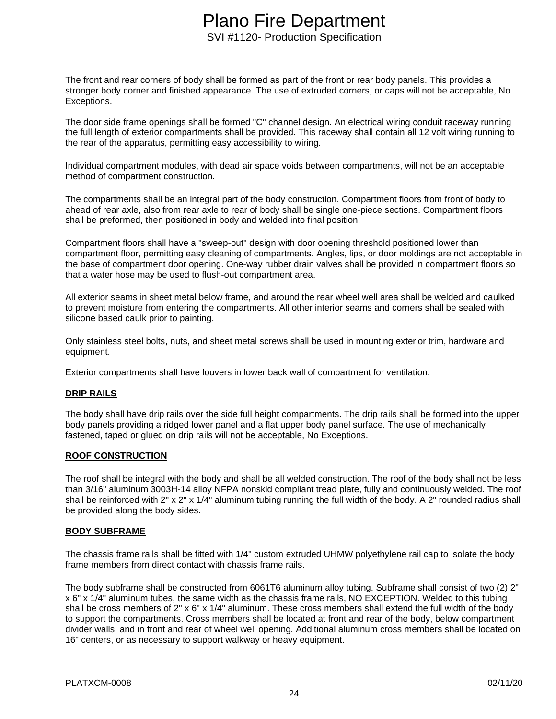The front and rear corners of body shall be formed as part of the front or rear body panels. This provides a stronger body corner and finished appearance. The use of extruded corners, or caps will not be acceptable, No Exceptions.

The door side frame openings shall be formed "C" channel design. An electrical wiring conduit raceway running the full length of exterior compartments shall be provided. This raceway shall contain all 12 volt wiring running to the rear of the apparatus, permitting easy accessibility to wiring.

Individual compartment modules, with dead air space voids between compartments, will not be an acceptable method of compartment construction.

The compartments shall be an integral part of the body construction. Compartment floors from front of body to ahead of rear axle, also from rear axle to rear of body shall be single one-piece sections. Compartment floors shall be preformed, then positioned in body and welded into final position.

Compartment floors shall have a "sweep-out" design with door opening threshold positioned lower than compartment floor, permitting easy cleaning of compartments. Angles, lips, or door moldings are not acceptable in the base of compartment door opening. One-way rubber drain valves shall be provided in compartment floors so that a water hose may be used to flush-out compartment area.

All exterior seams in sheet metal below frame, and around the rear wheel well area shall be welded and caulked to prevent moisture from entering the compartments. All other interior seams and corners shall be sealed with silicone based caulk prior to painting.

Only stainless steel bolts, nuts, and sheet metal screws shall be used in mounting exterior trim, hardware and equipment.

Exterior compartments shall have louvers in lower back wall of compartment for ventilation.

#### **DRIP RAILS**

The body shall have drip rails over the side full height compartments. The drip rails shall be formed into the upper body panels providing a ridged lower panel and a flat upper body panel surface. The use of mechanically fastened, taped or glued on drip rails will not be acceptable, No Exceptions.

#### **ROOF CONSTRUCTION**

The roof shall be integral with the body and shall be all welded construction. The roof of the body shall not be less than 3/16" aluminum 3003H-14 alloy NFPA nonskid compliant tread plate, fully and continuously welded. The roof shall be reinforced with 2" x 2" x 1/4" aluminum tubing running the full width of the body. A 2" rounded radius shall be provided along the body sides.

#### **BODY SUBFRAME**

The chassis frame rails shall be fitted with 1/4" custom extruded UHMW polyethylene rail cap to isolate the body frame members from direct contact with chassis frame rails.

The body subframe shall be constructed from 6061T6 aluminum alloy tubing. Subframe shall consist of two (2) 2" x 6" x 1/4" aluminum tubes, the same width as the chassis frame rails, NO EXCEPTION. Welded to this tubing shall be cross members of 2" x 6" x 1/4" aluminum. These cross members shall extend the full width of the body to support the compartments. Cross members shall be located at front and rear of the body, below compartment divider walls, and in front and rear of wheel well opening. Additional aluminum cross members shall be located on 16" centers, or as necessary to support walkway or heavy equipment.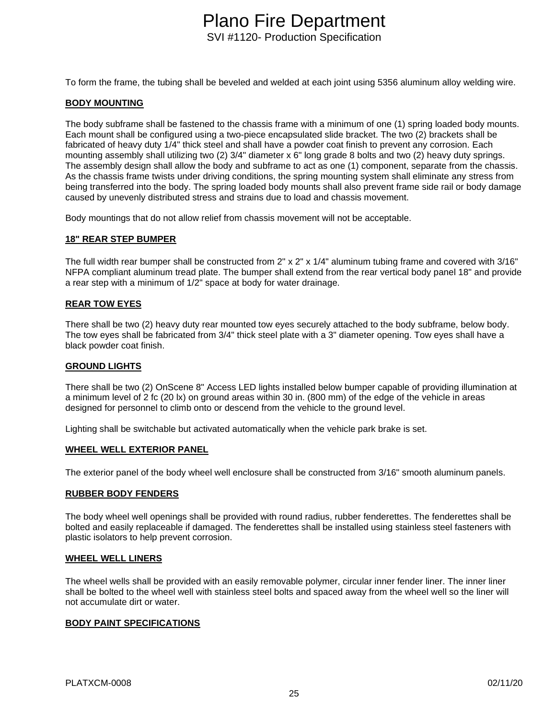To form the frame, the tubing shall be beveled and welded at each joint using 5356 aluminum alloy welding wire.

#### **BODY MOUNTING**

The body subframe shall be fastened to the chassis frame with a minimum of one (1) spring loaded body mounts. Each mount shall be configured using a two-piece encapsulated slide bracket. The two (2) brackets shall be fabricated of heavy duty 1/4" thick steel and shall have a powder coat finish to prevent any corrosion. Each mounting assembly shall utilizing two (2) 3/4" diameter x 6" long grade 8 bolts and two (2) heavy duty springs. The assembly design shall allow the body and subframe to act as one (1) component, separate from the chassis. As the chassis frame twists under driving conditions, the spring mounting system shall eliminate any stress from being transferred into the body. The spring loaded body mounts shall also prevent frame side rail or body damage caused by unevenly distributed stress and strains due to load and chassis movement.

Body mountings that do not allow relief from chassis movement will not be acceptable.

#### **18" REAR STEP BUMPER**

The full width rear bumper shall be constructed from 2" x 2" x 1/4" aluminum tubing frame and covered with 3/16" NFPA compliant aluminum tread plate. The bumper shall extend from the rear vertical body panel 18" and provide a rear step with a minimum of 1/2" space at body for water drainage.

#### **REAR TOW EYES**

There shall be two (2) heavy duty rear mounted tow eyes securely attached to the body subframe, below body. The tow eyes shall be fabricated from 3/4" thick steel plate with a 3" diameter opening. Tow eyes shall have a black powder coat finish.

#### **GROUND LIGHTS**

There shall be two (2) OnScene 8" Access LED lights installed below bumper capable of providing illumination at a minimum level of 2 fc (20 lx) on ground areas within 30 in. (800 mm) of the edge of the vehicle in areas designed for personnel to climb onto or descend from the vehicle to the ground level.

Lighting shall be switchable but activated automatically when the vehicle park brake is set.

#### **WHEEL WELL EXTERIOR PANEL**

The exterior panel of the body wheel well enclosure shall be constructed from 3/16" smooth aluminum panels.

#### **RUBBER BODY FENDERS**

The body wheel well openings shall be provided with round radius, rubber fenderettes. The fenderettes shall be bolted and easily replaceable if damaged. The fenderettes shall be installed using stainless steel fasteners with plastic isolators to help prevent corrosion.

#### **WHEEL WELL LINERS**

The wheel wells shall be provided with an easily removable polymer, circular inner fender liner. The inner liner shall be bolted to the wheel well with stainless steel bolts and spaced away from the wheel well so the liner will not accumulate dirt or water.

#### **BODY PAINT SPECIFICATIONS**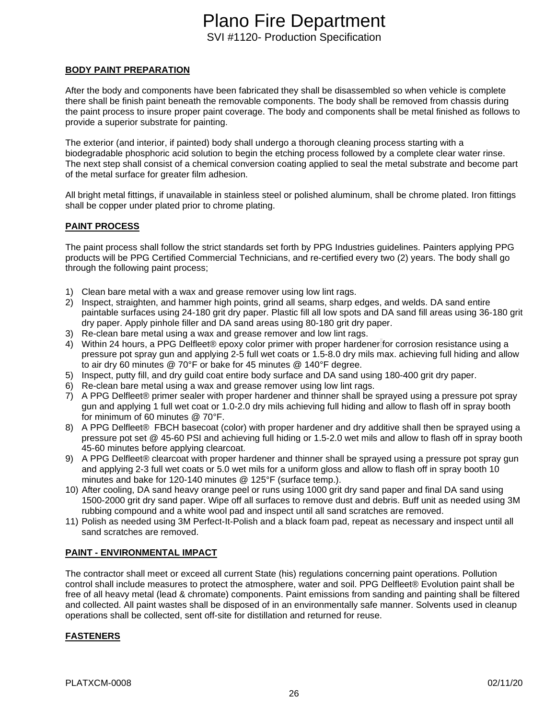#### **BODY PAINT PREPARATION**

After the body and components have been fabricated they shall be disassembled so when vehicle is complete there shall be finish paint beneath the removable components. The body shall be removed from chassis during the paint process to insure proper paint coverage. The body and components shall be metal finished as follows to provide a superior substrate for painting.

The exterior (and interior, if painted) body shall undergo a thorough cleaning process starting with a biodegradable phosphoric acid solution to begin the etching process followed by a complete clear water rinse. The next step shall consist of a chemical conversion coating applied to seal the metal substrate and become part of the metal surface for greater film adhesion.

All bright metal fittings, if unavailable in stainless steel or polished aluminum, shall be chrome plated. Iron fittings shall be copper under plated prior to chrome plating.

#### **PAINT PROCESS**

The paint process shall follow the strict standards set forth by PPG Industries guidelines. Painters applying PPG products will be PPG Certified Commercial Technicians, and re-certified every two (2) years. The body shall go through the following paint process;

- 1) Clean bare metal with a wax and grease remover using low lint rags.
- 2) Inspect, straighten, and hammer high points, grind all seams, sharp edges, and welds. DA sand entire paintable surfaces using 24-180 grit dry paper. Plastic fill all low spots and DA sand fill areas using 36-180 grit dry paper. Apply pinhole filler and DA sand areas using 80-180 grit dry paper.
- 3) Re-clean bare metal using a wax and grease remover and low lint rags.
- 4) Within 24 hours, a PPG Delfleet® epoxy color primer with proper hardener for corrosion resistance using a pressure pot spray gun and applying 2-5 full wet coats or 1.5-8.0 dry mils max. achieving full hiding and allow to air dry 60 minutes @ 70°F or bake for 45 minutes @ 140°F degree.
- 5) Inspect, putty fill, and dry guild coat entire body surface and DA sand using 180-400 grit dry paper.
- 6) Re-clean bare metal using a wax and grease remover using low lint rags.
- 7) A PPG Delfleet® primer sealer with proper hardener and thinner shall be sprayed using a pressure pot spray gun and applying 1 full wet coat or 1.0-2.0 dry mils achieving full hiding and allow to flash off in spray booth for minimum of 60 minutes @ 70°F.
- 8) A PPG Delfleet® FBCH basecoat (color) with proper hardener and dry additive shall then be sprayed using a pressure pot set @ 45-60 PSI and achieving full hiding or 1.5-2.0 wet mils and allow to flash off in spray booth 45-60 minutes before applying clearcoat.
- 9) A PPG Delfleet® clearcoat with proper hardener and thinner shall be sprayed using a pressure pot spray gun and applying 2-3 full wet coats or 5.0 wet mils for a uniform gloss and allow to flash off in spray booth 10 minutes and bake for 120-140 minutes @ 125°F (surface temp.).
- 10) After cooling, DA sand heavy orange peel or runs using 1000 grit dry sand paper and final DA sand using 1500-2000 grit dry sand paper. Wipe off all surfaces to remove dust and debris. Buff unit as needed using 3M rubbing compound and a white wool pad and inspect until all sand scratches are removed.
- 11) Polish as needed using 3M Perfect-It-Polish and a black foam pad, repeat as necessary and inspect until all sand scratches are removed.

#### **PAINT - ENVIRONMENTAL IMPACT**

The contractor shall meet or exceed all current State (his) regulations concerning paint operations. Pollution control shall include measures to protect the atmosphere, water and soil. PPG Delfleet® Evolution paint shall be free of all heavy metal (lead & chromate) components. Paint emissions from sanding and painting shall be filtered and collected. All paint wastes shall be disposed of in an environmentally safe manner. Solvents used in cleanup operations shall be collected, sent off-site for distillation and returned for reuse.

#### **FASTENERS**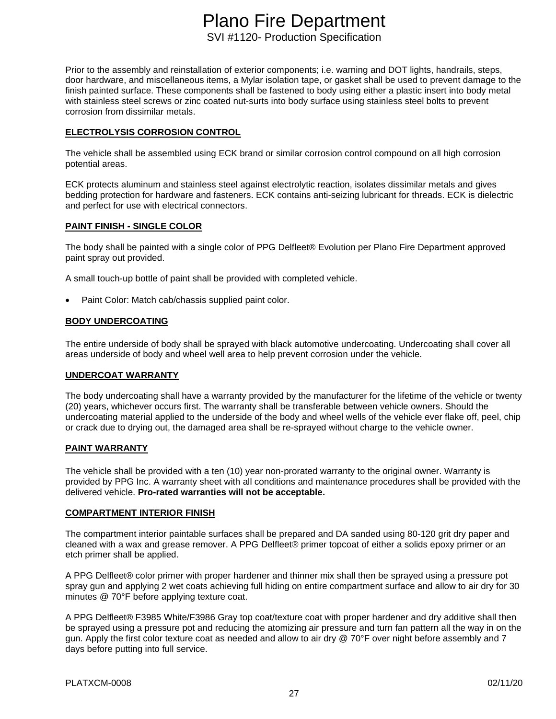Prior to the assembly and reinstallation of exterior components; i.e. warning and DOT lights, handrails, steps, door hardware, and miscellaneous items, a Mylar isolation tape, or gasket shall be used to prevent damage to the finish painted surface. These components shall be fastened to body using either a plastic insert into body metal with stainless steel screws or zinc coated nut-surts into body surface using stainless steel bolts to prevent corrosion from dissimilar metals.

#### **ELECTROLYSIS CORROSION CONTROL**

The vehicle shall be assembled using ECK brand or similar corrosion control compound on all high corrosion potential areas.

ECK protects aluminum and stainless steel against electrolytic reaction, isolates dissimilar metals and gives bedding protection for hardware and fasteners. ECK contains anti-seizing lubricant for threads. ECK is dielectric and perfect for use with electrical connectors.

#### **PAINT FINISH - SINGLE COLOR**

The body shall be painted with a single color of PPG Delfleet® Evolution per Plano Fire Department approved paint spray out provided.

A small touch-up bottle of paint shall be provided with completed vehicle.

Paint Color: Match cab/chassis supplied paint color.

#### **BODY UNDERCOATING**

The entire underside of body shall be sprayed with black automotive undercoating. Undercoating shall cover all areas underside of body and wheel well area to help prevent corrosion under the vehicle.

#### **UNDERCOAT WARRANTY**

The body undercoating shall have a warranty provided by the manufacturer for the lifetime of the vehicle or twenty (20) years, whichever occurs first. The warranty shall be transferable between vehicle owners. Should the undercoating material applied to the underside of the body and wheel wells of the vehicle ever flake off, peel, chip or crack due to drying out, the damaged area shall be re-sprayed without charge to the vehicle owner.

#### **PAINT WARRANTY**

The vehicle shall be provided with a ten (10) year non-prorated warranty to the original owner. Warranty is provided by PPG Inc. A warranty sheet with all conditions and maintenance procedures shall be provided with the delivered vehicle. **Pro-rated warranties will not be acceptable.**

#### **COMPARTMENT INTERIOR FINISH**

The compartment interior paintable surfaces shall be prepared and DA sanded using 80-120 grit dry paper and cleaned with a wax and grease remover. A PPG Delfleet® primer topcoat of either a solids epoxy primer or an etch primer shall be applied.

A PPG Delfleet® color primer with proper hardener and thinner mix shall then be sprayed using a pressure pot spray gun and applying 2 wet coats achieving full hiding on entire compartment surface and allow to air dry for 30 minutes @ 70°F before applying texture coat.

A PPG Delfleet® F3985 White/F3986 Gray top coat/texture coat with proper hardener and dry additive shall then be sprayed using a pressure pot and reducing the atomizing air pressure and turn fan pattern all the way in on the gun. Apply the first color texture coat as needed and allow to air dry @ 70°F over night before assembly and 7 days before putting into full service.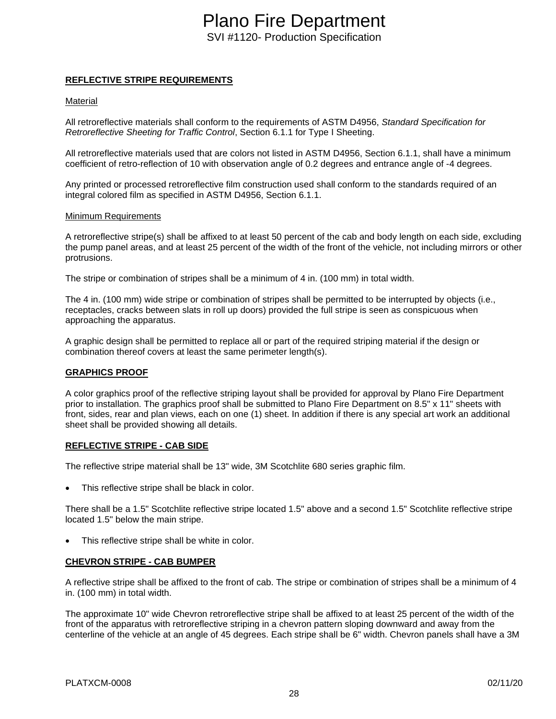#### **REFLECTIVE STRIPE REQUIREMENTS**

#### Material

All retroreflective materials shall conform to the requirements of ASTM D4956, *Standard Specification for Retroreflective Sheeting for Traffic Control*, Section 6.1.1 for Type I Sheeting.

All retroreflective materials used that are colors not listed in ASTM D4956, Section 6.1.1, shall have a minimum coefficient of retro-reflection of 10 with observation angle of 0.2 degrees and entrance angle of -4 degrees.

Any printed or processed retroreflective film construction used shall conform to the standards required of an integral colored film as specified in ASTM D4956, Section 6.1.1.

#### Minimum Requirements

A retroreflective stripe(s) shall be affixed to at least 50 percent of the cab and body length on each side, excluding the pump panel areas, and at least 25 percent of the width of the front of the vehicle, not including mirrors or other protrusions.

The stripe or combination of stripes shall be a minimum of 4 in. (100 mm) in total width.

The 4 in. (100 mm) wide stripe or combination of stripes shall be permitted to be interrupted by objects (i.e., receptacles, cracks between slats in roll up doors) provided the full stripe is seen as conspicuous when approaching the apparatus.

A graphic design shall be permitted to replace all or part of the required striping material if the design or combination thereof covers at least the same perimeter length(s).

#### **GRAPHICS PROOF**

A color graphics proof of the reflective striping layout shall be provided for approval by Plano Fire Department prior to installation. The graphics proof shall be submitted to Plano Fire Department on 8.5" x 11" sheets with front, sides, rear and plan views, each on one (1) sheet. In addition if there is any special art work an additional sheet shall be provided showing all details.

#### **REFLECTIVE STRIPE - CAB SIDE**

The reflective stripe material shall be 13" wide, 3M Scotchlite 680 series graphic film.

This reflective stripe shall be black in color.

There shall be a 1.5" Scotchlite reflective stripe located 1.5" above and a second 1.5" Scotchlite reflective stripe located 1.5" below the main stripe.

This reflective stripe shall be white in color.

#### **CHEVRON STRIPE - CAB BUMPER**

A reflective stripe shall be affixed to the front of cab. The stripe or combination of stripes shall be a minimum of 4 in. (100 mm) in total width.

The approximate 10" wide Chevron retroreflective stripe shall be affixed to at least 25 percent of the width of the front of the apparatus with retroreflective striping in a chevron pattern sloping downward and away from the centerline of the vehicle at an angle of 45 degrees. Each stripe shall be 6" width. Chevron panels shall have a 3M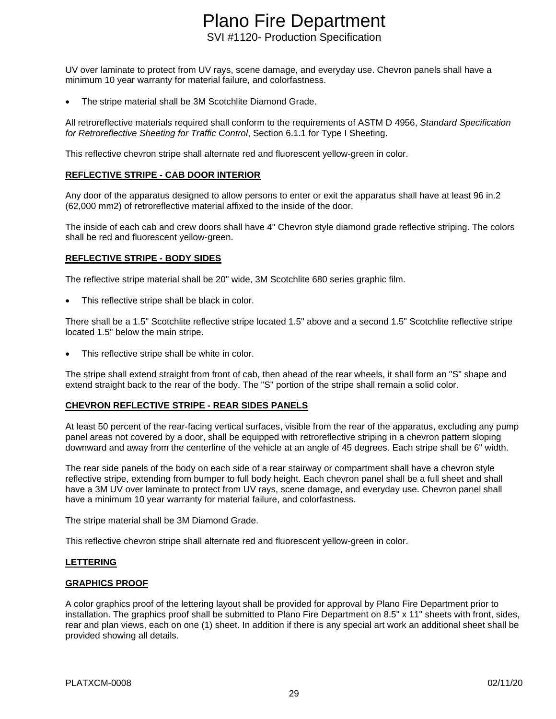UV over laminate to protect from UV rays, scene damage, and everyday use. Chevron panels shall have a minimum 10 year warranty for material failure, and colorfastness.

• The stripe material shall be 3M Scotchlite Diamond Grade.

All retroreflective materials required shall conform to the requirements of ASTM D 4956, *Standard Specification for Retroreflective Sheeting for Traffic Control*, Section 6.1.1 for Type I Sheeting.

This reflective chevron stripe shall alternate red and fluorescent yellow-green in color.

#### **REFLECTIVE STRIPE - CAB DOOR INTERIOR**

Any door of the apparatus designed to allow persons to enter or exit the apparatus shall have at least 96 in.2 (62,000 mm2) of retroreflective material affixed to the inside of the door.

The inside of each cab and crew doors shall have 4" Chevron style diamond grade reflective striping. The colors shall be red and fluorescent yellow-green.

#### **REFLECTIVE STRIPE - BODY SIDES**

The reflective stripe material shall be 20" wide, 3M Scotchlite 680 series graphic film.

This reflective stripe shall be black in color.

There shall be a 1.5" Scotchlite reflective stripe located 1.5" above and a second 1.5" Scotchlite reflective stripe located 1.5" below the main stripe.

This reflective stripe shall be white in color.

The stripe shall extend straight from front of cab, then ahead of the rear wheels, it shall form an "S" shape and extend straight back to the rear of the body. The "S" portion of the stripe shall remain a solid color.

#### **CHEVRON REFLECTIVE STRIPE - REAR SIDES PANELS**

At least 50 percent of the rear-facing vertical surfaces, visible from the rear of the apparatus, excluding any pump panel areas not covered by a door, shall be equipped with retroreflective striping in a chevron pattern sloping downward and away from the centerline of the vehicle at an angle of 45 degrees. Each stripe shall be 6" width.

The rear side panels of the body on each side of a rear stairway or compartment shall have a chevron style reflective stripe, extending from bumper to full body height. Each chevron panel shall be a full sheet and shall have a 3M UV over laminate to protect from UV rays, scene damage, and everyday use. Chevron panel shall have a minimum 10 year warranty for material failure, and colorfastness.

The stripe material shall be 3M Diamond Grade.

This reflective chevron stripe shall alternate red and fluorescent yellow-green in color.

#### **LETTERING**

#### **GRAPHICS PROOF**

A color graphics proof of the lettering layout shall be provided for approval by Plano Fire Department prior to installation. The graphics proof shall be submitted to Plano Fire Department on 8.5" x 11" sheets with front, sides, rear and plan views, each on one (1) sheet. In addition if there is any special art work an additional sheet shall be provided showing all details.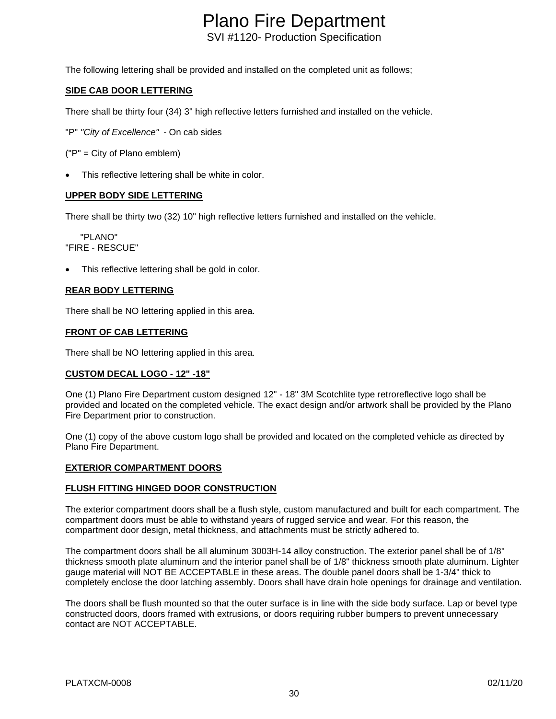The following lettering shall be provided and installed on the completed unit as follows;

#### **SIDE CAB DOOR LETTERING**

There shall be thirty four (34) 3" high reflective letters furnished and installed on the vehicle.

"P" *"City of Excellence" -* On cab sides

("P" = City of Plano emblem)

This reflective lettering shall be white in color.

#### **UPPER BODY SIDE LETTERING**

There shall be thirty two (32) 10" high reflective letters furnished and installed on the vehicle.

 "PLANO" "FIRE - RESCUE"

This reflective lettering shall be gold in color.

#### **REAR BODY LETTERING**

There shall be NO lettering applied in this area.

#### **FRONT OF CAB LETTERING**

There shall be NO lettering applied in this area.

#### **CUSTOM DECAL LOGO - 12" -18"**

One (1) Plano Fire Department custom designed 12" - 18" 3M Scotchlite type retroreflective logo shall be provided and located on the completed vehicle. The exact design and/or artwork shall be provided by the Plano Fire Department prior to construction.

One (1) copy of the above custom logo shall be provided and located on the completed vehicle as directed by Plano Fire Department.

#### **EXTERIOR COMPARTMENT DOORS**

#### **FLUSH FITTING HINGED DOOR CONSTRUCTION**

The exterior compartment doors shall be a flush style, custom manufactured and built for each compartment. The compartment doors must be able to withstand years of rugged service and wear. For this reason, the compartment door design, metal thickness, and attachments must be strictly adhered to.

The compartment doors shall be all aluminum 3003H-14 alloy construction. The exterior panel shall be of 1/8" thickness smooth plate aluminum and the interior panel shall be of 1/8" thickness smooth plate aluminum. Lighter gauge material will NOT BE ACCEPTABLE in these areas. The double panel doors shall be 1-3/4" thick to completely enclose the door latching assembly. Doors shall have drain hole openings for drainage and ventilation.

The doors shall be flush mounted so that the outer surface is in line with the side body surface. Lap or bevel type constructed doors, doors framed with extrusions, or doors requiring rubber bumpers to prevent unnecessary contact are NOT ACCEPTABLE.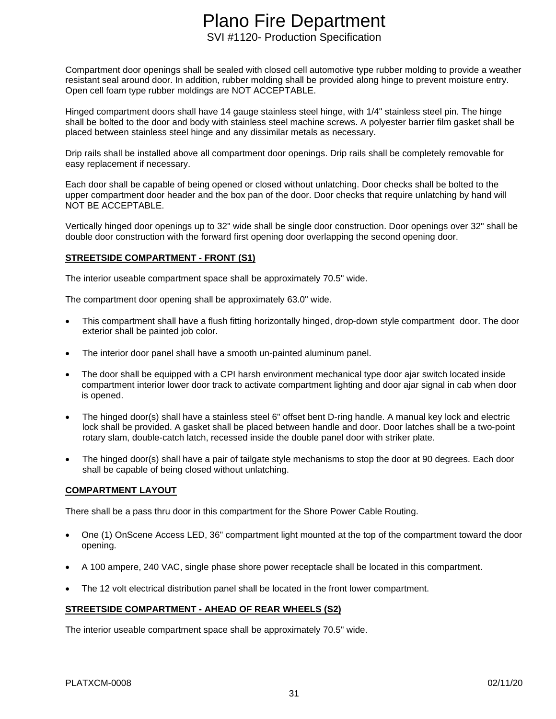Compartment door openings shall be sealed with closed cell automotive type rubber molding to provide a weather resistant seal around door. In addition, rubber molding shall be provided along hinge to prevent moisture entry. Open cell foam type rubber moldings are NOT ACCEPTABLE.

Hinged compartment doors shall have 14 gauge stainless steel hinge, with 1/4" stainless steel pin. The hinge shall be bolted to the door and body with stainless steel machine screws. A polyester barrier film gasket shall be placed between stainless steel hinge and any dissimilar metals as necessary.

Drip rails shall be installed above all compartment door openings. Drip rails shall be completely removable for easy replacement if necessary.

Each door shall be capable of being opened or closed without unlatching. Door checks shall be bolted to the upper compartment door header and the box pan of the door. Door checks that require unlatching by hand will NOT BE ACCEPTABLE.

Vertically hinged door openings up to 32" wide shall be single door construction. Door openings over 32" shall be double door construction with the forward first opening door overlapping the second opening door.

#### **STREETSIDE COMPARTMENT - FRONT (S1)**

The interior useable compartment space shall be approximately 70.5" wide.

The compartment door opening shall be approximately 63.0" wide.

- This compartment shall have a flush fitting horizontally hinged, drop-down style compartment door. The door exterior shall be painted job color.
- The interior door panel shall have a smooth un-painted aluminum panel.
- The door shall be equipped with a CPI harsh environment mechanical type door ajar switch located inside compartment interior lower door track to activate compartment lighting and door ajar signal in cab when door is opened.
- The hinged door(s) shall have a stainless steel 6" offset bent D-ring handle. A manual key lock and electric lock shall be provided. A gasket shall be placed between handle and door. Door latches shall be a two-point rotary slam, double-catch latch, recessed inside the double panel door with striker plate.
- The hinged door(s) shall have a pair of tailgate style mechanisms to stop the door at 90 degrees. Each door shall be capable of being closed without unlatching.

#### **COMPARTMENT LAYOUT**

There shall be a pass thru door in this compartment for the Shore Power Cable Routing.

- One (1) OnScene Access LED, 36" compartment light mounted at the top of the compartment toward the door opening.
- A 100 ampere, 240 VAC, single phase shore power receptacle shall be located in this compartment.
- The 12 volt electrical distribution panel shall be located in the front lower compartment.

#### **STREETSIDE COMPARTMENT - AHEAD OF REAR WHEELS (S2)**

The interior useable compartment space shall be approximately 70.5" wide.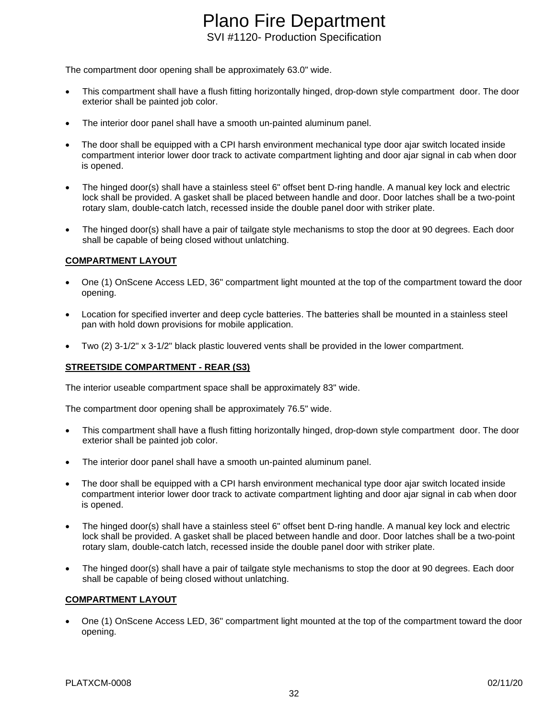The compartment door opening shall be approximately 63.0" wide.

- This compartment shall have a flush fitting horizontally hinged, drop-down style compartment door. The door exterior shall be painted job color.
- The interior door panel shall have a smooth un-painted aluminum panel.
- The door shall be equipped with a CPI harsh environment mechanical type door ajar switch located inside compartment interior lower door track to activate compartment lighting and door ajar signal in cab when door is opened.
- The hinged door(s) shall have a stainless steel 6" offset bent D-ring handle. A manual key lock and electric lock shall be provided. A gasket shall be placed between handle and door. Door latches shall be a two-point rotary slam, double-catch latch, recessed inside the double panel door with striker plate.
- The hinged door(s) shall have a pair of tailgate style mechanisms to stop the door at 90 degrees. Each door shall be capable of being closed without unlatching.

#### **COMPARTMENT LAYOUT**

- One (1) OnScene Access LED, 36" compartment light mounted at the top of the compartment toward the door opening.
- Location for specified inverter and deep cycle batteries. The batteries shall be mounted in a stainless steel pan with hold down provisions for mobile application.
- Two (2) 3-1/2" x 3-1/2" black plastic louvered vents shall be provided in the lower compartment.

#### **STREETSIDE COMPARTMENT - REAR (S3)**

The interior useable compartment space shall be approximately 83" wide.

The compartment door opening shall be approximately 76.5" wide.

- This compartment shall have a flush fitting horizontally hinged, drop-down style compartment door. The door exterior shall be painted job color.
- The interior door panel shall have a smooth un-painted aluminum panel.
- The door shall be equipped with a CPI harsh environment mechanical type door ajar switch located inside compartment interior lower door track to activate compartment lighting and door ajar signal in cab when door is opened.
- The hinged door(s) shall have a stainless steel 6" offset bent D-ring handle. A manual key lock and electric lock shall be provided. A gasket shall be placed between handle and door. Door latches shall be a two-point rotary slam, double-catch latch, recessed inside the double panel door with striker plate.
- The hinged door(s) shall have a pair of tailgate style mechanisms to stop the door at 90 degrees. Each door shall be capable of being closed without unlatching.

#### **COMPARTMENT LAYOUT**

• One (1) OnScene Access LED, 36" compartment light mounted at the top of the compartment toward the door opening.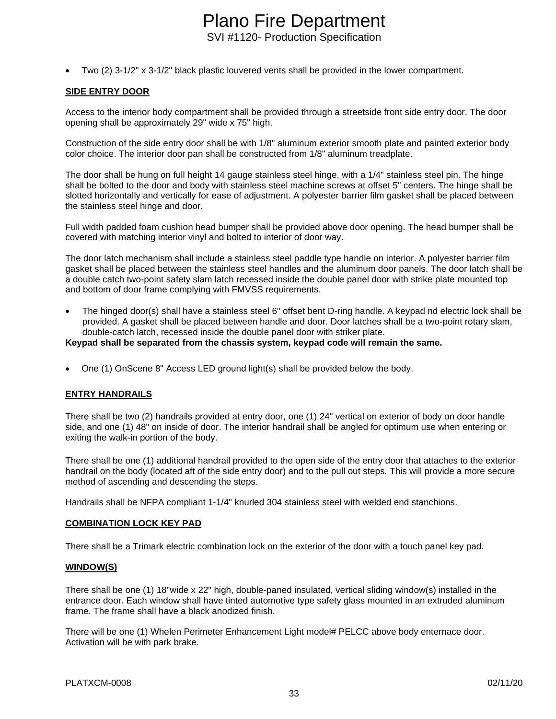• Two (2) 3-1/2" x 3-1/2" black plastic louvered vents shall be provided in the lower compartment.

#### **SIDE ENTRY DOOR**

Access to the interior body compartment shall be provided through a streetside front side entry door. The door opening shall be approximately 29" wide x 75" high.

Construction of the side entry door shall be with 1/8" aluminum exterior smooth plate and painted exterior body color choice. The interior door pan shall be constructed from 1/8" aluminum treadplate.

The door shall be hung on full height 14 gauge stainless steel hinge, with a 1/4" stainless steel pin. The hinge shall be bolted to the door and body with stainless steel machine screws at offset 5" centers. The hinge shall be slotted horizontally and vertically for ease of adjustment. A polyester barrier film gasket shall be placed between the stainless steel hinge and door.

Full width padded foam cushion head bumper shall be provided above door opening. The head bumper shall be covered with matching interior vinyl and bolted to interior of door way.

The door latch mechanism shall include a stainless steel paddle type handle on interior. A polyester barrier film gasket shall be placed between the stainless steel handles and the aluminum door panels. The door latch shall be a double catch two-point safety slam latch recessed inside the double panel door with strike plate mounted top and bottom of door frame complying with FMVSS requirements.

• The hinged door(s) shall have a stainless steel 6" offset bent D-ring handle. A keypad nd electric lock shall be provided. A gasket shall be placed between handle and door. Door latches shall be a two-point rotary slam, double-catch latch, recessed inside the double panel door with striker plate.

#### **Keypad shall be separated from the chassis system, keypad code will remain the same.**

• One (1) OnScene 8" Access LED ground light(s) shall be provided below the body.

#### **ENTRY HANDRAILS**

There shall be two (2) handrails provided at entry door, one (1) 24" vertical on exterior of body on door handle side, and one (1) 48" on inside of door. The interior handrail shall be angled for optimum use when entering or exiting the walk-in portion of the body.

There shall be one (1) additional handrail provided to the open side of the entry door that attaches to the exterior handrail on the body (located aft of the side entry door) and to the pull out steps. This will provide a more secure method of ascending and descending the steps.

Handrails shall be NFPA compliant 1-1/4" knurled 304 stainless steel with welded end stanchions.

#### **COMBINATION LOCK KEY PAD**

There shall be a Trimark electric combination lock on the exterior of the door with a touch panel key pad.

#### **WINDOW(S)**

There shall be one (1) 18"wide x 22" high, double-paned insulated, vertical sliding window(s) installed in the entrance door. Each window shall have tinted automotive type safety glass mounted in an extruded aluminum frame. The frame shall have a black anodized finish.

There will be one (1) Whelen Perimeter Enhancement Light model# PELCC above body enternace door. Activation will be with park brake.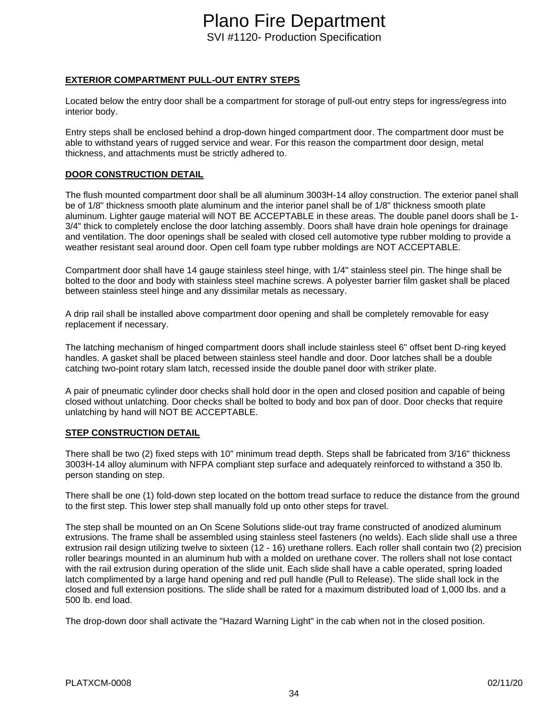#### **EXTERIOR COMPARTMENT PULL-OUT ENTRY STEPS**

Located below the entry door shall be a compartment for storage of pull-out entry steps for ingress/egress into interior body.

Entry steps shall be enclosed behind a drop-down hinged compartment door. The compartment door must be able to withstand years of rugged service and wear. For this reason the compartment door design, metal thickness, and attachments must be strictly adhered to.

#### **DOOR CONSTRUCTION DETAIL**

The flush mounted compartment door shall be all aluminum 3003H-14 alloy construction. The exterior panel shall be of 1/8" thickness smooth plate aluminum and the interior panel shall be of 1/8" thickness smooth plate aluminum. Lighter gauge material will NOT BE ACCEPTABLE in these areas. The double panel doors shall be 1- 3/4" thick to completely enclose the door latching assembly. Doors shall have drain hole openings for drainage and ventilation. The door openings shall be sealed with closed cell automotive type rubber molding to provide a weather resistant seal around door. Open cell foam type rubber moldings are NOT ACCEPTABLE.

Compartment door shall have 14 gauge stainless steel hinge, with 1/4" stainless steel pin. The hinge shall be bolted to the door and body with stainless steel machine screws. A polyester barrier film gasket shall be placed between stainless steel hinge and any dissimilar metals as necessary.

A drip rail shall be installed above compartment door opening and shall be completely removable for easy replacement if necessary.

The latching mechanism of hinged compartment doors shall include stainless steel 6" offset bent D-ring keyed handles. A gasket shall be placed between stainless steel handle and door. Door latches shall be a double catching two-point rotary slam latch, recessed inside the double panel door with striker plate.

A pair of pneumatic cylinder door checks shall hold door in the open and closed position and capable of being closed without unlatching. Door checks shall be bolted to body and box pan of door. Door checks that require unlatching by hand will NOT BE ACCEPTABLE.

#### **STEP CONSTRUCTION DETAIL**

There shall be two (2) fixed steps with 10" minimum tread depth. Steps shall be fabricated from 3/16" thickness 3003H-14 alloy aluminum with NFPA compliant step surface and adequately reinforced to withstand a 350 lb. person standing on step.

There shall be one (1) fold-down step located on the bottom tread surface to reduce the distance from the ground to the first step. This lower step shall manually fold up onto other steps for travel.

The step shall be mounted on an On Scene Solutions slide-out tray frame constructed of anodized aluminum extrusions. The frame shall be assembled using stainless steel fasteners (no welds). Each slide shall use a three extrusion rail design utilizing twelve to sixteen (12 - 16) urethane rollers. Each roller shall contain two (2) precision roller bearings mounted in an aluminum hub with a molded on urethane cover. The rollers shall not lose contact with the rail extrusion during operation of the slide unit. Each slide shall have a cable operated, spring loaded latch complimented by a large hand opening and red pull handle (Pull to Release). The slide shall lock in the closed and full extension positions. The slide shall be rated for a maximum distributed load of 1,000 lbs. and a 500 lb. end load.

The drop-down door shall activate the "Hazard Warning Light" in the cab when not in the closed position.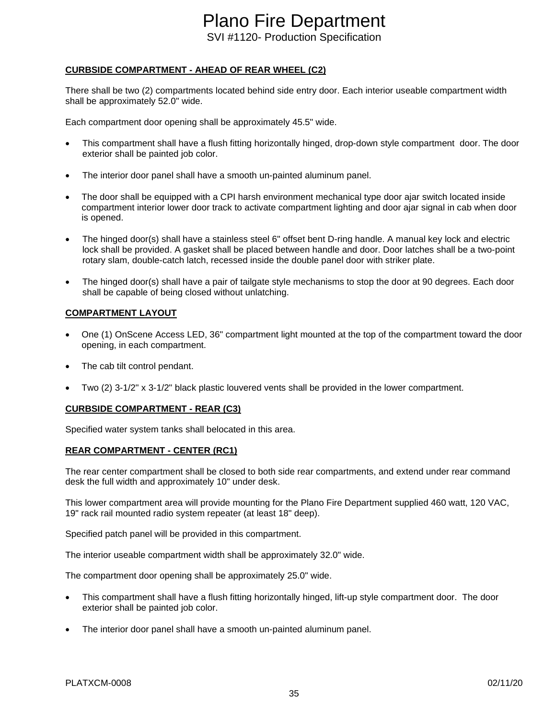# Plano Fire Department

SVI #1120- Production Specification

#### **CURBSIDE COMPARTMENT - AHEAD OF REAR WHEEL (C2)**

There shall be two (2) compartments located behind side entry door. Each interior useable compartment width shall be approximately 52.0" wide.

Each compartment door opening shall be approximately 45.5" wide.

- This compartment shall have a flush fitting horizontally hinged, drop-down style compartment door. The door exterior shall be painted job color.
- The interior door panel shall have a smooth un-painted aluminum panel.
- The door shall be equipped with a CPI harsh environment mechanical type door ajar switch located inside compartment interior lower door track to activate compartment lighting and door ajar signal in cab when door is opened.
- The hinged door(s) shall have a stainless steel 6" offset bent D-ring handle. A manual key lock and electric lock shall be provided. A gasket shall be placed between handle and door. Door latches shall be a two-point rotary slam, double-catch latch, recessed inside the double panel door with striker plate.
- The hinged door(s) shall have a pair of tailgate style mechanisms to stop the door at 90 degrees. Each door shall be capable of being closed without unlatching.

#### **COMPARTMENT LAYOUT**

- One (1) OnScene Access LED, 36" compartment light mounted at the top of the compartment toward the door opening, in each compartment.
- The cab tilt control pendant.
- Two (2) 3-1/2" x 3-1/2" black plastic louvered vents shall be provided in the lower compartment.

#### **CURBSIDE COMPARTMENT - REAR (C3)**

Specified water system tanks shall belocated in this area.

#### **REAR COMPARTMENT - CENTER (RC1)**

The rear center compartment shall be closed to both side rear compartments, and extend under rear command desk the full width and approximately 10" under desk.

This lower compartment area will provide mounting for the Plano Fire Department supplied 460 watt, 120 VAC, 19" rack rail mounted radio system repeater (at least 18" deep).

Specified patch panel will be provided in this compartment.

The interior useable compartment width shall be approximately 32.0" wide.

The compartment door opening shall be approximately 25.0" wide.

- This compartment shall have a flush fitting horizontally hinged, lift-up style compartment door. The door exterior shall be painted job color.
- The interior door panel shall have a smooth un-painted aluminum panel.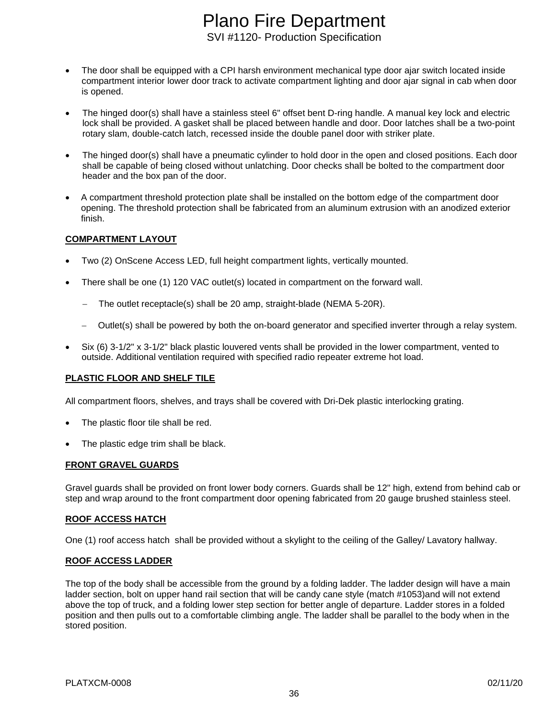- The door shall be equipped with a CPI harsh environment mechanical type door ajar switch located inside compartment interior lower door track to activate compartment lighting and door ajar signal in cab when door is opened.
- The hinged door(s) shall have a stainless steel 6" offset bent D-ring handle. A manual key lock and electric lock shall be provided. A gasket shall be placed between handle and door. Door latches shall be a two-point rotary slam, double-catch latch, recessed inside the double panel door with striker plate.
- The hinged door(s) shall have a pneumatic cylinder to hold door in the open and closed positions. Each door shall be capable of being closed without unlatching. Door checks shall be bolted to the compartment door header and the box pan of the door.
- A compartment threshold protection plate shall be installed on the bottom edge of the compartment door opening. The threshold protection shall be fabricated from an aluminum extrusion with an anodized exterior finish.

#### **COMPARTMENT LAYOUT**

- Two (2) OnScene Access LED, full height compartment lights, vertically mounted.
- There shall be one (1) 120 VAC outlet(s) located in compartment on the forward wall.
	- − The outlet receptacle(s) shall be 20 amp, straight-blade (NEMA 5-20R).
	- Outlet(s) shall be powered by both the on-board generator and specified inverter through a relay system.
- Six (6) 3-1/2" x 3-1/2" black plastic louvered vents shall be provided in the lower compartment, vented to outside. Additional ventilation required with specified radio repeater extreme hot load.

#### **PLASTIC FLOOR AND SHELF TILE**

All compartment floors, shelves, and trays shall be covered with Dri-Dek plastic interlocking grating.

- The plastic floor tile shall be red.
- The plastic edge trim shall be black.

#### **FRONT GRAVEL GUARDS**

Gravel guards shall be provided on front lower body corners. Guards shall be 12" high, extend from behind cab or step and wrap around to the front compartment door opening fabricated from 20 gauge brushed stainless steel.

#### **ROOF ACCESS HATCH**

One (1) roof access hatch shall be provided without a skylight to the ceiling of the Galley/ Lavatory hallway.

#### **ROOF ACCESS LADDER**

The top of the body shall be accessible from the ground by a folding ladder. The ladder design will have a main ladder section, bolt on upper hand rail section that will be candy cane style (match #1053)and will not extend above the top of truck, and a folding lower step section for better angle of departure. Ladder stores in a folded position and then pulls out to a comfortable climbing angle. The ladder shall be parallel to the body when in the stored position.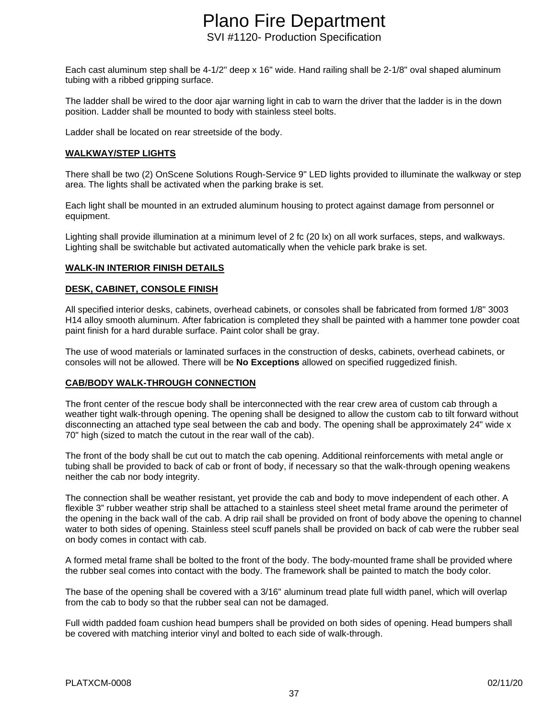Each cast aluminum step shall be 4-1/2" deep x 16" wide. Hand railing shall be 2-1/8" oval shaped aluminum tubing with a ribbed gripping surface.

The ladder shall be wired to the door ajar warning light in cab to warn the driver that the ladder is in the down position. Ladder shall be mounted to body with stainless steel bolts.

Ladder shall be located on rear streetside of the body.

### **WALKWAY/STEP LIGHTS**

There shall be two (2) OnScene Solutions Rough-Service 9" LED lights provided to illuminate the walkway or step area. The lights shall be activated when the parking brake is set.

Each light shall be mounted in an extruded aluminum housing to protect against damage from personnel or equipment.

Lighting shall provide illumination at a minimum level of 2 fc (20 lx) on all work surfaces, steps, and walkways. Lighting shall be switchable but activated automatically when the vehicle park brake is set.

### **WALK-IN INTERIOR FINISH DETAILS**

### **DESK, CABINET, CONSOLE FINISH**

All specified interior desks, cabinets, overhead cabinets, or consoles shall be fabricated from formed 1/8" 3003 H14 alloy smooth aluminum. After fabrication is completed they shall be painted with a hammer tone powder coat paint finish for a hard durable surface. Paint color shall be gray.

The use of wood materials or laminated surfaces in the construction of desks, cabinets, overhead cabinets, or consoles will not be allowed. There will be **No Exceptions** allowed on specified ruggedized finish.

### **CAB/BODY WALK-THROUGH CONNECTION**

The front center of the rescue body shall be interconnected with the rear crew area of custom cab through a weather tight walk-through opening. The opening shall be designed to allow the custom cab to tilt forward without disconnecting an attached type seal between the cab and body. The opening shall be approximately 24" wide x 70" high (sized to match the cutout in the rear wall of the cab).

The front of the body shall be cut out to match the cab opening. Additional reinforcements with metal angle or tubing shall be provided to back of cab or front of body, if necessary so that the walk-through opening weakens neither the cab nor body integrity.

The connection shall be weather resistant, yet provide the cab and body to move independent of each other. A flexible 3" rubber weather strip shall be attached to a stainless steel sheet metal frame around the perimeter of the opening in the back wall of the cab. A drip rail shall be provided on front of body above the opening to channel water to both sides of opening. Stainless steel scuff panels shall be provided on back of cab were the rubber seal on body comes in contact with cab.

A formed metal frame shall be bolted to the front of the body. The body-mounted frame shall be provided where the rubber seal comes into contact with the body. The framework shall be painted to match the body color.

The base of the opening shall be covered with a 3/16" aluminum tread plate full width panel, which will overlap from the cab to body so that the rubber seal can not be damaged.

Full width padded foam cushion head bumpers shall be provided on both sides of opening. Head bumpers shall be covered with matching interior vinyl and bolted to each side of walk-through.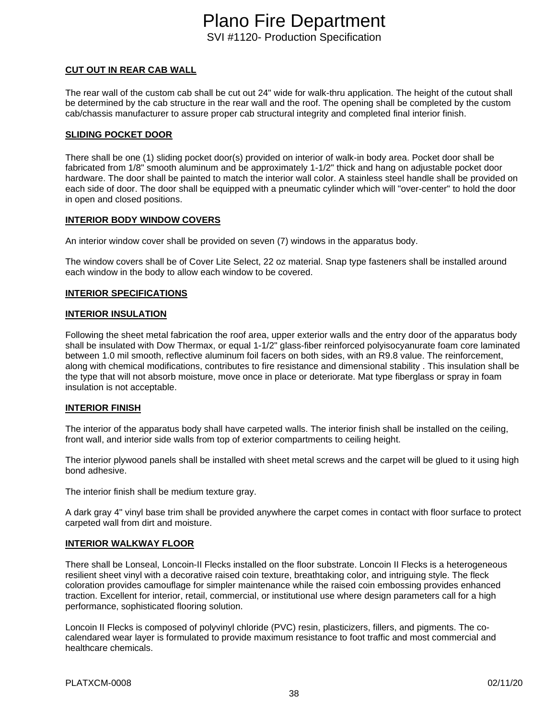# **CUT OUT IN REAR CAB WALL**

The rear wall of the custom cab shall be cut out 24" wide for walk-thru application. The height of the cutout shall be determined by the cab structure in the rear wall and the roof. The opening shall be completed by the custom cab/chassis manufacturer to assure proper cab structural integrity and completed final interior finish.

## **SLIDING POCKET DOOR**

There shall be one (1) sliding pocket door(s) provided on interior of walk-in body area. Pocket door shall be fabricated from 1/8" smooth aluminum and be approximately 1-1/2" thick and hang on adjustable pocket door hardware. The door shall be painted to match the interior wall color. A stainless steel handle shall be provided on each side of door. The door shall be equipped with a pneumatic cylinder which will "over-center" to hold the door in open and closed positions.

### **INTERIOR BODY WINDOW COVERS**

An interior window cover shall be provided on seven (7) windows in the apparatus body.

The window covers shall be of Cover Lite Select, 22 oz material. Snap type fasteners shall be installed around each window in the body to allow each window to be covered.

### **INTERIOR SPECIFICATIONS**

### **INTERIOR INSULATION**

Following the sheet metal fabrication the roof area, upper exterior walls and the entry door of the apparatus body shall be insulated with Dow Thermax, or equal 1-1/2" glass-fiber reinforced polyisocyanurate foam core laminated between 1.0 mil smooth, reflective aluminum foil facers on both sides, with an R9.8 value. The reinforcement, along with chemical modifications, contributes to fire resistance and dimensional stability . This insulation shall be the type that will not absorb moisture, move once in place or deteriorate. Mat type fiberglass or spray in foam insulation is not acceptable.

### **INTERIOR FINISH**

The interior of the apparatus body shall have carpeted walls. The interior finish shall be installed on the ceiling, front wall, and interior side walls from top of exterior compartments to ceiling height.

The interior plywood panels shall be installed with sheet metal screws and the carpet will be glued to it using high bond adhesive.

The interior finish shall be medium texture gray.

A dark gray 4" vinyl base trim shall be provided anywhere the carpet comes in contact with floor surface to protect carpeted wall from dirt and moisture.

# **INTERIOR WALKWAY FLOOR**

There shall be Lonseal, Loncoin-II Flecks installed on the floor substrate. Loncoin II Flecks is a heterogeneous resilient sheet vinyl with a decorative raised coin texture, breathtaking color, and intriguing style. The fleck coloration provides camouflage for simpler maintenance while the raised coin embossing provides enhanced traction. Excellent for interior, retail, commercial, or institutional use where design parameters call for a high performance, sophisticated flooring solution.

Loncoin II Flecks is composed of polyvinyl chloride (PVC) resin, plasticizers, fillers, and pigments. The cocalendared wear layer is formulated to provide maximum resistance to foot traffic and most commercial and healthcare chemicals.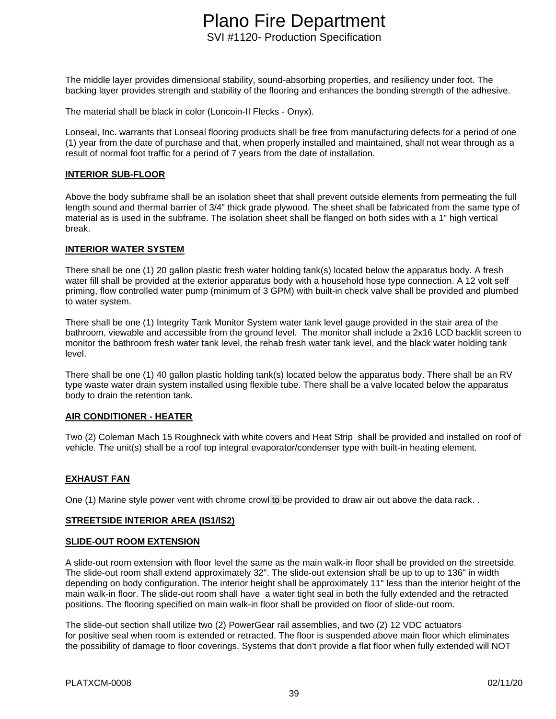The middle layer provides dimensional stability, sound-absorbing properties, and resiliency under foot. The backing layer provides strength and stability of the flooring and enhances the bonding strength of the adhesive.

The material shall be black in color (Loncoin-II Flecks - Onyx).

Lonseal, Inc. warrants that Lonseal flooring products shall be free from manufacturing defects for a period of one (1) year from the date of purchase and that, when properly installed and maintained, shall not wear through as a result of normal foot traffic for a period of 7 years from the date of installation.

### **INTERIOR SUB-FLOOR**

Above the body subframe shall be an isolation sheet that shall prevent outside elements from permeating the full length sound and thermal barrier of 3/4" thick grade plywood. The sheet shall be fabricated from the same type of material as is used in the subframe. The isolation sheet shall be flanged on both sides with a 1" high vertical break.

### **INTERIOR WATER SYSTEM**

There shall be one (1) 20 gallon plastic fresh water holding tank(s) located below the apparatus body. A fresh water fill shall be provided at the exterior apparatus body with a household hose type connection. A 12 volt self priming, flow controlled water pump (minimum of 3 GPM) with built-in check valve shall be provided and plumbed to water system.

There shall be one (1) Integrity Tank Monitor System water tank level gauge provided in the stair area of the bathroom, viewable and accessible from the ground level. The monitor shall include a 2x16 LCD backlit screen to monitor the bathroom fresh water tank level, the rehab fresh water tank level, and the black water holding tank level.

There shall be one (1) 40 gallon plastic holding tank(s) located below the apparatus body. There shall be an RV type waste water drain system installed using flexible tube. There shall be a valve located below the apparatus body to drain the retention tank.

### **AIR CONDITIONER - HEATER**

Two (2) Coleman Mach 15 Roughneck with white covers and Heat Strip shall be provided and installed on roof of vehicle. The unit(s) shall be a roof top integral evaporator/condenser type with built-in heating element.

### **EXHAUST FAN**

One (1) Marine style power vent with chrome crowl to be provided to draw air out above the data rack. .

### **STREETSIDE INTERIOR AREA (IS1/IS2)**

#### **SLIDE-OUT ROOM EXTENSION**

A slide-out room extension with floor level the same as the main walk-in floor shall be provided on the streetside. The slide-out room shall extend approximately 32". The slide-out extension shall be up to up to 136" in width depending on body configuration. The interior height shall be approximately 11" less than the interior height of the main walk-in floor. The slide-out room shall have a water tight seal in both the fully extended and the retracted positions. The flooring specified on main walk-in floor shall be provided on floor of slide-out room.

The slide-out section shall utilize two (2) PowerGear rail assemblies, and two (2) 12 VDC actuators for positive seal when room is extended or retracted. The floor is suspended above main floor which eliminates the possibility of damage to floor coverings. Systems that don't provide a flat floor when fully extended will NOT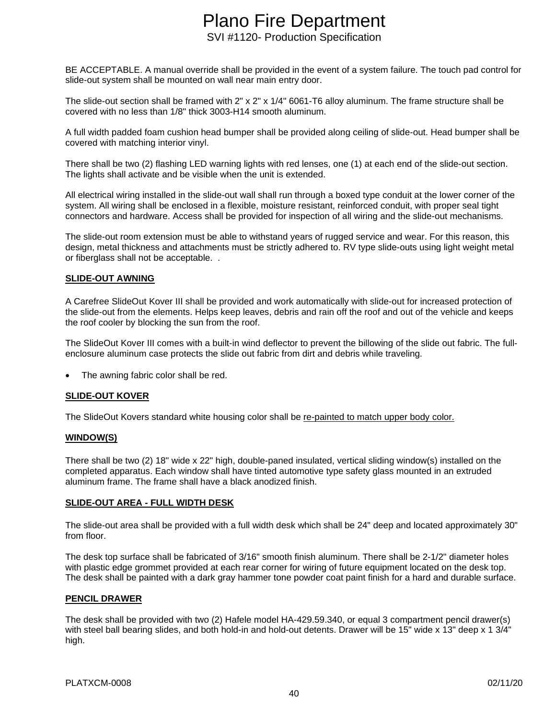BE ACCEPTABLE. A manual override shall be provided in the event of a system failure. The touch pad control for slide-out system shall be mounted on wall near main entry door.

The slide-out section shall be framed with 2" x 2" x 1/4" 6061-T6 alloy aluminum. The frame structure shall be covered with no less than 1/8" thick 3003-H14 smooth aluminum.

A full width padded foam cushion head bumper shall be provided along ceiling of slide-out. Head bumper shall be covered with matching interior vinyl.

There shall be two (2) flashing LED warning lights with red lenses, one (1) at each end of the slide-out section. The lights shall activate and be visible when the unit is extended.

All electrical wiring installed in the slide-out wall shall run through a boxed type conduit at the lower corner of the system. All wiring shall be enclosed in a flexible, moisture resistant, reinforced conduit, with proper seal tight connectors and hardware. Access shall be provided for inspection of all wiring and the slide-out mechanisms.

The slide-out room extension must be able to withstand years of rugged service and wear. For this reason, this design, metal thickness and attachments must be strictly adhered to. RV type slide-outs using light weight metal or fiberglass shall not be acceptable. .

### **SLIDE-OUT AWNING**

A Carefree SlideOut Kover III shall be provided and work automatically with slide-out for increased protection of the slide-out from the elements. Helps keep leaves, debris and rain off the roof and out of the vehicle and keeps the roof cooler by blocking the sun from the roof.

The SlideOut Kover III comes with a built-in wind deflector to prevent the billowing of the slide out fabric. The fullenclosure aluminum case protects the slide out fabric from dirt and debris while traveling.

The awning fabric color shall be red.

### **SLIDE-OUT KOVER**

The SlideOut Kovers standard white housing color shall be re-painted to match upper body color.

### **WINDOW(S)**

There shall be two (2) 18" wide x 22" high, double-paned insulated, vertical sliding window(s) installed on the completed apparatus. Each window shall have tinted automotive type safety glass mounted in an extruded aluminum frame. The frame shall have a black anodized finish.

### **SLIDE-OUT AREA - FULL WIDTH DESK**

The slide-out area shall be provided with a full width desk which shall be 24" deep and located approximately 30" from floor.

The desk top surface shall be fabricated of 3/16" smooth finish aluminum. There shall be 2-1/2" diameter holes with plastic edge grommet provided at each rear corner for wiring of future equipment located on the desk top. The desk shall be painted with a dark gray hammer tone powder coat paint finish for a hard and durable surface.

### **PENCIL DRAWER**

The desk shall be provided with two (2) Hafele model HA-429.59.340, or equal 3 compartment pencil drawer(s) with steel ball bearing slides, and both hold-in and hold-out detents. Drawer will be 15" wide x 13" deep x 1 3/4" high.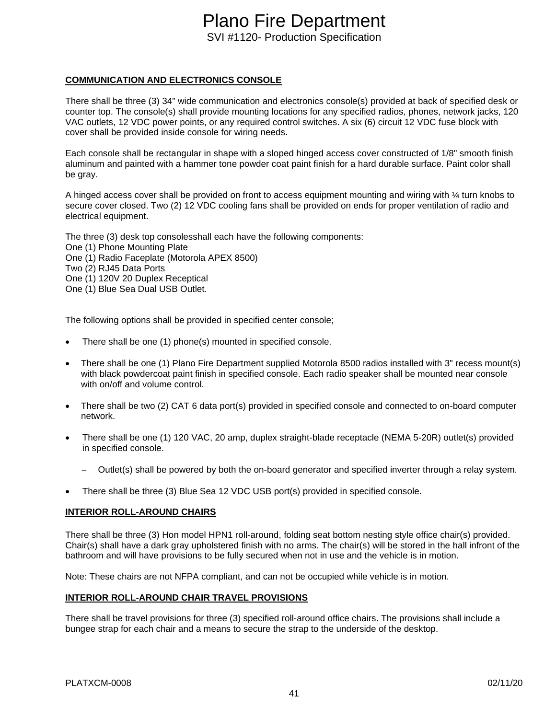**COMMUNICATION AND ELECTRONICS CONSOLE**

There shall be three (3) 34" wide communication and electronics console(s) provided at back of specified desk or counter top. The console(s) shall provide mounting locations for any specified radios, phones, network jacks, 120 VAC outlets, 12 VDC power points, or any required control switches. A six (6) circuit 12 VDC fuse block with cover shall be provided inside console for wiring needs.

Each console shall be rectangular in shape with a sloped hinged access cover constructed of 1/8" smooth finish aluminum and painted with a hammer tone powder coat paint finish for a hard durable surface. Paint color shall be gray.

A hinged access cover shall be provided on front to access equipment mounting and wiring with ¼ turn knobs to secure cover closed. Two (2) 12 VDC cooling fans shall be provided on ends for proper ventilation of radio and electrical equipment.

The three (3) desk top consolesshall each have the following components:

One (1) Phone Mounting Plate

One (1) Radio Faceplate (Motorola APEX 8500)

Two (2) RJ45 Data Ports

One (1) 120V 20 Duplex Receptical

One (1) Blue Sea Dual USB Outlet.

The following options shall be provided in specified center console;

- There shall be one (1) phone(s) mounted in specified console.
- There shall be one (1) Plano Fire Department supplied Motorola 8500 radios installed with 3" recess mount(s) with black powdercoat paint finish in specified console. Each radio speaker shall be mounted near console with on/off and volume control.
- There shall be two (2) CAT 6 data port(s) provided in specified console and connected to on-board computer network.
- There shall be one (1) 120 VAC, 20 amp, duplex straight-blade receptacle (NEMA 5-20R) outlet(s) provided in specified console.
	- − Outlet(s) shall be powered by both the on-board generator and specified inverter through a relay system.
- There shall be three (3) Blue Sea 12 VDC USB port(s) provided in specified console.

### **INTERIOR ROLL-AROUND CHAIRS**

There shall be three (3) Hon model HPN1 roll-around, folding seat bottom nesting style office chair(s) provided. Chair(s) shall have a dark gray upholstered finish with no arms. The chair(s) will be stored in the hall infront of the bathroom and will have provisions to be fully secured when not in use and the vehicle is in motion.

Note: These chairs are not NFPA compliant, and can not be occupied while vehicle is in motion.

### **INTERIOR ROLL-AROUND CHAIR TRAVEL PROVISIONS**

There shall be travel provisions for three (3) specified roll-around office chairs. The provisions shall include a bungee strap for each chair and a means to secure the strap to the underside of the desktop.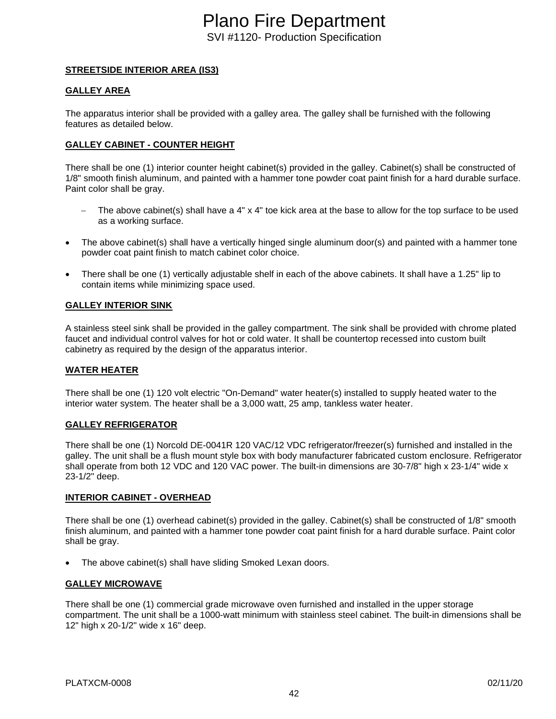### **STREETSIDE INTERIOR AREA (IS3)**

### **GALLEY AREA**

The apparatus interior shall be provided with a galley area. The galley shall be furnished with the following features as detailed below.

### **GALLEY CABINET - COUNTER HEIGHT**

There shall be one (1) interior counter height cabinet(s) provided in the galley. Cabinet(s) shall be constructed of 1/8" smooth finish aluminum, and painted with a hammer tone powder coat paint finish for a hard durable surface. Paint color shall be gray.

- The above cabinet(s) shall have a 4" x 4" toe kick area at the base to allow for the top surface to be used as a working surface.
- The above cabinet(s) shall have a vertically hinged single aluminum door(s) and painted with a hammer tone powder coat paint finish to match cabinet color choice.
- There shall be one (1) vertically adjustable shelf in each of the above cabinets. It shall have a 1.25" lip to contain items while minimizing space used.

#### **GALLEY INTERIOR SINK**

A stainless steel sink shall be provided in the galley compartment. The sink shall be provided with chrome plated faucet and individual control valves for hot or cold water. It shall be countertop recessed into custom built cabinetry as required by the design of the apparatus interior.

### **WATER HEATER**

There shall be one (1) 120 volt electric "On-Demand" water heater(s) installed to supply heated water to the interior water system. The heater shall be a 3,000 watt, 25 amp, tankless water heater.

### **GALLEY REFRIGERATOR**

There shall be one (1) Norcold DE-0041R 120 VAC/12 VDC refrigerator/freezer(s) furnished and installed in the galley. The unit shall be a flush mount style box with body manufacturer fabricated custom enclosure. Refrigerator shall operate from both 12 VDC and 120 VAC power. The built-in dimensions are 30-7/8" high x 23-1/4" wide x 23-1/2" deep.

### **INTERIOR CABINET - OVERHEAD**

There shall be one (1) overhead cabinet(s) provided in the galley. Cabinet(s) shall be constructed of 1/8" smooth finish aluminum, and painted with a hammer tone powder coat paint finish for a hard durable surface. Paint color shall be gray.

The above cabinet(s) shall have sliding Smoked Lexan doors.

### **GALLEY MICROWAVE**

There shall be one (1) commercial grade microwave oven furnished and installed in the upper storage compartment. The unit shall be a 1000-watt minimum with stainless steel cabinet. The built-in dimensions shall be 12" high x 20-1/2" wide x 16" deep.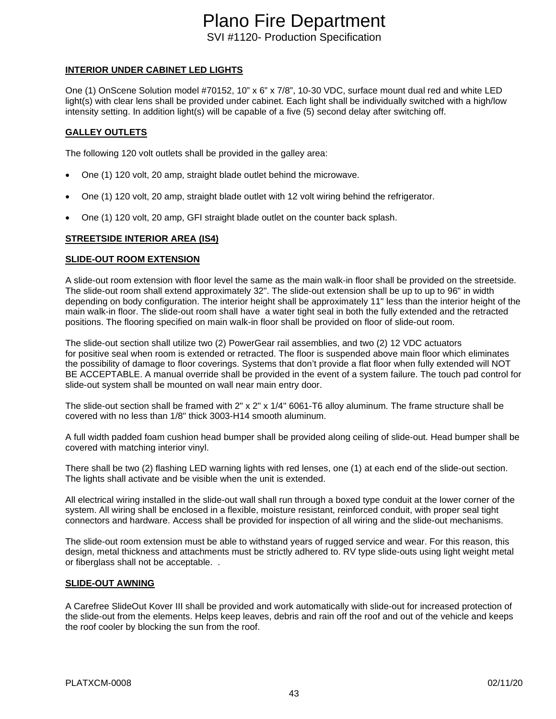**INTERIOR UNDER CABINET LED LIGHTS**

One (1) OnScene Solution model #70152, 10" x 6" x 7/8", 10-30 VDC, surface mount dual red and white LED light(s) with clear lens shall be provided under cabinet. Each light shall be individually switched with a high/low intensity setting. In addition light(s) will be capable of a five (5) second delay after switching off.

### **GALLEY OUTLETS**

The following 120 volt outlets shall be provided in the galley area:

- One (1) 120 volt, 20 amp, straight blade outlet behind the microwave.
- One (1) 120 volt, 20 amp, straight blade outlet with 12 volt wiring behind the refrigerator.
- One (1) 120 volt, 20 amp, GFI straight blade outlet on the counter back splash.

### **STREETSIDE INTERIOR AREA (IS4)**

### **SLIDE-OUT ROOM EXTENSION**

A slide-out room extension with floor level the same as the main walk-in floor shall be provided on the streetside. The slide-out room shall extend approximately 32". The slide-out extension shall be up to up to 96" in width depending on body configuration. The interior height shall be approximately 11" less than the interior height of the main walk-in floor. The slide-out room shall have a water tight seal in both the fully extended and the retracted positions. The flooring specified on main walk-in floor shall be provided on floor of slide-out room.

The slide-out section shall utilize two (2) PowerGear rail assemblies, and two (2) 12 VDC actuators for positive seal when room is extended or retracted. The floor is suspended above main floor which eliminates the possibility of damage to floor coverings. Systems that don't provide a flat floor when fully extended will NOT BE ACCEPTABLE. A manual override shall be provided in the event of a system failure. The touch pad control for slide-out system shall be mounted on wall near main entry door.

The slide-out section shall be framed with 2" x 2" x 1/4" 6061-T6 alloy aluminum. The frame structure shall be covered with no less than 1/8" thick 3003-H14 smooth aluminum.

A full width padded foam cushion head bumper shall be provided along ceiling of slide-out. Head bumper shall be covered with matching interior vinyl.

There shall be two (2) flashing LED warning lights with red lenses, one (1) at each end of the slide-out section. The lights shall activate and be visible when the unit is extended.

All electrical wiring installed in the slide-out wall shall run through a boxed type conduit at the lower corner of the system. All wiring shall be enclosed in a flexible, moisture resistant, reinforced conduit, with proper seal tight connectors and hardware. Access shall be provided for inspection of all wiring and the slide-out mechanisms.

The slide-out room extension must be able to withstand years of rugged service and wear. For this reason, this design, metal thickness and attachments must be strictly adhered to. RV type slide-outs using light weight metal or fiberglass shall not be acceptable. .

### **SLIDE-OUT AWNING**

A Carefree SlideOut Kover III shall be provided and work automatically with slide-out for increased protection of the slide-out from the elements. Helps keep leaves, debris and rain off the roof and out of the vehicle and keeps the roof cooler by blocking the sun from the roof.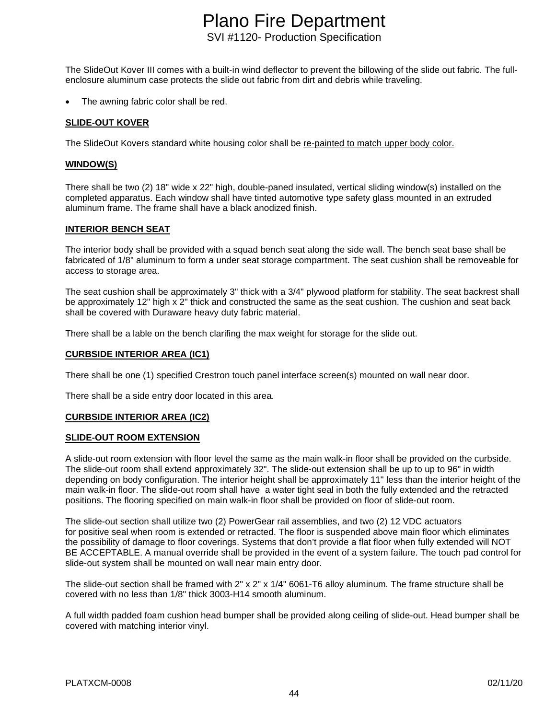The SlideOut Kover III comes with a built-in wind deflector to prevent the billowing of the slide out fabric. The fullenclosure aluminum case protects the slide out fabric from dirt and debris while traveling.

The awning fabric color shall be red.

#### **SLIDE-OUT KOVER**

The SlideOut Kovers standard white housing color shall be re-painted to match upper body color.

### **WINDOW(S)**

There shall be two (2) 18" wide x 22" high, double-paned insulated, vertical sliding window(s) installed on the completed apparatus. Each window shall have tinted automotive type safety glass mounted in an extruded aluminum frame. The frame shall have a black anodized finish.

#### **INTERIOR BENCH SEAT**

The interior body shall be provided with a squad bench seat along the side wall. The bench seat base shall be fabricated of 1/8" aluminum to form a under seat storage compartment. The seat cushion shall be removeable for access to storage area.

The seat cushion shall be approximately 3" thick with a 3/4" plywood platform for stability. The seat backrest shall be approximately 12" high x 2" thick and constructed the same as the seat cushion. The cushion and seat back shall be covered with Duraware heavy duty fabric material.

There shall be a lable on the bench clarifing the max weight for storage for the slide out.

#### **CURBSIDE INTERIOR AREA (IC1)**

There shall be one (1) specified Crestron touch panel interface screen(s) mounted on wall near door.

There shall be a side entry door located in this area.

#### **CURBSIDE INTERIOR AREA (IC2)**

#### **SLIDE-OUT ROOM EXTENSION**

A slide-out room extension with floor level the same as the main walk-in floor shall be provided on the curbside. The slide-out room shall extend approximately 32". The slide-out extension shall be up to up to 96" in width depending on body configuration. The interior height shall be approximately 11" less than the interior height of the main walk-in floor. The slide-out room shall have a water tight seal in both the fully extended and the retracted positions. The flooring specified on main walk-in floor shall be provided on floor of slide-out room.

The slide-out section shall utilize two (2) PowerGear rail assemblies, and two (2) 12 VDC actuators for positive seal when room is extended or retracted. The floor is suspended above main floor which eliminates the possibility of damage to floor coverings. Systems that don't provide a flat floor when fully extended will NOT BE ACCEPTABLE. A manual override shall be provided in the event of a system failure. The touch pad control for slide-out system shall be mounted on wall near main entry door.

The slide-out section shall be framed with 2" x 2" x 1/4" 6061-T6 alloy aluminum. The frame structure shall be covered with no less than 1/8" thick 3003-H14 smooth aluminum.

A full width padded foam cushion head bumper shall be provided along ceiling of slide-out. Head bumper shall be covered with matching interior vinyl.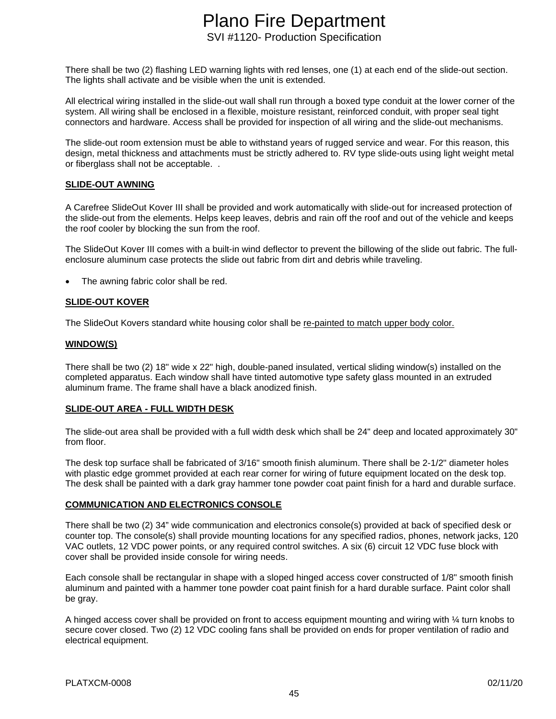There shall be two (2) flashing LED warning lights with red lenses, one (1) at each end of the slide-out section. The lights shall activate and be visible when the unit is extended.

All electrical wiring installed in the slide-out wall shall run through a boxed type conduit at the lower corner of the system. All wiring shall be enclosed in a flexible, moisture resistant, reinforced conduit, with proper seal tight connectors and hardware. Access shall be provided for inspection of all wiring and the slide-out mechanisms.

The slide-out room extension must be able to withstand years of rugged service and wear. For this reason, this design, metal thickness and attachments must be strictly adhered to. RV type slide-outs using light weight metal or fiberglass shall not be acceptable. .

### **SLIDE-OUT AWNING**

A Carefree SlideOut Kover III shall be provided and work automatically with slide-out for increased protection of the slide-out from the elements. Helps keep leaves, debris and rain off the roof and out of the vehicle and keeps the roof cooler by blocking the sun from the roof.

The SlideOut Kover III comes with a built-in wind deflector to prevent the billowing of the slide out fabric. The fullenclosure aluminum case protects the slide out fabric from dirt and debris while traveling.

The awning fabric color shall be red.

# **SLIDE-OUT KOVER**

The SlideOut Kovers standard white housing color shall be re-painted to match upper body color.

### **WINDOW(S)**

There shall be two (2) 18" wide x 22" high, double-paned insulated, vertical sliding window(s) installed on the completed apparatus. Each window shall have tinted automotive type safety glass mounted in an extruded aluminum frame. The frame shall have a black anodized finish.

### **SLIDE-OUT AREA - FULL WIDTH DESK**

The slide-out area shall be provided with a full width desk which shall be 24" deep and located approximately 30" from floor.

The desk top surface shall be fabricated of 3/16" smooth finish aluminum. There shall be 2-1/2" diameter holes with plastic edge grommet provided at each rear corner for wiring of future equipment located on the desk top. The desk shall be painted with a dark gray hammer tone powder coat paint finish for a hard and durable surface.

### **COMMUNICATION AND ELECTRONICS CONSOLE**

There shall be two (2) 34" wide communication and electronics console(s) provided at back of specified desk or counter top. The console(s) shall provide mounting locations for any specified radios, phones, network jacks, 120 VAC outlets, 12 VDC power points, or any required control switches. A six (6) circuit 12 VDC fuse block with cover shall be provided inside console for wiring needs.

Each console shall be rectangular in shape with a sloped hinged access cover constructed of 1/8" smooth finish aluminum and painted with a hammer tone powder coat paint finish for a hard durable surface. Paint color shall be gray.

A hinged access cover shall be provided on front to access equipment mounting and wiring with ¼ turn knobs to secure cover closed. Two (2) 12 VDC cooling fans shall be provided on ends for proper ventilation of radio and electrical equipment.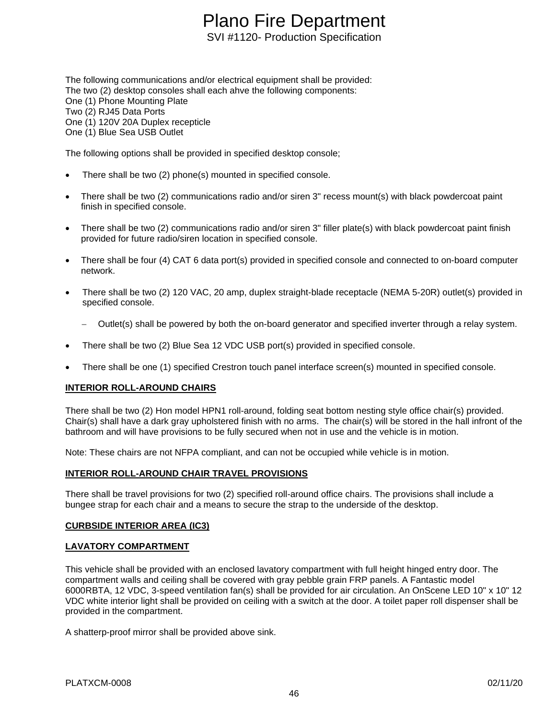The following communications and/or electrical equipment shall be provided: The two (2) desktop consoles shall each ahve the following components: One (1) Phone Mounting Plate Two (2) RJ45 Data Ports One (1) 120V 20A Duplex recepticle One (1) Blue Sea USB Outlet

The following options shall be provided in specified desktop console;

- There shall be two (2) phone(s) mounted in specified console.
- There shall be two (2) communications radio and/or siren 3" recess mount(s) with black powdercoat paint finish in specified console.
- There shall be two (2) communications radio and/or siren 3" filler plate(s) with black powdercoat paint finish provided for future radio/siren location in specified console.
- There shall be four (4) CAT 6 data port(s) provided in specified console and connected to on-board computer network.
- There shall be two (2) 120 VAC, 20 amp, duplex straight-blade receptacle (NEMA 5-20R) outlet(s) provided in specified console.
	- Outlet(s) shall be powered by both the on-board generator and specified inverter through a relay system.
- There shall be two (2) Blue Sea 12 VDC USB port(s) provided in specified console.
- There shall be one (1) specified Crestron touch panel interface screen(s) mounted in specified console.

### **INTERIOR ROLL-AROUND CHAIRS**

There shall be two (2) Hon model HPN1 roll-around, folding seat bottom nesting style office chair(s) provided. Chair(s) shall have a dark gray upholstered finish with no arms. The chair(s) will be stored in the hall infront of the bathroom and will have provisions to be fully secured when not in use and the vehicle is in motion.

Note: These chairs are not NFPA compliant, and can not be occupied while vehicle is in motion.

### **INTERIOR ROLL-AROUND CHAIR TRAVEL PROVISIONS**

There shall be travel provisions for two (2) specified roll-around office chairs. The provisions shall include a bungee strap for each chair and a means to secure the strap to the underside of the desktop.

### **CURBSIDE INTERIOR AREA (IC3)**

### **LAVATORY COMPARTMENT**

This vehicle shall be provided with an enclosed lavatory compartment with full height hinged entry door. The compartment walls and ceiling shall be covered with gray pebble grain FRP panels. A Fantastic model 6000RBTA, 12 VDC, 3-speed ventilation fan(s) shall be provided for air circulation. An OnScene LED 10" x 10" 12 VDC white interior light shall be provided on ceiling with a switch at the door. A toilet paper roll dispenser shall be provided in the compartment.

A shatterp-proof mirror shall be provided above sink.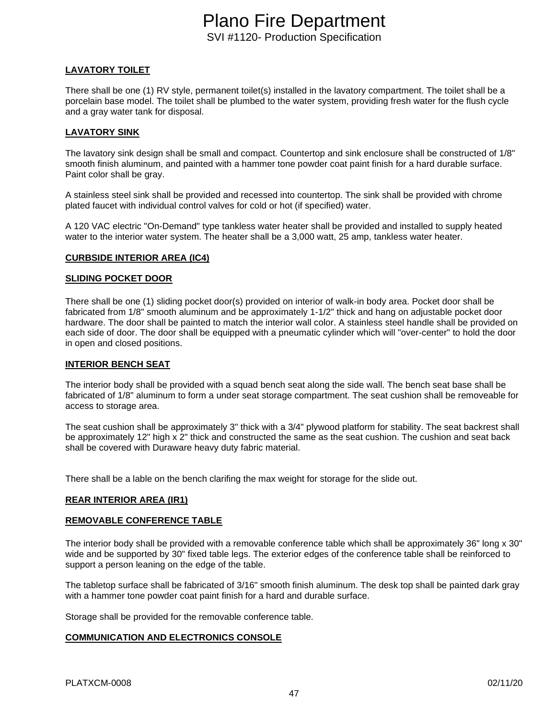# **LAVATORY TOILET**

There shall be one (1) RV style, permanent toilet(s) installed in the lavatory compartment. The toilet shall be a porcelain base model. The toilet shall be plumbed to the water system, providing fresh water for the flush cycle and a gray water tank for disposal.

## **LAVATORY SINK**

The lavatory sink design shall be small and compact. Countertop and sink enclosure shall be constructed of 1/8" smooth finish aluminum, and painted with a hammer tone powder coat paint finish for a hard durable surface. Paint color shall be gray.

A stainless steel sink shall be provided and recessed into countertop. The sink shall be provided with chrome plated faucet with individual control valves for cold or hot (if specified) water.

A 120 VAC electric "On-Demand" type tankless water heater shall be provided and installed to supply heated water to the interior water system. The heater shall be a 3,000 watt, 25 amp, tankless water heater.

### **CURBSIDE INTERIOR AREA (IC4)**

### **SLIDING POCKET DOOR**

There shall be one (1) sliding pocket door(s) provided on interior of walk-in body area. Pocket door shall be fabricated from 1/8" smooth aluminum and be approximately 1-1/2" thick and hang on adjustable pocket door hardware. The door shall be painted to match the interior wall color. A stainless steel handle shall be provided on each side of door. The door shall be equipped with a pneumatic cylinder which will "over-center" to hold the door in open and closed positions.

### **INTERIOR BENCH SEAT**

The interior body shall be provided with a squad bench seat along the side wall. The bench seat base shall be fabricated of 1/8" aluminum to form a under seat storage compartment. The seat cushion shall be removeable for access to storage area.

The seat cushion shall be approximately 3" thick with a 3/4" plywood platform for stability. The seat backrest shall be approximately 12" high x 2" thick and constructed the same as the seat cushion. The cushion and seat back shall be covered with Duraware heavy duty fabric material.

There shall be a lable on the bench clarifing the max weight for storage for the slide out.

### **REAR INTERIOR AREA (IR1)**

### **REMOVABLE CONFERENCE TABLE**

The interior body shall be provided with a removable conference table which shall be approximately 36" long x 30" wide and be supported by 30" fixed table legs. The exterior edges of the conference table shall be reinforced to support a person leaning on the edge of the table.

The tabletop surface shall be fabricated of 3/16" smooth finish aluminum. The desk top shall be painted dark gray with a hammer tone powder coat paint finish for a hard and durable surface.

Storage shall be provided for the removable conference table.

### **COMMUNICATION AND ELECTRONICS CONSOLE**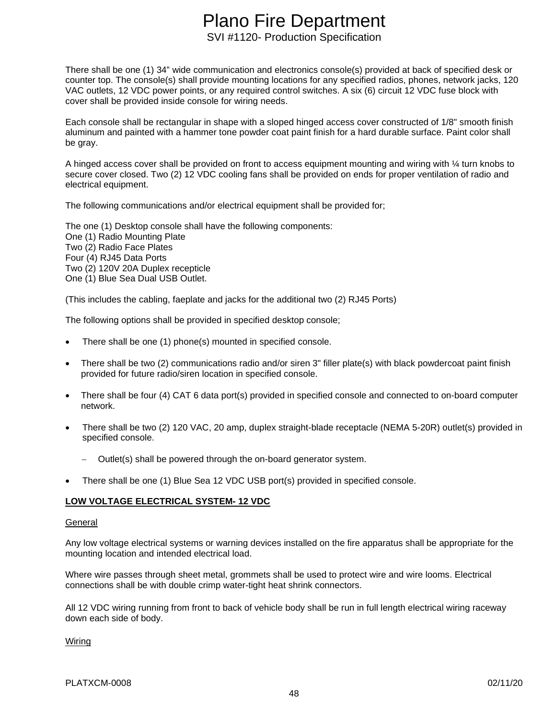There shall be one (1) 34" wide communication and electronics console(s) provided at back of specified desk or counter top. The console(s) shall provide mounting locations for any specified radios, phones, network jacks, 120 VAC outlets, 12 VDC power points, or any required control switches. A six (6) circuit 12 VDC fuse block with cover shall be provided inside console for wiring needs.

Each console shall be rectangular in shape with a sloped hinged access cover constructed of 1/8" smooth finish aluminum and painted with a hammer tone powder coat paint finish for a hard durable surface. Paint color shall be gray.

A hinged access cover shall be provided on front to access equipment mounting and wiring with ¼ turn knobs to secure cover closed. Two (2) 12 VDC cooling fans shall be provided on ends for proper ventilation of radio and electrical equipment.

The following communications and/or electrical equipment shall be provided for;

The one (1) Desktop console shall have the following components: One (1) Radio Mounting Plate Two (2) Radio Face Plates Four (4) RJ45 Data Ports Two (2) 120V 20A Duplex recepticle One (1) Blue Sea Dual USB Outlet.

(This includes the cabling, faeplate and jacks for the additional two (2) RJ45 Ports)

The following options shall be provided in specified desktop console;

- There shall be one (1) phone(s) mounted in specified console.
- There shall be two (2) communications radio and/or siren 3" filler plate(s) with black powdercoat paint finish provided for future radio/siren location in specified console.
- There shall be four (4) CAT 6 data port(s) provided in specified console and connected to on-board computer network.
- There shall be two (2) 120 VAC, 20 amp, duplex straight-blade receptacle (NEMA 5-20R) outlet(s) provided in specified console.
	- Outlet(s) shall be powered through the on-board generator system.
- There shall be one (1) Blue Sea 12 VDC USB port(s) provided in specified console.

# **LOW VOLTAGE ELECTRICAL SYSTEM- 12 VDC**

### General

Any low voltage electrical systems or warning devices installed on the fire apparatus shall be appropriate for the mounting location and intended electrical load.

Where wire passes through sheet metal, grommets shall be used to protect wire and wire looms. Electrical connections shall be with double crimp water-tight heat shrink connectors.

All 12 VDC wiring running from front to back of vehicle body shall be run in full length electrical wiring raceway down each side of body.

Wiring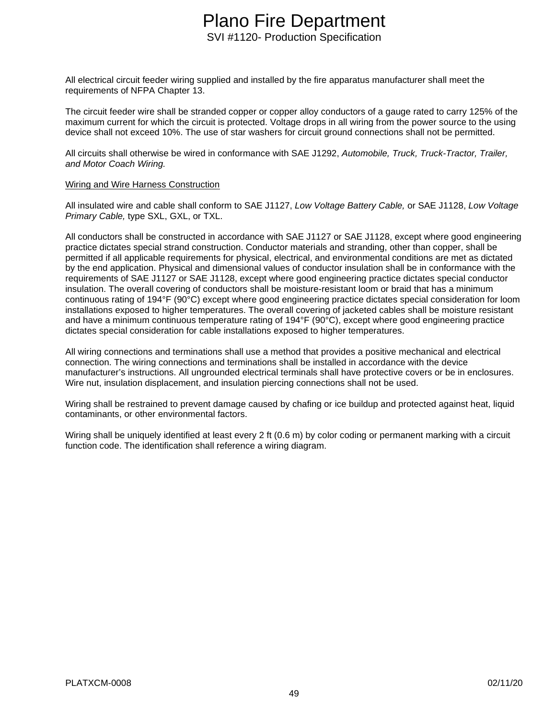All electrical circuit feeder wiring supplied and installed by the fire apparatus manufacturer shall meet the requirements of NFPA Chapter 13.

The circuit feeder wire shall be stranded copper or copper alloy conductors of a gauge rated to carry 125% of the maximum current for which the circuit is protected. Voltage drops in all wiring from the power source to the using device shall not exceed 10%. The use of star washers for circuit ground connections shall not be permitted.

All circuits shall otherwise be wired in conformance with SAE J1292, *Automobile, Truck, Truck-Tractor, Trailer, and Motor Coach Wiring.*

#### Wiring and Wire Harness Construction

All insulated wire and cable shall conform to SAE J1127, *Low Voltage Battery Cable,* or SAE J1128, *Low Voltage Primary Cable,* type SXL, GXL, or TXL.

All conductors shall be constructed in accordance with SAE J1127 or SAE J1128, except where good engineering practice dictates special strand construction. Conductor materials and stranding, other than copper, shall be permitted if all applicable requirements for physical, electrical, and environmental conditions are met as dictated by the end application. Physical and dimensional values of conductor insulation shall be in conformance with the requirements of SAE J1127 or SAE J1128, except where good engineering practice dictates special conductor insulation. The overall covering of conductors shall be moisture-resistant loom or braid that has a minimum continuous rating of 194°F (90°C) except where good engineering practice dictates special consideration for loom installations exposed to higher temperatures. The overall covering of jacketed cables shall be moisture resistant and have a minimum continuous temperature rating of 194°F (90°C), except where good engineering practice dictates special consideration for cable installations exposed to higher temperatures.

All wiring connections and terminations shall use a method that provides a positive mechanical and electrical connection. The wiring connections and terminations shall be installed in accordance with the device manufacturer's instructions. All ungrounded electrical terminals shall have protective covers or be in enclosures. Wire nut, insulation displacement, and insulation piercing connections shall not be used.

Wiring shall be restrained to prevent damage caused by chafing or ice buildup and protected against heat, liquid contaminants, or other environmental factors.

Wiring shall be uniquely identified at least every 2 ft (0.6 m) by color coding or permanent marking with a circuit function code. The identification shall reference a wiring diagram.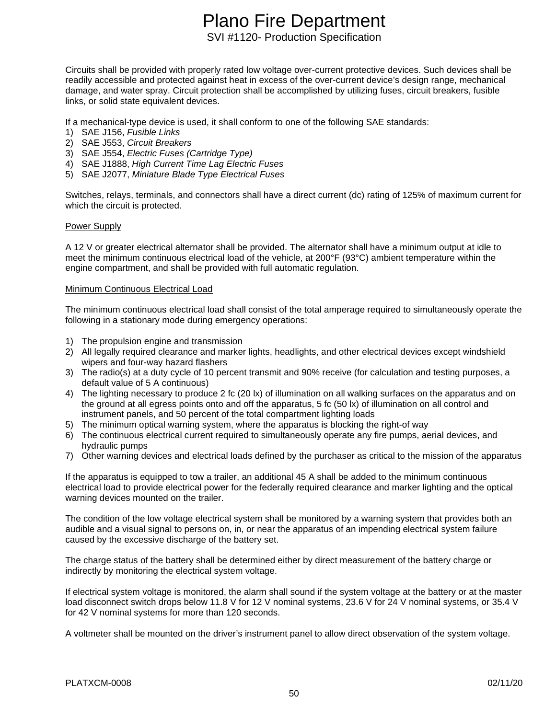Circuits shall be provided with properly rated low voltage over-current protective devices. Such devices shall be readily accessible and protected against heat in excess of the over-current device's design range, mechanical damage, and water spray. Circuit protection shall be accomplished by utilizing fuses, circuit breakers, fusible links, or solid state equivalent devices.

If a mechanical-type device is used, it shall conform to one of the following SAE standards:

- 1) SAE J156, *Fusible Links*
- 2) SAE J553, *Circuit Breakers*
- 3) SAE J554, *Electric Fuses (Cartridge Type)*
- 4) SAE J1888, *High Current Time Lag Electric Fuses*
- 5) SAE J2077, *Miniature Blade Type Electrical Fuses*

Switches, relays, terminals, and connectors shall have a direct current (dc) rating of 125% of maximum current for which the circuit is protected.

#### Power Supply

A 12 V or greater electrical alternator shall be provided. The alternator shall have a minimum output at idle to meet the minimum continuous electrical load of the vehicle, at 200°F (93°C) ambient temperature within the engine compartment, and shall be provided with full automatic regulation.

#### Minimum Continuous Electrical Load

The minimum continuous electrical load shall consist of the total amperage required to simultaneously operate the following in a stationary mode during emergency operations:

- 1) The propulsion engine and transmission
- 2) All legally required clearance and marker lights, headlights, and other electrical devices except windshield wipers and four-way hazard flashers
- 3) The radio(s) at a duty cycle of 10 percent transmit and 90% receive (for calculation and testing purposes, a default value of 5 A continuous)
- 4) The lighting necessary to produce 2 fc (20 lx) of illumination on all walking surfaces on the apparatus and on the ground at all egress points onto and off the apparatus, 5 fc (50 lx) of illumination on all control and instrument panels, and 50 percent of the total compartment lighting loads
- 5) The minimum optical warning system, where the apparatus is blocking the right-of way
- 6) The continuous electrical current required to simultaneously operate any fire pumps, aerial devices, and hydraulic pumps
- 7) Other warning devices and electrical loads defined by the purchaser as critical to the mission of the apparatus

If the apparatus is equipped to tow a trailer, an additional 45 A shall be added to the minimum continuous electrical load to provide electrical power for the federally required clearance and marker lighting and the optical warning devices mounted on the trailer.

The condition of the low voltage electrical system shall be monitored by a warning system that provides both an audible and a visual signal to persons on, in, or near the apparatus of an impending electrical system failure caused by the excessive discharge of the battery set.

The charge status of the battery shall be determined either by direct measurement of the battery charge or indirectly by monitoring the electrical system voltage.

If electrical system voltage is monitored, the alarm shall sound if the system voltage at the battery or at the master load disconnect switch drops below 11.8 V for 12 V nominal systems, 23.6 V for 24 V nominal systems, or 35.4 V for 42 V nominal systems for more than 120 seconds.

A voltmeter shall be mounted on the driver's instrument panel to allow direct observation of the system voltage.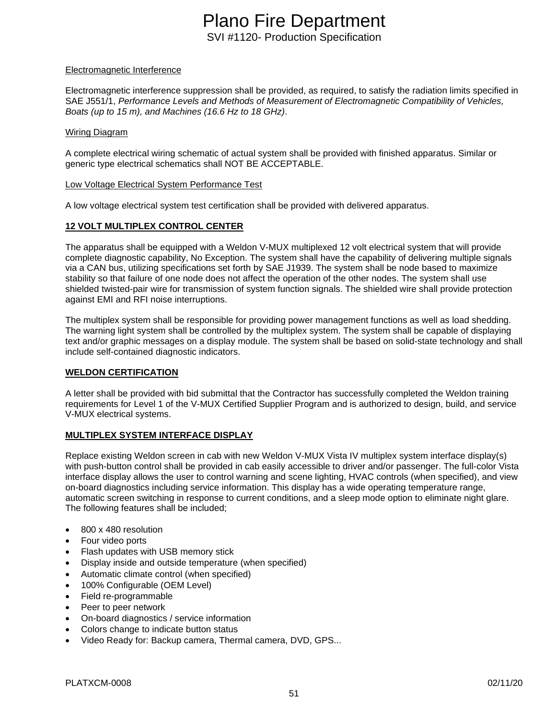### Electromagnetic Interference

Electromagnetic interference suppression shall be provided, as required, to satisfy the radiation limits specified in SAE J551/1, *Performance Levels and Methods of Measurement of Electromagnetic Compatibility of Vehicles, Boats (up to 15 m), and Machines (16.6 Hz to 18 GHz)*.

#### Wiring Diagram

A complete electrical wiring schematic of actual system shall be provided with finished apparatus. Similar or generic type electrical schematics shall NOT BE ACCEPTABLE.

#### Low Voltage Electrical System Performance Test

A low voltage electrical system test certification shall be provided with delivered apparatus.

### **12 VOLT MULTIPLEX CONTROL CENTER**

The apparatus shall be equipped with a Weldon V-MUX multiplexed 12 volt electrical system that will provide complete diagnostic capability, No Exception. The system shall have the capability of delivering multiple signals via a CAN bus, utilizing specifications set forth by SAE J1939. The system shall be node based to maximize stability so that failure of one node does not affect the operation of the other nodes. The system shall use shielded twisted-pair wire for transmission of system function signals. The shielded wire shall provide protection against EMI and RFI noise interruptions.

The multiplex system shall be responsible for providing power management functions as well as load shedding. The warning light system shall be controlled by the multiplex system. The system shall be capable of displaying text and/or graphic messages on a display module. The system shall be based on solid-state technology and shall include self-contained diagnostic indicators.

### **WELDON CERTIFICATION**

A letter shall be provided with bid submittal that the Contractor has successfully completed the Weldon training requirements for Level 1 of the V-MUX Certified Supplier Program and is authorized to design, build, and service V-MUX electrical systems.

### **MULTIPLEX SYSTEM INTERFACE DISPLAY**

Replace existing Weldon screen in cab with new Weldon V-MUX Vista IV multiplex system interface display(s) with push-button control shall be provided in cab easily accessible to driver and/or passenger. The full-color Vista interface display allows the user to control warning and scene lighting, HVAC controls (when specified), and view on-board diagnostics including service information. This display has a wide operating temperature range, automatic screen switching in response to current conditions, and a sleep mode option to eliminate night glare. The following features shall be included;

- 800 x 480 resolution
- Four video ports
- Flash updates with USB memory stick
- Display inside and outside temperature (when specified)
- Automatic climate control (when specified)
- 100% Configurable (OEM Level)
- Field re-programmable
- Peer to peer network
- On-board diagnostics / service information
- Colors change to indicate button status
- Video Ready for: Backup camera, Thermal camera, DVD, GPS...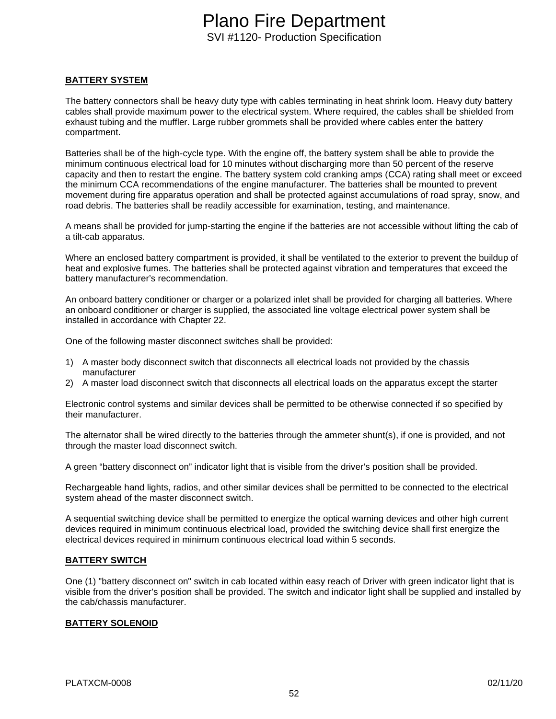## **BATTERY SYSTEM**

The battery connectors shall be heavy duty type with cables terminating in heat shrink loom. Heavy duty battery cables shall provide maximum power to the electrical system. Where required, the cables shall be shielded from exhaust tubing and the muffler. Large rubber grommets shall be provided where cables enter the battery compartment.

Batteries shall be of the high-cycle type. With the engine off, the battery system shall be able to provide the minimum continuous electrical load for 10 minutes without discharging more than 50 percent of the reserve capacity and then to restart the engine. The battery system cold cranking amps (CCA) rating shall meet or exceed the minimum CCA recommendations of the engine manufacturer. The batteries shall be mounted to prevent movement during fire apparatus operation and shall be protected against accumulations of road spray, snow, and road debris. The batteries shall be readily accessible for examination, testing, and maintenance.

A means shall be provided for jump-starting the engine if the batteries are not accessible without lifting the cab of a tilt-cab apparatus.

Where an enclosed battery compartment is provided, it shall be ventilated to the exterior to prevent the buildup of heat and explosive fumes. The batteries shall be protected against vibration and temperatures that exceed the battery manufacturer's recommendation.

An onboard battery conditioner or charger or a polarized inlet shall be provided for charging all batteries. Where an onboard conditioner or charger is supplied, the associated line voltage electrical power system shall be installed in accordance with Chapter 22.

One of the following master disconnect switches shall be provided:

- 1) A master body disconnect switch that disconnects all electrical loads not provided by the chassis manufacturer
- 2) A master load disconnect switch that disconnects all electrical loads on the apparatus except the starter

Electronic control systems and similar devices shall be permitted to be otherwise connected if so specified by their manufacturer.

The alternator shall be wired directly to the batteries through the ammeter shunt(s), if one is provided, and not through the master load disconnect switch.

A green "battery disconnect on" indicator light that is visible from the driver's position shall be provided.

Rechargeable hand lights, radios, and other similar devices shall be permitted to be connected to the electrical system ahead of the master disconnect switch.

A sequential switching device shall be permitted to energize the optical warning devices and other high current devices required in minimum continuous electrical load, provided the switching device shall first energize the electrical devices required in minimum continuous electrical load within 5 seconds.

### **BATTERY SWITCH**

One (1) "battery disconnect on" switch in cab located within easy reach of Driver with green indicator light that is visible from the driver's position shall be provided. The switch and indicator light shall be supplied and installed by the cab/chassis manufacturer.

### **BATTERY SOLENOID**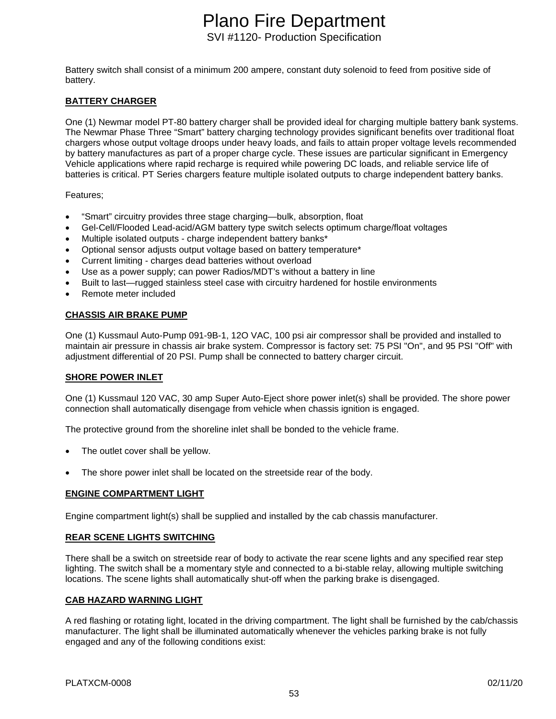Battery switch shall consist of a minimum 200 ampere, constant duty solenoid to feed from positive side of battery.

### **BATTERY CHARGER**

One (1) Newmar model PT-80 battery charger shall be provided ideal for charging multiple battery bank systems. The Newmar Phase Three "Smart" battery charging technology provides significant benefits over traditional float chargers whose output voltage droops under heavy loads, and fails to attain proper voltage levels recommended by battery manufactures as part of a proper charge cycle. These issues are particular significant in Emergency Vehicle applications where rapid recharge is required while powering DC loads, and reliable service life of batteries is critical. PT Series chargers feature multiple isolated outputs to charge independent battery banks.

### Features;

- "Smart" circuitry provides three stage charging—bulk, absorption, float
- Gel-Cell/Flooded Lead-acid/AGM battery type switch selects optimum charge/float voltages
- Multiple isolated outputs charge independent battery banks\*
- Optional sensor adjusts output voltage based on battery temperature\*
- Current limiting charges dead batteries without overload
- Use as a power supply; can power Radios/MDT's without a battery in line
- Built to last—rugged stainless steel case with circuitry hardened for hostile environments
- Remote meter included

### **CHASSIS AIR BRAKE PUMP**

One (1) Kussmaul Auto-Pump 091-9B-1, 12O VAC, 100 psi air compressor shall be provided and installed to maintain air pressure in chassis air brake system. Compressor is factory set: 75 PSI "On", and 95 PSI "Off" with adjustment differential of 20 PSI. Pump shall be connected to battery charger circuit.

### **SHORE POWER INLET**

One (1) Kussmaul 120 VAC, 30 amp Super Auto-Eject shore power inlet(s) shall be provided. The shore power connection shall automatically disengage from vehicle when chassis ignition is engaged.

The protective ground from the shoreline inlet shall be bonded to the vehicle frame.

- The outlet cover shall be yellow.
- The shore power inlet shall be located on the streetside rear of the body.

### **ENGINE COMPARTMENT LIGHT**

Engine compartment light(s) shall be supplied and installed by the cab chassis manufacturer.

### **REAR SCENE LIGHTS SWITCHING**

There shall be a switch on streetside rear of body to activate the rear scene lights and any specified rear step lighting. The switch shall be a momentary style and connected to a bi-stable relay, allowing multiple switching locations. The scene lights shall automatically shut-off when the parking brake is disengaged.

### **CAB HAZARD WARNING LIGHT**

A red flashing or rotating light, located in the driving compartment. The light shall be furnished by the cab/chassis manufacturer. The light shall be illuminated automatically whenever the vehicles parking brake is not fully engaged and any of the following conditions exist: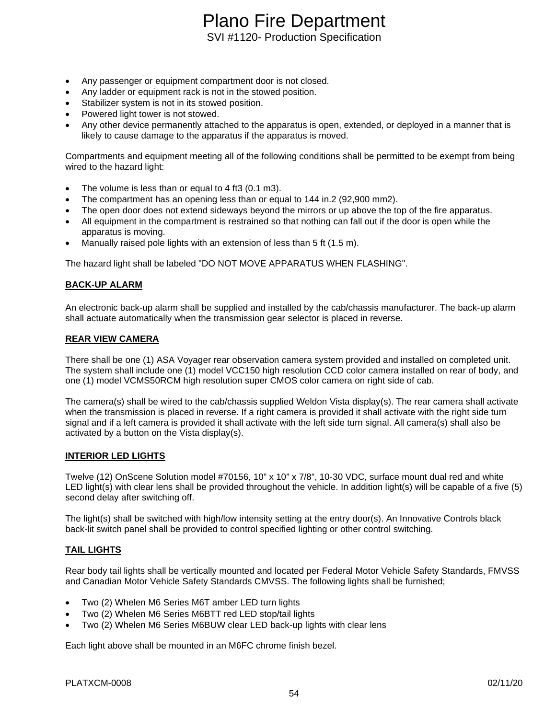- Any passenger or equipment compartment door is not closed.
- Any ladder or equipment rack is not in the stowed position.
- Stabilizer system is not in its stowed position.
- Powered light tower is not stowed.
- Any other device permanently attached to the apparatus is open, extended, or deployed in a manner that is likely to cause damage to the apparatus if the apparatus is moved.

Compartments and equipment meeting all of the following conditions shall be permitted to be exempt from being wired to the hazard light:

- The volume is less than or equal to 4 ft3 (0.1 m3).
- The compartment has an opening less than or equal to 144 in.2 (92,900 mm2).
- The open door does not extend sideways beyond the mirrors or up above the top of the fire apparatus.
- All equipment in the compartment is restrained so that nothing can fall out if the door is open while the apparatus is moving.
- Manually raised pole lights with an extension of less than 5 ft (1.5 m).

The hazard light shall be labeled "DO NOT MOVE APPARATUS WHEN FLASHING".

#### **BACK-UP ALARM**

An electronic back-up alarm shall be supplied and installed by the cab/chassis manufacturer. The back-up alarm shall actuate automatically when the transmission gear selector is placed in reverse.

#### **REAR VIEW CAMERA**

There shall be one (1) ASA Voyager rear observation camera system provided and installed on completed unit. The system shall include one (1) model VCC150 high resolution CCD color camera installed on rear of body, and one (1) model VCMS50RCM high resolution super CMOS color camera on right side of cab.

The camera(s) shall be wired to the cab/chassis supplied Weldon Vista display(s). The rear camera shall activate when the transmission is placed in reverse. If a right camera is provided it shall activate with the right side turn signal and if a left camera is provided it shall activate with the left side turn signal. All camera(s) shall also be activated by a button on the Vista display(s).

#### **INTERIOR LED LIGHTS**

Twelve (12) OnScene Solution model #70156, 10" x 10" x 7/8", 10-30 VDC, surface mount dual red and white LED light(s) with clear lens shall be provided throughout the vehicle. In addition light(s) will be capable of a five (5) second delay after switching off.

The light(s) shall be switched with high/low intensity setting at the entry door(s). An Innovative Controls black back-lit switch panel shall be provided to control specified lighting or other control switching.

### **TAIL LIGHTS**

Rear body tail lights shall be vertically mounted and located per Federal Motor Vehicle Safety Standards, FMVSS and Canadian Motor Vehicle Safety Standards CMVSS. The following lights shall be furnished;

- Two (2) Whelen M6 Series M6T amber LED turn lights
- Two (2) Whelen M6 Series M6BTT red LED stop/tail lights
- Two (2) Whelen M6 Series M6BUW clear LED back-up lights with clear lens

Each light above shall be mounted in an M6FC chrome finish bezel.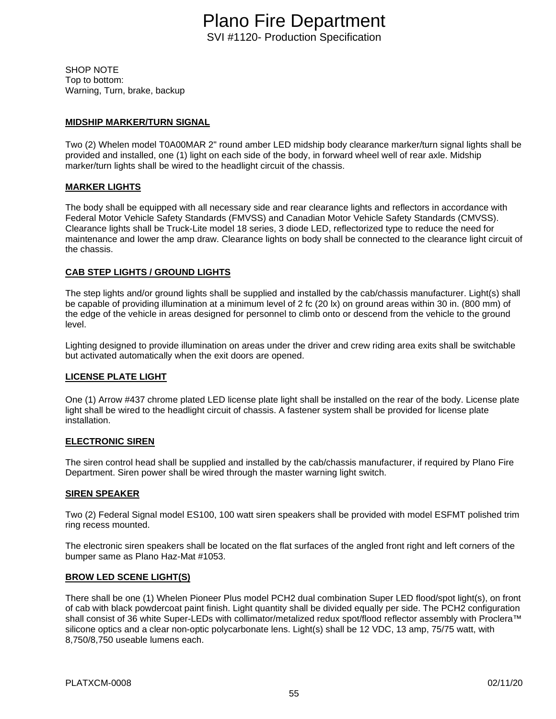SHOP NOTE Top to bottom: Warning, Turn, brake, backup

# **MIDSHIP MARKER/TURN SIGNAL**

Two (2) Whelen model T0A00MAR 2" round amber LED midship body clearance marker/turn signal lights shall be provided and installed, one (1) light on each side of the body, in forward wheel well of rear axle. Midship marker/turn lights shall be wired to the headlight circuit of the chassis.

# **MARKER LIGHTS**

The body shall be equipped with all necessary side and rear clearance lights and reflectors in accordance with Federal Motor Vehicle Safety Standards (FMVSS) and Canadian Motor Vehicle Safety Standards (CMVSS). Clearance lights shall be Truck-Lite model 18 series, 3 diode LED, reflectorized type to reduce the need for maintenance and lower the amp draw. Clearance lights on body shall be connected to the clearance light circuit of the chassis.

### **CAB STEP LIGHTS / GROUND LIGHTS**

The step lights and/or ground lights shall be supplied and installed by the cab/chassis manufacturer. Light(s) shall be capable of providing illumination at a minimum level of 2 fc (20 lx) on ground areas within 30 in. (800 mm) of the edge of the vehicle in areas designed for personnel to climb onto or descend from the vehicle to the ground level.

Lighting designed to provide illumination on areas under the driver and crew riding area exits shall be switchable but activated automatically when the exit doors are opened.

# **LICENSE PLATE LIGHT**

One (1) Arrow #437 chrome plated LED license plate light shall be installed on the rear of the body. License plate light shall be wired to the headlight circuit of chassis. A fastener system shall be provided for license plate installation.

### **ELECTRONIC SIREN**

The siren control head shall be supplied and installed by the cab/chassis manufacturer, if required by Plano Fire Department. Siren power shall be wired through the master warning light switch.

### **SIREN SPEAKER**

Two (2) Federal Signal model ES100, 100 watt siren speakers shall be provided with model ESFMT polished trim ring recess mounted.

The electronic siren speakers shall be located on the flat surfaces of the angled front right and left corners of the bumper same as Plano Haz-Mat #1053.

### **BROW LED SCENE LIGHT(S)**

There shall be one (1) Whelen Pioneer Plus model PCH2 dual combination Super LED flood/spot light(s), on front of cab with black powdercoat paint finish. Light quantity shall be divided equally per side. The PCH2 configuration shall consist of 36 white Super-LEDs with collimator/metalized redux spot/flood reflector assembly with Proclera™ silicone optics and a clear non-optic polycarbonate lens. Light(s) shall be 12 VDC, 13 amp, 75/75 watt, with 8,750/8,750 useable lumens each.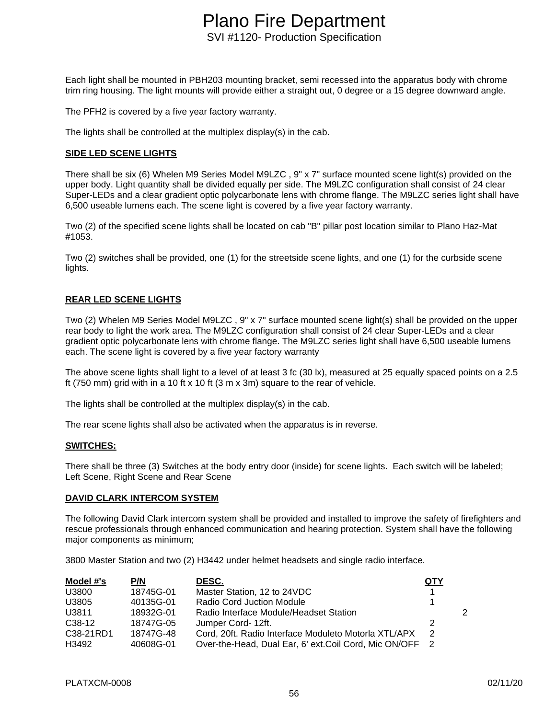Each light shall be mounted in PBH203 mounting bracket, semi recessed into the apparatus body with chrome trim ring housing. The light mounts will provide either a straight out, 0 degree or a 15 degree downward angle.

The PFH2 is covered by a five year factory warranty.

The lights shall be controlled at the multiplex display(s) in the cab.

### **SIDE LED SCENE LIGHTS**

There shall be six (6) Whelen M9 Series Model M9LZC , 9" x 7" surface mounted scene light(s) provided on the upper body. Light quantity shall be divided equally per side. The M9LZC configuration shall consist of 24 clear Super-LEDs and a clear gradient optic polycarbonate lens with chrome flange. The M9LZC series light shall have 6,500 useable lumens each. The scene light is covered by a five year factory warranty.

Two (2) of the specified scene lights shall be located on cab "B" pillar post location similar to Plano Haz-Mat #1053.

Two (2) switches shall be provided, one (1) for the streetside scene lights, and one (1) for the curbside scene lights.

### **REAR LED SCENE LIGHTS**

Two (2) Whelen M9 Series Model M9LZC , 9" x 7" surface mounted scene light(s) shall be provided on the upper rear body to light the work area. The M9LZC configuration shall consist of 24 clear Super-LEDs and a clear gradient optic polycarbonate lens with chrome flange. The M9LZC series light shall have 6,500 useable lumens each. The scene light is covered by a five year factory warranty

The above scene lights shall light to a level of at least 3 fc (30 lx), measured at 25 equally spaced points on a 2.5 ft (750 mm) grid with in a 10 ft x 10 ft (3 m x 3m) square to the rear of vehicle.

The lights shall be controlled at the multiplex display(s) in the cab.

The rear scene lights shall also be activated when the apparatus is in reverse.

#### **SWITCHES:**

There shall be three (3) Switches at the body entry door (inside) for scene lights. Each switch will be labeled; Left Scene, Right Scene and Rear Scene

#### **DAVID CLARK INTERCOM SYSTEM**

The following David Clark intercom system shall be provided and installed to improve the safety of firefighters and rescue professionals through enhanced communication and hearing protection. System shall have the following major components as minimum;

3800 Master Station and two (2) H3442 under helmet headsets and single radio interface.

| Model #'s           | P/N       | <b>DESC.</b>                                           | <u>QTY</u>     |   |
|---------------------|-----------|--------------------------------------------------------|----------------|---|
| U3800               | 18745G-01 | Master Station, 12 to 24VDC                            |                |   |
| U3805               | 40135G-01 | Radio Cord Juction Module                              |                |   |
| U3811               | 18932G-01 | Radio Interface Module/Headset Station                 |                | 2 |
| C <sub>38</sub> -12 | 18747G-05 | Jumper Cord- 12ft.                                     | 2              |   |
| C38-21RD1           | 18747G-48 | Cord, 20ft. Radio Interface Moduleto Motorla XTL/APX   | $\mathcal{P}$  |   |
| H3492               | 40608G-01 | Over-the-Head, Dual Ear, 6' ext. Coil Cord, Mic ON/OFF | $\overline{2}$ |   |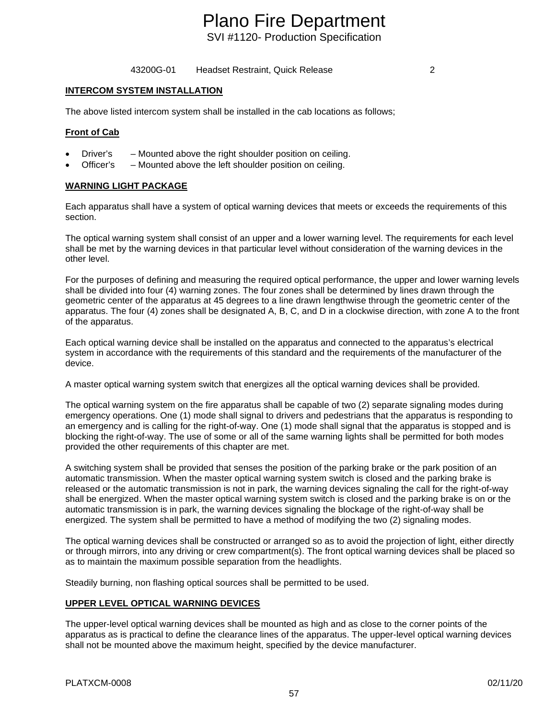43200G-01 Headset Restraint, Quick Release 2

### **INTERCOM SYSTEM INSTALLATION**

The above listed intercom system shall be installed in the cab locations as follows;

### **Front of Cab**

- Driver's Mounted above the right shoulder position on ceiling.
- Officer's Mounted above the left shoulder position on ceiling.

### **WARNING LIGHT PACKAGE**

Each apparatus shall have a system of optical warning devices that meets or exceeds the requirements of this section.

The optical warning system shall consist of an upper and a lower warning level. The requirements for each level shall be met by the warning devices in that particular level without consideration of the warning devices in the other level.

For the purposes of defining and measuring the required optical performance, the upper and lower warning levels shall be divided into four (4) warning zones. The four zones shall be determined by lines drawn through the geometric center of the apparatus at 45 degrees to a line drawn lengthwise through the geometric center of the apparatus. The four (4) zones shall be designated A, B, C, and D in a clockwise direction, with zone A to the front of the apparatus.

Each optical warning device shall be installed on the apparatus and connected to the apparatus's electrical system in accordance with the requirements of this standard and the requirements of the manufacturer of the device.

A master optical warning system switch that energizes all the optical warning devices shall be provided.

The optical warning system on the fire apparatus shall be capable of two (2) separate signaling modes during emergency operations. One (1) mode shall signal to drivers and pedestrians that the apparatus is responding to an emergency and is calling for the right-of-way. One (1) mode shall signal that the apparatus is stopped and is blocking the right-of-way. The use of some or all of the same warning lights shall be permitted for both modes provided the other requirements of this chapter are met.

A switching system shall be provided that senses the position of the parking brake or the park position of an automatic transmission. When the master optical warning system switch is closed and the parking brake is released or the automatic transmission is not in park, the warning devices signaling the call for the right-of-way shall be energized. When the master optical warning system switch is closed and the parking brake is on or the automatic transmission is in park, the warning devices signaling the blockage of the right-of-way shall be energized. The system shall be permitted to have a method of modifying the two (2) signaling modes.

The optical warning devices shall be constructed or arranged so as to avoid the projection of light, either directly or through mirrors, into any driving or crew compartment(s). The front optical warning devices shall be placed so as to maintain the maximum possible separation from the headlights.

Steadily burning, non flashing optical sources shall be permitted to be used.

### **UPPER LEVEL OPTICAL WARNING DEVICES**

The upper-level optical warning devices shall be mounted as high and as close to the corner points of the apparatus as is practical to define the clearance lines of the apparatus. The upper-level optical warning devices shall not be mounted above the maximum height, specified by the device manufacturer.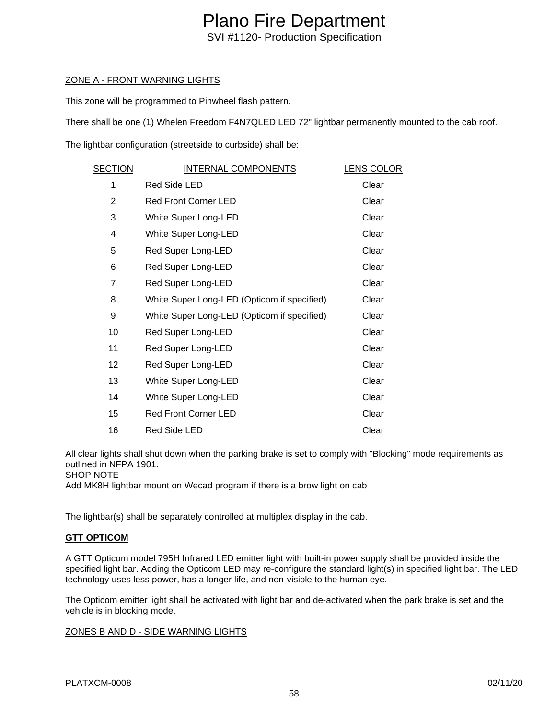## ZONE A - FRONT WARNING LIGHTS

This zone will be programmed to Pinwheel flash pattern.

There shall be one (1) Whelen Freedom F4N7QLED LED 72" lightbar permanently mounted to the cab roof.

The lightbar configuration (streetside to curbside) shall be:

| SECTION | INTERNAL COMPONENTS                         | <b>LENS COLOR</b> |
|---------|---------------------------------------------|-------------------|
| 1       | Red Side LED                                | Clear             |
| 2       | <b>Red Front Corner LED</b>                 | Clear             |
| 3       | White Super Long-LED                        | Clear             |
| 4       | White Super Long-LED                        | Clear             |
| 5       | Red Super Long-LED                          | Clear             |
| 6       | Red Super Long-LED                          | Clear             |
| 7       | Red Super Long-LED                          | Clear             |
| 8       | White Super Long-LED (Opticom if specified) | Clear             |
| 9       | White Super Long-LED (Opticom if specified) | Clear             |
| 10      | Red Super Long-LED                          | Clear             |
| 11      | Red Super Long-LED                          | Clear             |
| 12      | Red Super Long-LED                          | Clear             |
| 13      | White Super Long-LED                        | Clear             |
| 14      | White Super Long-LED                        | Clear             |
| 15      | <b>Red Front Corner LED</b>                 | Clear             |
| 16      | Red Side LED                                | Clear             |

All clear lights shall shut down when the parking brake is set to comply with "Blocking" mode requirements as outlined in NFPA 1901.

SHOP NOTE

Add MK8H lightbar mount on Wecad program if there is a brow light on cab

The lightbar(s) shall be separately controlled at multiplex display in the cab.

### **GTT OPTICOM**

A GTT Opticom model 795H Infrared LED emitter light with built-in power supply shall be provided inside the specified light bar. Adding the Opticom LED may re-configure the standard light(s) in specified light bar. The LED technology uses less power, has a longer life, and non-visible to the human eye.

The Opticom emitter light shall be activated with light bar and de-activated when the park brake is set and the vehicle is in blocking mode.

### ZONES B AND D - SIDE WARNING LIGHTS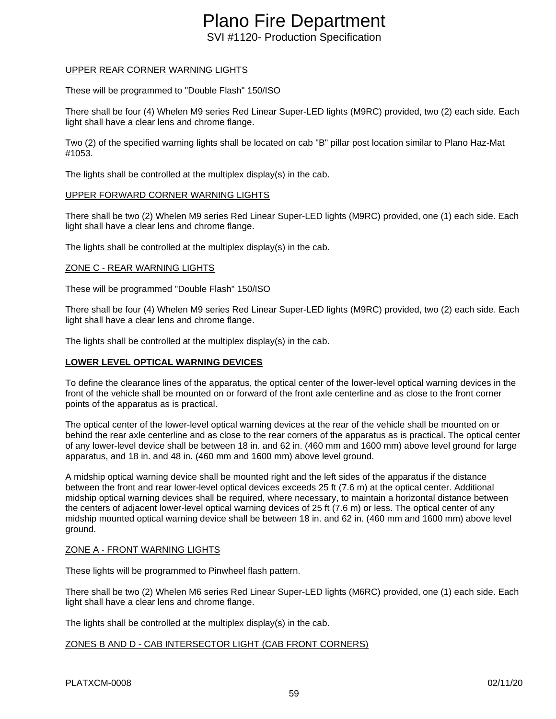# Plano Fire Department

SVI #1120- Production Specification

# UPPER REAR CORNER WARNING LIGHTS

These will be programmed to "Double Flash" 150/ISO

There shall be four (4) Whelen M9 series Red Linear Super-LED lights (M9RC) provided, two (2) each side. Each light shall have a clear lens and chrome flange.

Two (2) of the specified warning lights shall be located on cab "B" pillar post location similar to Plano Haz-Mat #1053.

The lights shall be controlled at the multiplex display(s) in the cab.

### UPPER FORWARD CORNER WARNING LIGHTS

There shall be two (2) Whelen M9 series Red Linear Super-LED lights (M9RC) provided, one (1) each side. Each light shall have a clear lens and chrome flange.

The lights shall be controlled at the multiplex display(s) in the cab.

### ZONE C - REAR WARNING LIGHTS

These will be programmed "Double Flash" 150/ISO

There shall be four (4) Whelen M9 series Red Linear Super-LED lights (M9RC) provided, two (2) each side. Each light shall have a clear lens and chrome flange.

The lights shall be controlled at the multiplex display(s) in the cab.

# **LOWER LEVEL OPTICAL WARNING DEVICES**

To define the clearance lines of the apparatus, the optical center of the lower-level optical warning devices in the front of the vehicle shall be mounted on or forward of the front axle centerline and as close to the front corner points of the apparatus as is practical.

The optical center of the lower-level optical warning devices at the rear of the vehicle shall be mounted on or behind the rear axle centerline and as close to the rear corners of the apparatus as is practical. The optical center of any lower-level device shall be between 18 in. and 62 in. (460 mm and 1600 mm) above level ground for large apparatus, and 18 in. and 48 in. (460 mm and 1600 mm) above level ground.

A midship optical warning device shall be mounted right and the left sides of the apparatus if the distance between the front and rear lower-level optical devices exceeds 25 ft (7.6 m) at the optical center. Additional midship optical warning devices shall be required, where necessary, to maintain a horizontal distance between the centers of adjacent lower-level optical warning devices of 25 ft (7.6 m) or less. The optical center of any midship mounted optical warning device shall be between 18 in. and 62 in. (460 mm and 1600 mm) above level ground.

### ZONE A - FRONT WARNING LIGHTS

These lights will be programmed to Pinwheel flash pattern.

There shall be two (2) Whelen M6 series Red Linear Super-LED lights (M6RC) provided, one (1) each side. Each light shall have a clear lens and chrome flange.

The lights shall be controlled at the multiplex display(s) in the cab.

# ZONES B AND D - CAB INTERSECTOR LIGHT (CAB FRONT CORNERS)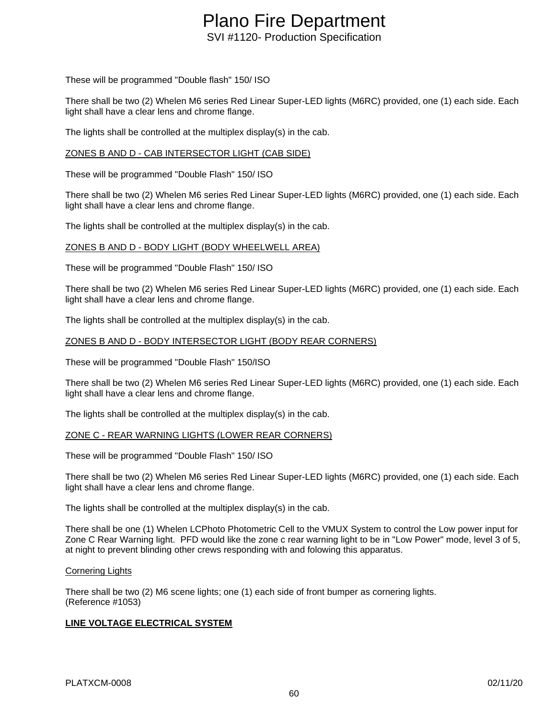These will be programmed "Double flash" 150/ ISO

There shall be two (2) Whelen M6 series Red Linear Super-LED lights (M6RC) provided, one (1) each side. Each light shall have a clear lens and chrome flange.

The lights shall be controlled at the multiplex display(s) in the cab.

#### ZONES B AND D - CAB INTERSECTOR LIGHT (CAB SIDE)

These will be programmed "Double Flash" 150/ ISO

There shall be two (2) Whelen M6 series Red Linear Super-LED lights (M6RC) provided, one (1) each side. Each light shall have a clear lens and chrome flange.

The lights shall be controlled at the multiplex display(s) in the cab.

#### ZONES B AND D - BODY LIGHT (BODY WHEELWELL AREA)

These will be programmed "Double Flash" 150/ ISO

There shall be two (2) Whelen M6 series Red Linear Super-LED lights (M6RC) provided, one (1) each side. Each light shall have a clear lens and chrome flange.

The lights shall be controlled at the multiplex display(s) in the cab.

### ZONES B AND D - BODY INTERSECTOR LIGHT (BODY REAR CORNERS)

These will be programmed "Double Flash" 150/ISO

There shall be two (2) Whelen M6 series Red Linear Super-LED lights (M6RC) provided, one (1) each side. Each light shall have a clear lens and chrome flange.

The lights shall be controlled at the multiplex display(s) in the cab.

#### ZONE C - REAR WARNING LIGHTS (LOWER REAR CORNERS)

These will be programmed "Double Flash" 150/ ISO

There shall be two (2) Whelen M6 series Red Linear Super-LED lights (M6RC) provided, one (1) each side. Each light shall have a clear lens and chrome flange.

The lights shall be controlled at the multiplex display(s) in the cab.

There shall be one (1) Whelen LCPhoto Photometric Cell to the VMUX System to control the Low power input for Zone C Rear Warning light. PFD would like the zone c rear warning light to be in "Low Power" mode, level 3 of 5, at night to prevent blinding other crews responding with and folowing this apparatus.

#### Cornering Lights

There shall be two (2) M6 scene lights; one (1) each side of front bumper as cornering lights. (Reference #1053)

### **LINE VOLTAGE ELECTRICAL SYSTEM**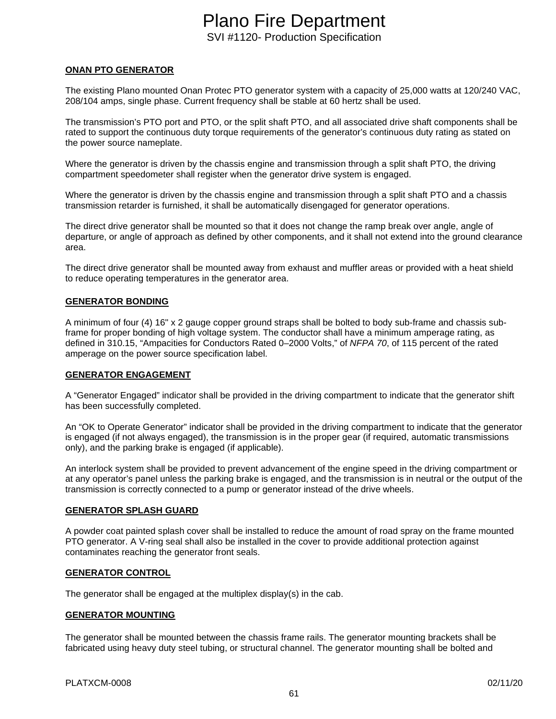### **ONAN PTO GENERATOR**

The existing Plano mounted Onan Protec PTO generator system with a capacity of 25,000 watts at 120/240 VAC, 208/104 amps, single phase. Current frequency shall be stable at 60 hertz shall be used.

The transmission's PTO port and PTO, or the split shaft PTO, and all associated drive shaft components shall be rated to support the continuous duty torque requirements of the generator's continuous duty rating as stated on the power source nameplate.

Where the generator is driven by the chassis engine and transmission through a split shaft PTO, the driving compartment speedometer shall register when the generator drive system is engaged.

Where the generator is driven by the chassis engine and transmission through a split shaft PTO and a chassis transmission retarder is furnished, it shall be automatically disengaged for generator operations.

The direct drive generator shall be mounted so that it does not change the ramp break over angle, angle of departure, or angle of approach as defined by other components, and it shall not extend into the ground clearance area.

The direct drive generator shall be mounted away from exhaust and muffler areas or provided with a heat shield to reduce operating temperatures in the generator area.

#### **GENERATOR BONDING**

A minimum of four (4) 16" x 2 gauge copper ground straps shall be bolted to body sub-frame and chassis subframe for proper bonding of high voltage system. The conductor shall have a minimum amperage rating, as defined in 310.15, "Ampacities for Conductors Rated 0–2000 Volts," of *NFPA 70*, of 115 percent of the rated amperage on the power source specification label.

#### **GENERATOR ENGAGEMENT**

A "Generator Engaged" indicator shall be provided in the driving compartment to indicate that the generator shift has been successfully completed.

An "OK to Operate Generator" indicator shall be provided in the driving compartment to indicate that the generator is engaged (if not always engaged), the transmission is in the proper gear (if required, automatic transmissions only), and the parking brake is engaged (if applicable).

An interlock system shall be provided to prevent advancement of the engine speed in the driving compartment or at any operator's panel unless the parking brake is engaged, and the transmission is in neutral or the output of the transmission is correctly connected to a pump or generator instead of the drive wheels.

#### **GENERATOR SPLASH GUARD**

A powder coat painted splash cover shall be installed to reduce the amount of road spray on the frame mounted PTO generator. A V-ring seal shall also be installed in the cover to provide additional protection against contaminates reaching the generator front seals.

#### **GENERATOR CONTROL**

The generator shall be engaged at the multiplex display(s) in the cab.

#### **GENERATOR MOUNTING**

The generator shall be mounted between the chassis frame rails. The generator mounting brackets shall be fabricated using heavy duty steel tubing, or structural channel. The generator mounting shall be bolted and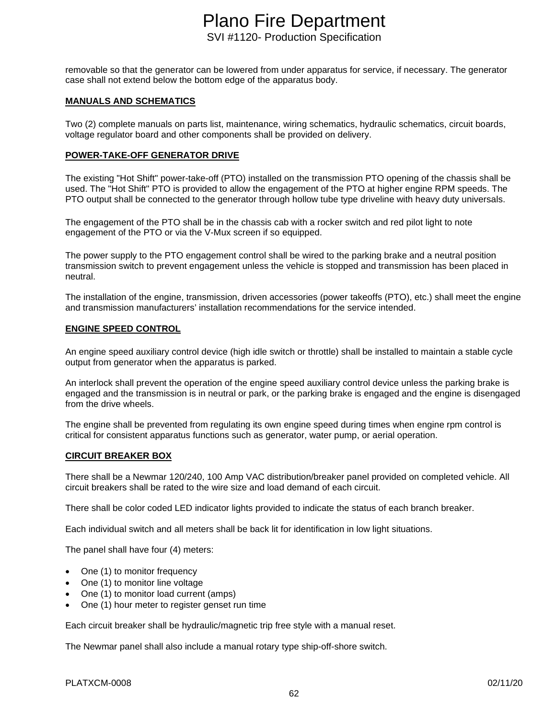removable so that the generator can be lowered from under apparatus for service, if necessary. The generator case shall not extend below the bottom edge of the apparatus body.

#### **MANUALS AND SCHEMATICS**

Two (2) complete manuals on parts list, maintenance, wiring schematics, hydraulic schematics, circuit boards, voltage regulator board and other components shall be provided on delivery.

#### **POWER-TAKE-OFF GENERATOR DRIVE**

The existing "Hot Shift" power-take-off (PTO) installed on the transmission PTO opening of the chassis shall be used. The "Hot Shift" PTO is provided to allow the engagement of the PTO at higher engine RPM speeds. The PTO output shall be connected to the generator through hollow tube type driveline with heavy duty universals.

The engagement of the PTO shall be in the chassis cab with a rocker switch and red pilot light to note engagement of the PTO or via the V-Mux screen if so equipped.

The power supply to the PTO engagement control shall be wired to the parking brake and a neutral position transmission switch to prevent engagement unless the vehicle is stopped and transmission has been placed in neutral.

The installation of the engine, transmission, driven accessories (power takeoffs (PTO), etc.) shall meet the engine and transmission manufacturers' installation recommendations for the service intended.

#### **ENGINE SPEED CONTROL**

An engine speed auxiliary control device (high idle switch or throttle) shall be installed to maintain a stable cycle output from generator when the apparatus is parked.

An interlock shall prevent the operation of the engine speed auxiliary control device unless the parking brake is engaged and the transmission is in neutral or park, or the parking brake is engaged and the engine is disengaged from the drive wheels.

The engine shall be prevented from regulating its own engine speed during times when engine rpm control is critical for consistent apparatus functions such as generator, water pump, or aerial operation.

### **CIRCUIT BREAKER BOX**

There shall be a Newmar 120/240, 100 Amp VAC distribution/breaker panel provided on completed vehicle. All circuit breakers shall be rated to the wire size and load demand of each circuit.

There shall be color coded LED indicator lights provided to indicate the status of each branch breaker.

Each individual switch and all meters shall be back lit for identification in low light situations.

The panel shall have four (4) meters:

- One (1) to monitor frequency
- One (1) to monitor line voltage
- One (1) to monitor load current (amps)
- One (1) hour meter to register genset run time

Each circuit breaker shall be hydraulic/magnetic trip free style with a manual reset.

The Newmar panel shall also include a manual rotary type ship-off-shore switch.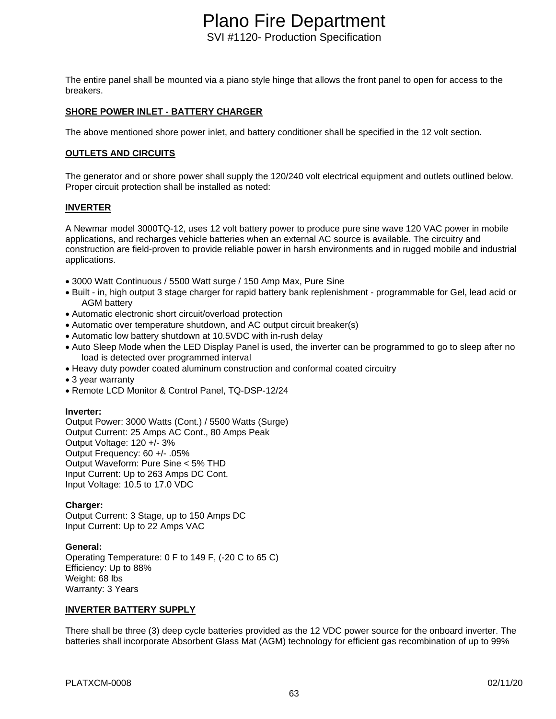The entire panel shall be mounted via a piano style hinge that allows the front panel to open for access to the breakers.

### **SHORE POWER INLET - BATTERY CHARGER**

The above mentioned shore power inlet, and battery conditioner shall be specified in the 12 volt section.

### **OUTLETS AND CIRCUITS**

The generator and or shore power shall supply the 120/240 volt electrical equipment and outlets outlined below. Proper circuit protection shall be installed as noted:

### **INVERTER**

A Newmar model 3000TQ-12, uses 12 volt battery power to produce pure sine wave 120 VAC power in mobile applications, and recharges vehicle batteries when an external AC source is available. The circuitry and construction are field-proven to provide reliable power in harsh environments and in rugged mobile and industrial applications.

- 3000 Watt Continuous / 5500 Watt surge / 150 Amp Max, Pure Sine
- Built in, high output 3 stage charger for rapid battery bank replenishment programmable for Gel, lead acid or AGM battery
- Automatic electronic short circuit/overload protection
- Automatic over temperature shutdown, and AC output circuit breaker(s)
- Automatic low battery shutdown at 10.5VDC with in-rush delay
- Auto Sleep Mode when the LED Display Panel is used, the inverter can be programmed to go to sleep after no load is detected over programmed interval
- Heavy duty powder coated aluminum construction and conformal coated circuitry
- 3 year warranty
- Remote LCD Monitor & Control Panel, TQ-DSP-12/24

#### **Inverter:**

Output Power: 3000 Watts (Cont.) / 5500 Watts (Surge) Output Current: 25 Amps AC Cont., 80 Amps Peak Output Voltage: 120 +/- 3% Output Frequency: 60 +/- .05% Output Waveform: Pure Sine < 5% THD Input Current: Up to 263 Amps DC Cont. Input Voltage: 10.5 to 17.0 VDC

### **Charger:**

Output Current: 3 Stage, up to 150 Amps DC Input Current: Up to 22 Amps VAC

### **General:**

Operating Temperature: 0 F to 149 F, (-20 C to 65 C) Efficiency: Up to 88% Weight: 68 lbs Warranty: 3 Years

### **INVERTER BATTERY SUPPLY**

There shall be three (3) deep cycle batteries provided as the 12 VDC power source for the onboard inverter. The batteries shall incorporate Absorbent Glass Mat (AGM) technology for efficient gas recombination of up to 99%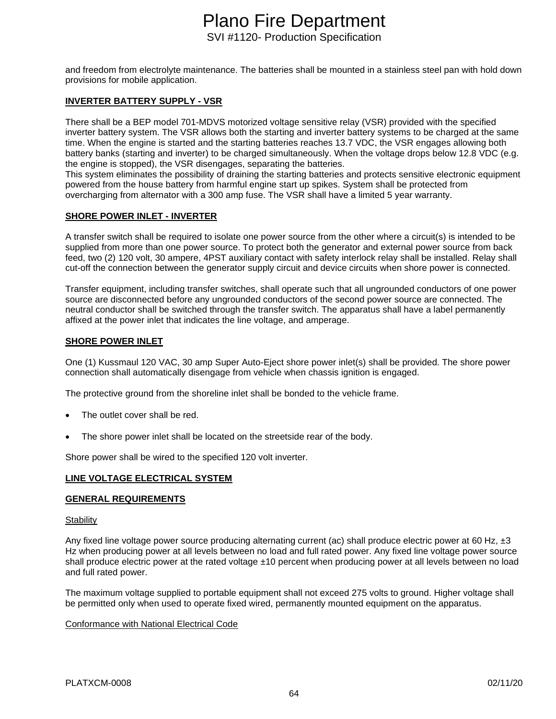and freedom from electrolyte maintenance. The batteries shall be mounted in a stainless steel pan with hold down provisions for mobile application.

### **INVERTER BATTERY SUPPLY - VSR**

There shall be a BEP model 701-MDVS motorized voltage sensitive relay (VSR) provided with the specified inverter battery system. The VSR allows both the starting and inverter battery systems to be charged at the same time. When the engine is started and the starting batteries reaches 13.7 VDC, the VSR engages allowing both battery banks (starting and inverter) to be charged simultaneously. When the voltage drops below 12.8 VDC (e.g. the engine is stopped), the VSR disengages, separating the batteries.

This system eliminates the possibility of draining the starting batteries and protects sensitive electronic equipment powered from the house battery from harmful engine start up spikes. System shall be protected from overcharging from alternator with a 300 amp fuse. The VSR shall have a limited 5 year warranty.

### **SHORE POWER INLET - INVERTER**

A transfer switch shall be required to isolate one power source from the other where a circuit(s) is intended to be supplied from more than one power source. To protect both the generator and external power source from back feed, two (2) 120 volt, 30 ampere, 4PST auxiliary contact with safety interlock relay shall be installed. Relay shall cut-off the connection between the generator supply circuit and device circuits when shore power is connected.

Transfer equipment, including transfer switches, shall operate such that all ungrounded conductors of one power source are disconnected before any ungrounded conductors of the second power source are connected. The neutral conductor shall be switched through the transfer switch. The apparatus shall have a label permanently affixed at the power inlet that indicates the line voltage, and amperage.

### **SHORE POWER INLET**

One (1) Kussmaul 120 VAC, 30 amp Super Auto-Eject shore power inlet(s) shall be provided. The shore power connection shall automatically disengage from vehicle when chassis ignition is engaged.

The protective ground from the shoreline inlet shall be bonded to the vehicle frame.

- The outlet cover shall be red.
- The shore power inlet shall be located on the streetside rear of the body.

Shore power shall be wired to the specified 120 volt inverter.

### **LINE VOLTAGE ELECTRICAL SYSTEM**

### **GENERAL REQUIREMENTS**

#### **Stability**

Any fixed line voltage power source producing alternating current (ac) shall produce electric power at 60 Hz,  $\pm 3$ Hz when producing power at all levels between no load and full rated power. Any fixed line voltage power source shall produce electric power at the rated voltage ±10 percent when producing power at all levels between no load and full rated power.

The maximum voltage supplied to portable equipment shall not exceed 275 volts to ground. Higher voltage shall be permitted only when used to operate fixed wired, permanently mounted equipment on the apparatus.

#### Conformance with National Electrical Code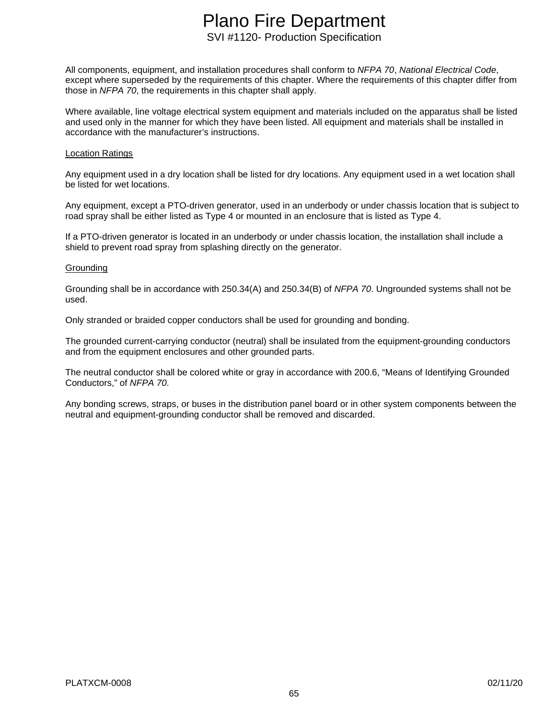All components, equipment, and installation procedures shall conform to *NFPA 70*, *National Electrical Code*, except where superseded by the requirements of this chapter. Where the requirements of this chapter differ from those in *NFPA 70*, the requirements in this chapter shall apply.

Where available, line voltage electrical system equipment and materials included on the apparatus shall be listed and used only in the manner for which they have been listed. All equipment and materials shall be installed in accordance with the manufacturer's instructions.

#### Location Ratings

Any equipment used in a dry location shall be listed for dry locations. Any equipment used in a wet location shall be listed for wet locations.

Any equipment, except a PTO-driven generator, used in an underbody or under chassis location that is subject to road spray shall be either listed as Type 4 or mounted in an enclosure that is listed as Type 4.

If a PTO-driven generator is located in an underbody or under chassis location, the installation shall include a shield to prevent road spray from splashing directly on the generator.

#### **Grounding**

Grounding shall be in accordance with 250.34(A) and 250.34(B) of *NFPA 70*. Ungrounded systems shall not be used.

Only stranded or braided copper conductors shall be used for grounding and bonding.

The grounded current-carrying conductor (neutral) shall be insulated from the equipment-grounding conductors and from the equipment enclosures and other grounded parts.

The neutral conductor shall be colored white or gray in accordance with 200.6, "Means of Identifying Grounded Conductors," of *NFPA 70*.

Any bonding screws, straps, or buses in the distribution panel board or in other system components between the neutral and equipment-grounding conductor shall be removed and discarded.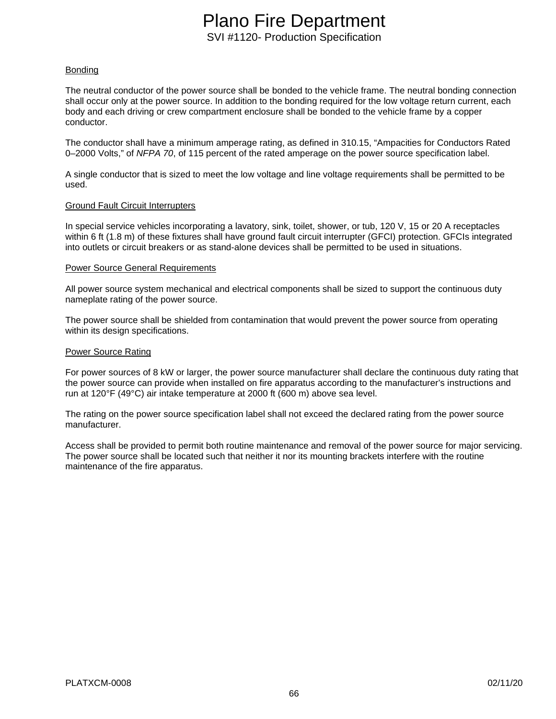### Bonding

The neutral conductor of the power source shall be bonded to the vehicle frame. The neutral bonding connection shall occur only at the power source. In addition to the bonding required for the low voltage return current, each body and each driving or crew compartment enclosure shall be bonded to the vehicle frame by a copper conductor.

The conductor shall have a minimum amperage rating, as defined in 310.15, "Ampacities for Conductors Rated 0–2000 Volts," of *NFPA 70*, of 115 percent of the rated amperage on the power source specification label.

A single conductor that is sized to meet the low voltage and line voltage requirements shall be permitted to be used.

### Ground Fault Circuit Interrupters

In special service vehicles incorporating a lavatory, sink, toilet, shower, or tub, 120 V, 15 or 20 A receptacles within 6 ft (1.8 m) of these fixtures shall have ground fault circuit interrupter (GFCI) protection. GFCIs integrated into outlets or circuit breakers or as stand-alone devices shall be permitted to be used in situations.

#### Power Source General Requirements

All power source system mechanical and electrical components shall be sized to support the continuous duty nameplate rating of the power source.

The power source shall be shielded from contamination that would prevent the power source from operating within its design specifications.

#### Power Source Rating

For power sources of 8 kW or larger, the power source manufacturer shall declare the continuous duty rating that the power source can provide when installed on fire apparatus according to the manufacturer's instructions and run at 120°F (49°C) air intake temperature at 2000 ft (600 m) above sea level.

The rating on the power source specification label shall not exceed the declared rating from the power source manufacturer.

Access shall be provided to permit both routine maintenance and removal of the power source for major servicing. The power source shall be located such that neither it nor its mounting brackets interfere with the routine maintenance of the fire apparatus.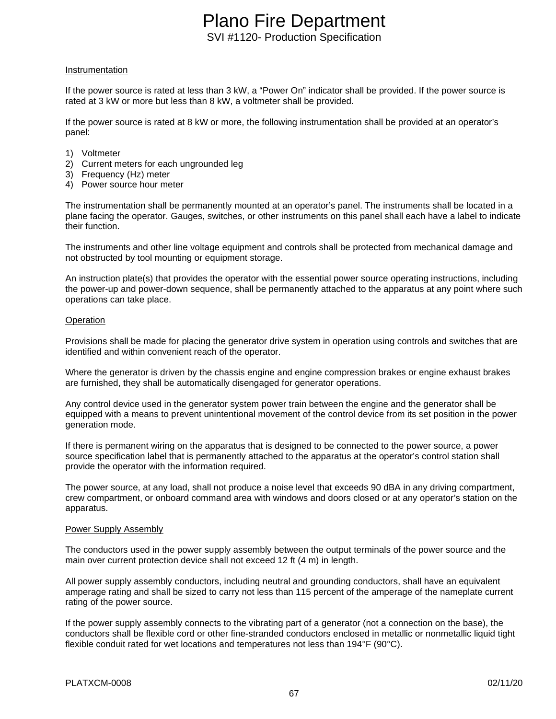#### Instrumentation

If the power source is rated at less than 3 kW, a "Power On" indicator shall be provided. If the power source is rated at 3 kW or more but less than 8 kW, a voltmeter shall be provided.

If the power source is rated at 8 kW or more, the following instrumentation shall be provided at an operator's panel:

- 1) Voltmeter
- 2) Current meters for each ungrounded leg
- 3) Frequency (Hz) meter
- 4) Power source hour meter

The instrumentation shall be permanently mounted at an operator's panel. The instruments shall be located in a plane facing the operator. Gauges, switches, or other instruments on this panel shall each have a label to indicate their function.

The instruments and other line voltage equipment and controls shall be protected from mechanical damage and not obstructed by tool mounting or equipment storage.

An instruction plate(s) that provides the operator with the essential power source operating instructions, including the power-up and power-down sequence, shall be permanently attached to the apparatus at any point where such operations can take place.

#### **Operation**

Provisions shall be made for placing the generator drive system in operation using controls and switches that are identified and within convenient reach of the operator.

Where the generator is driven by the chassis engine and engine compression brakes or engine exhaust brakes are furnished, they shall be automatically disengaged for generator operations.

Any control device used in the generator system power train between the engine and the generator shall be equipped with a means to prevent unintentional movement of the control device from its set position in the power generation mode.

If there is permanent wiring on the apparatus that is designed to be connected to the power source, a power source specification label that is permanently attached to the apparatus at the operator's control station shall provide the operator with the information required.

The power source, at any load, shall not produce a noise level that exceeds 90 dBA in any driving compartment, crew compartment, or onboard command area with windows and doors closed or at any operator's station on the apparatus.

#### Power Supply Assembly

The conductors used in the power supply assembly between the output terminals of the power source and the main over current protection device shall not exceed 12 ft (4 m) in length.

All power supply assembly conductors, including neutral and grounding conductors, shall have an equivalent amperage rating and shall be sized to carry not less than 115 percent of the amperage of the nameplate current rating of the power source.

If the power supply assembly connects to the vibrating part of a generator (not a connection on the base), the conductors shall be flexible cord or other fine-stranded conductors enclosed in metallic or nonmetallic liquid tight flexible conduit rated for wet locations and temperatures not less than 194°F (90°C).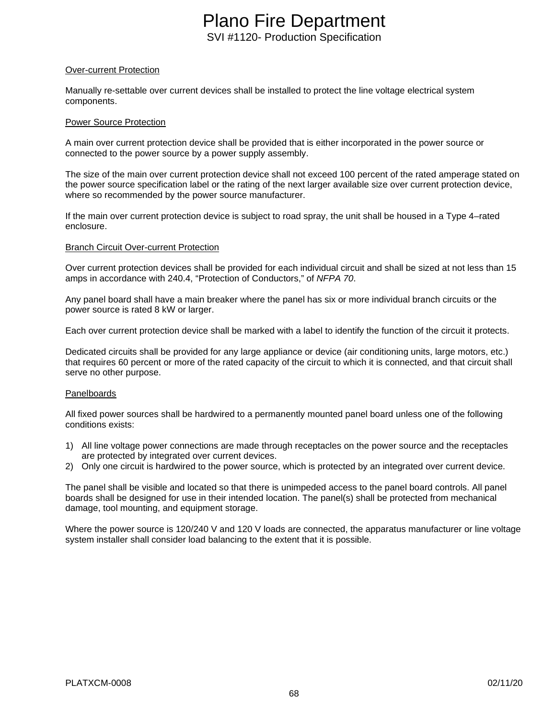### Over-current Protection

Manually re-settable over current devices shall be installed to protect the line voltage electrical system components.

#### Power Source Protection

A main over current protection device shall be provided that is either incorporated in the power source or connected to the power source by a power supply assembly.

The size of the main over current protection device shall not exceed 100 percent of the rated amperage stated on the power source specification label or the rating of the next larger available size over current protection device, where so recommended by the power source manufacturer.

If the main over current protection device is subject to road spray, the unit shall be housed in a Type 4–rated enclosure.

#### Branch Circuit Over-current Protection

Over current protection devices shall be provided for each individual circuit and shall be sized at not less than 15 amps in accordance with 240.4, "Protection of Conductors," of *NFPA 70*.

Any panel board shall have a main breaker where the panel has six or more individual branch circuits or the power source is rated 8 kW or larger.

Each over current protection device shall be marked with a label to identify the function of the circuit it protects.

Dedicated circuits shall be provided for any large appliance or device (air conditioning units, large motors, etc.) that requires 60 percent or more of the rated capacity of the circuit to which it is connected, and that circuit shall serve no other purpose.

### Panelboards

All fixed power sources shall be hardwired to a permanently mounted panel board unless one of the following conditions exists:

- 1) All line voltage power connections are made through receptacles on the power source and the receptacles are protected by integrated over current devices.
- 2) Only one circuit is hardwired to the power source, which is protected by an integrated over current device.

The panel shall be visible and located so that there is unimpeded access to the panel board controls. All panel boards shall be designed for use in their intended location. The panel(s) shall be protected from mechanical damage, tool mounting, and equipment storage.

Where the power source is 120/240 V and 120 V loads are connected, the apparatus manufacturer or line voltage system installer shall consider load balancing to the extent that it is possible.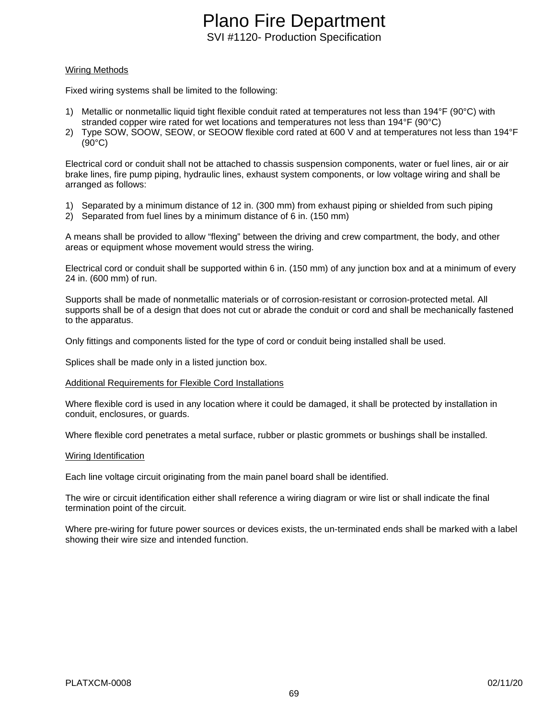### Wiring Methods

Fixed wiring systems shall be limited to the following:

- 1) Metallic or nonmetallic liquid tight flexible conduit rated at temperatures not less than 194°F (90°C) with stranded copper wire rated for wet locations and temperatures not less than 194°F (90°C)
- 2) Type SOW, SOOW, SEOW, or SEOOW flexible cord rated at 600 V and at temperatures not less than 194°F (90°C)

Electrical cord or conduit shall not be attached to chassis suspension components, water or fuel lines, air or air brake lines, fire pump piping, hydraulic lines, exhaust system components, or low voltage wiring and shall be arranged as follows:

- 1) Separated by a minimum distance of 12 in. (300 mm) from exhaust piping or shielded from such piping
- 2) Separated from fuel lines by a minimum distance of 6 in. (150 mm)

A means shall be provided to allow "flexing" between the driving and crew compartment, the body, and other areas or equipment whose movement would stress the wiring.

Electrical cord or conduit shall be supported within 6 in. (150 mm) of any junction box and at a minimum of every 24 in. (600 mm) of run.

Supports shall be made of nonmetallic materials or of corrosion-resistant or corrosion-protected metal. All supports shall be of a design that does not cut or abrade the conduit or cord and shall be mechanically fastened to the apparatus.

Only fittings and components listed for the type of cord or conduit being installed shall be used.

Splices shall be made only in a listed junction box.

#### Additional Requirements for Flexible Cord Installations

Where flexible cord is used in any location where it could be damaged, it shall be protected by installation in conduit, enclosures, or guards.

Where flexible cord penetrates a metal surface, rubber or plastic grommets or bushings shall be installed.

#### Wiring Identification

Each line voltage circuit originating from the main panel board shall be identified.

The wire or circuit identification either shall reference a wiring diagram or wire list or shall indicate the final termination point of the circuit.

Where pre-wiring for future power sources or devices exists, the un-terminated ends shall be marked with a label showing their wire size and intended function.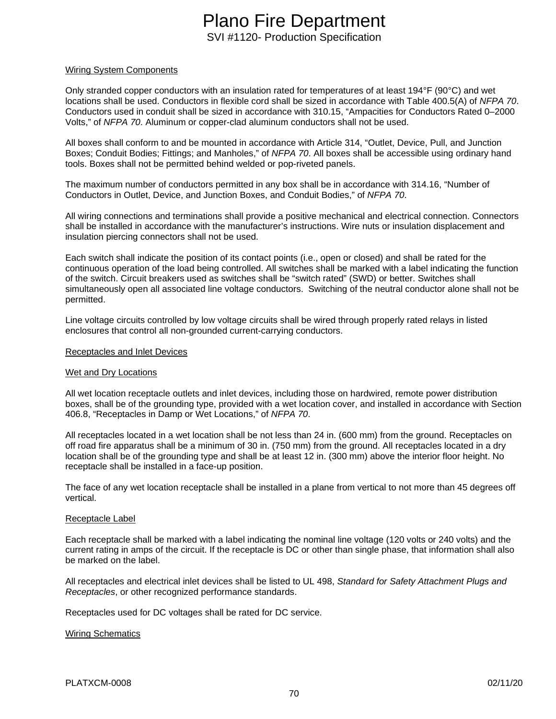#### Wiring System Components

Only stranded copper conductors with an insulation rated for temperatures of at least 194°F (90°C) and wet locations shall be used. Conductors in flexible cord shall be sized in accordance with Table 400.5(A) of *NFPA 70*. Conductors used in conduit shall be sized in accordance with 310.15, "Ampacities for Conductors Rated 0–2000 Volts," of *NFPA 70*. Aluminum or copper-clad aluminum conductors shall not be used.

All boxes shall conform to and be mounted in accordance with Article 314, "Outlet, Device, Pull, and Junction Boxes; Conduit Bodies; Fittings; and Manholes," of *NFPA 70*. All boxes shall be accessible using ordinary hand tools. Boxes shall not be permitted behind welded or pop-riveted panels.

The maximum number of conductors permitted in any box shall be in accordance with 314.16, "Number of Conductors in Outlet, Device, and Junction Boxes, and Conduit Bodies," of *NFPA 70*.

All wiring connections and terminations shall provide a positive mechanical and electrical connection. Connectors shall be installed in accordance with the manufacturer's instructions. Wire nuts or insulation displacement and insulation piercing connectors shall not be used.

Each switch shall indicate the position of its contact points (i.e., open or closed) and shall be rated for the continuous operation of the load being controlled. All switches shall be marked with a label indicating the function of the switch. Circuit breakers used as switches shall be "switch rated" (SWD) or better. Switches shall simultaneously open all associated line voltage conductors. Switching of the neutral conductor alone shall not be permitted.

Line voltage circuits controlled by low voltage circuits shall be wired through properly rated relays in listed enclosures that control all non-grounded current-carrying conductors.

#### Receptacles and Inlet Devices

### Wet and Dry Locations

All wet location receptacle outlets and inlet devices, including those on hardwired, remote power distribution boxes, shall be of the grounding type, provided with a wet location cover, and installed in accordance with Section 406.8, "Receptacles in Damp or Wet Locations," of *NFPA 70*.

All receptacles located in a wet location shall be not less than 24 in. (600 mm) from the ground. Receptacles on off road fire apparatus shall be a minimum of 30 in. (750 mm) from the ground. All receptacles located in a dry location shall be of the grounding type and shall be at least 12 in. (300 mm) above the interior floor height. No receptacle shall be installed in a face-up position.

The face of any wet location receptacle shall be installed in a plane from vertical to not more than 45 degrees off vertical.

#### Receptacle Label

Each receptacle shall be marked with a label indicating the nominal line voltage (120 volts or 240 volts) and the current rating in amps of the circuit. If the receptacle is DC or other than single phase, that information shall also be marked on the label.

All receptacles and electrical inlet devices shall be listed to UL 498, *Standard for Safety Attachment Plugs and Receptacles*, or other recognized performance standards.

Receptacles used for DC voltages shall be rated for DC service.

#### Wiring Schematics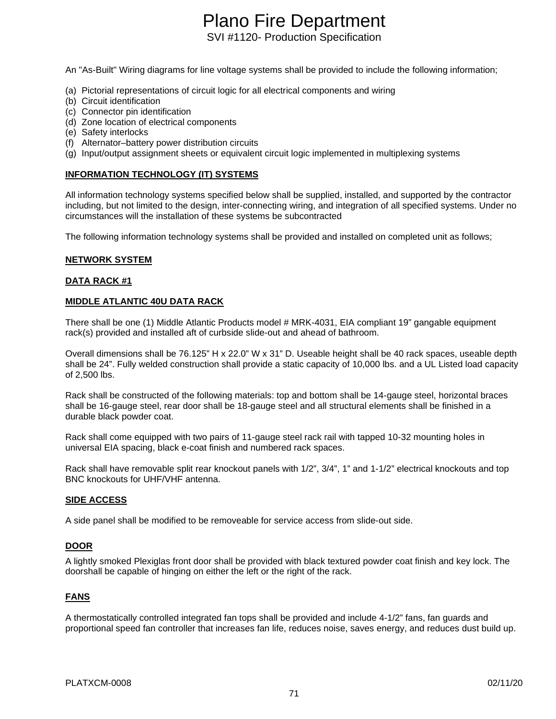# Plano Fire Department

SVI #1120- Production Specification

An "As-Built" Wiring diagrams for line voltage systems shall be provided to include the following information;

- (a) Pictorial representations of circuit logic for all electrical components and wiring
- (b) Circuit identification
- (c) Connector pin identification
- (d) Zone location of electrical components
- (e) Safety interlocks
- (f) Alternator–battery power distribution circuits
- (g) Input/output assignment sheets or equivalent circuit logic implemented in multiplexing systems

### **INFORMATION TECHNOLOGY (IT) SYSTEMS**

All information technology systems specified below shall be supplied, installed, and supported by the contractor including, but not limited to the design, inter-connecting wiring, and integration of all specified systems. Under no circumstances will the installation of these systems be subcontracted

The following information technology systems shall be provided and installed on completed unit as follows;

### **NETWORK SYSTEM**

### **DATA RACK #1**

### **MIDDLE ATLANTIC 40U DATA RACK**

There shall be one (1) Middle Atlantic Products model # MRK-4031, EIA compliant 19" gangable equipment rack(s) provided and installed aft of curbside slide-out and ahead of bathroom.

Overall dimensions shall be 76.125" H x 22.0" W x 31" D. Useable height shall be 40 rack spaces, useable depth shall be 24". Fully welded construction shall provide a static capacity of 10,000 lbs. and a UL Listed load capacity of 2,500 lbs.

Rack shall be constructed of the following materials: top and bottom shall be 14-gauge steel, horizontal braces shall be 16-gauge steel, rear door shall be 18-gauge steel and all structural elements shall be finished in a durable black powder coat.

Rack shall come equipped with two pairs of 11-gauge steel rack rail with tapped 10-32 mounting holes in universal EIA spacing, black e-coat finish and numbered rack spaces.

Rack shall have removable split rear knockout panels with 1/2", 3/4", 1" and 1-1/2" electrical knockouts and top BNC knockouts for UHF/VHF antenna.

### **SIDE ACCESS**

A side panel shall be modified to be removeable for service access from slide-out side.

### **DOOR**

A lightly smoked Plexiglas front door shall be provided with black textured powder coat finish and key lock. The doorshall be capable of hinging on either the left or the right of the rack.

### **FANS**

A thermostatically controlled integrated fan tops shall be provided and include 4-1/2" fans, fan guards and proportional speed fan controller that increases fan life, reduces noise, saves energy, and reduces dust build up.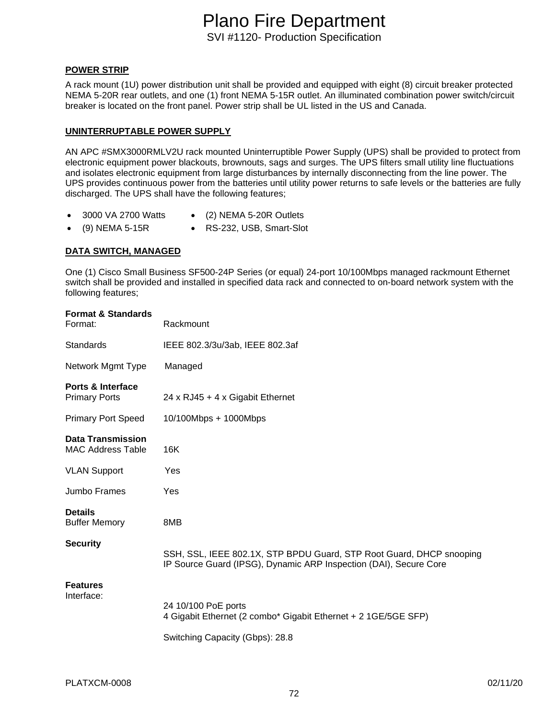**POWER STRIP**

A rack mount (1U) power distribution unit shall be provided and equipped with eight (8) circuit breaker protected NEMA 5-20R rear outlets, and one (1) front NEMA 5-15R outlet. An illuminated combination power switch/circuit breaker is located on the front panel. Power strip shall be UL listed in the US and Canada.

#### **UNINTERRUPTABLE POWER SUPPLY**

AN APC #SMX3000RMLV2U rack mounted Uninterruptible Power Supply (UPS) shall be provided to protect from electronic equipment power blackouts, brownouts, sags and surges. The UPS filters small utility line fluctuations and isolates electronic equipment from large disturbances by internally disconnecting from the line power. The UPS provides continuous power from the batteries until utility power returns to safe levels or the batteries are fully discharged. The UPS shall have the following features;

- 
- 3000 VA 2700 Watts (2) NEMA 5-20R Outlets
- (9) NEMA 5-15R RS-232, USB, Smart-Slot
- 

### **DATA SWITCH, MANAGED**

One (1) Cisco Small Business SF500-24P Series (or equal) 24-port 10/100Mbps managed rackmount Ethernet switch shall be provided and installed in specified data rack and connected to on-board network system with the following features;

| <b>Format &amp; Standards</b><br>Format:             | Rackmount                                                                                                                                 |
|------------------------------------------------------|-------------------------------------------------------------------------------------------------------------------------------------------|
| <b>Standards</b>                                     | IEEE 802.3/3u/3ab, IEEE 802.3af                                                                                                           |
| Network Mgmt Type                                    | Managed                                                                                                                                   |
| <b>Ports &amp; Interface</b><br><b>Primary Ports</b> | 24 x RJ45 + 4 x Gigabit Ethernet                                                                                                          |
| <b>Primary Port Speed</b>                            | 10/100Mbps + 1000Mbps                                                                                                                     |
| <b>Data Transmission</b><br><b>MAC Address Table</b> | 16K                                                                                                                                       |
| <b>VLAN Support</b>                                  | Yes                                                                                                                                       |
| Jumbo Frames                                         | Yes                                                                                                                                       |
| <b>Details</b><br><b>Buffer Memory</b>               | 8MB                                                                                                                                       |
| <b>Security</b>                                      | SSH, SSL, IEEE 802.1X, STP BPDU Guard, STP Root Guard, DHCP snooping<br>IP Source Guard (IPSG), Dynamic ARP Inspection (DAI), Secure Core |
| <b>Features</b><br>Interface:                        | 24 10/100 PoE ports                                                                                                                       |
|                                                      | 4 Gigabit Ethernet (2 combo* Gigabit Ethernet + 2 1GE/5GE SFP)                                                                            |
|                                                      | Switching Capacity (Gbps): 28.8                                                                                                           |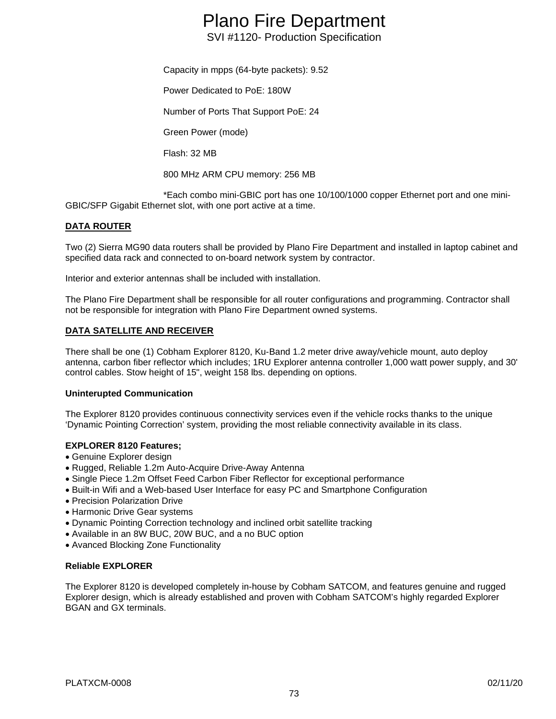# Plano Fire Department

SVI #1120- Production Specification

Capacity in mpps (64-byte packets): 9.52

Power Dedicated to PoE: 180W

Number of Ports That Support PoE: 24

Green Power (mode)

Flash: 32 MB

800 MHz ARM CPU memory: 256 MB

\*Each combo mini-GBIC port has one 10/100/1000 copper Ethernet port and one mini-GBIC/SFP Gigabit Ethernet slot, with one port active at a time.

# **DATA ROUTER**

Two (2) Sierra MG90 data routers shall be provided by Plano Fire Department and installed in laptop cabinet and specified data rack and connected to on-board network system by contractor.

Interior and exterior antennas shall be included with installation.

The Plano Fire Department shall be responsible for all router configurations and programming. Contractor shall not be responsible for integration with Plano Fire Department owned systems.

# **DATA SATELLITE AND RECEIVER**

There shall be one (1) Cobham Explorer 8120, Ku-Band 1.2 meter drive away/vehicle mount, auto deploy antenna, carbon fiber reflector which includes; 1RU Explorer antenna controller 1,000 watt power supply, and 30' control cables. Stow height of 15", weight 158 lbs. depending on options.

# **Uninterupted Communication**

The Explorer 8120 provides continuous connectivity services even if the vehicle rocks thanks to the unique 'Dynamic Pointing Correction' system, providing the most reliable connectivity available in its class.

# **EXPLORER 8120 Features;**

- Genuine Explorer design
- Rugged, Reliable 1.2m Auto-Acquire Drive-Away Antenna
- Single Piece 1.2m Offset Feed Carbon Fiber Reflector for exceptional performance
- Built-in Wifi and a Web-based User Interface for easy PC and Smartphone Configuration
- Precision Polarization Drive
- Harmonic Drive Gear systems
- Dynamic Pointing Correction technology and inclined orbit satellite tracking
- Available in an 8W BUC, 20W BUC, and a no BUC option
- Avanced Blocking Zone Functionality

# **Reliable EXPLORER**

The Explorer 8120 is developed completely in-house by Cobham SATCOM, and features genuine and rugged Explorer design, which is already established and proven with Cobham SATCOM's highly regarded Explorer BGAN and GX terminals.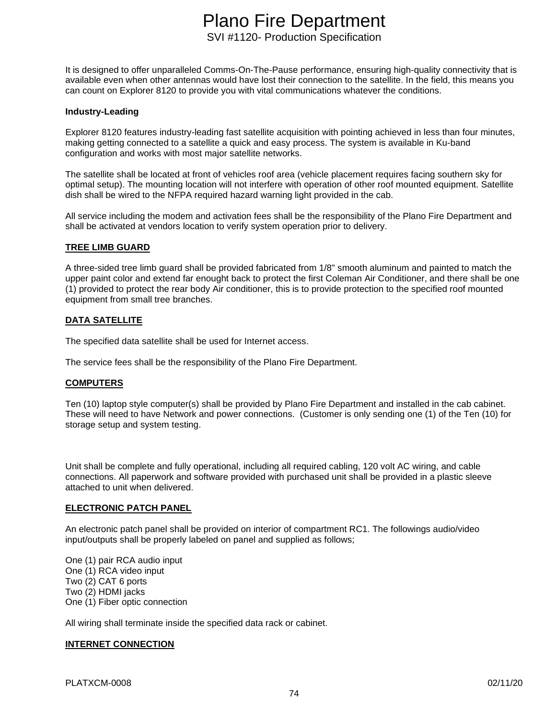It is designed to offer unparalleled Comms-On-The-Pause performance, ensuring high-quality connectivity that is available even when other antennas would have lost their connection to the satellite. In the field, this means you can count on Explorer 8120 to provide you with vital communications whatever the conditions.

### **Industry-Leading**

Explorer 8120 features industry-leading fast satellite acquisition with pointing achieved in less than four minutes, making getting connected to a satellite a quick and easy process. The system is available in Ku-band configuration and works with most major satellite networks.

The satellite shall be located at front of vehicles roof area (vehicle placement requires facing southern sky for optimal setup). The mounting location will not interfere with operation of other roof mounted equipment. Satellite dish shall be wired to the NFPA required hazard warning light provided in the cab.

All service including the modem and activation fees shall be the responsibility of the Plano Fire Department and shall be activated at vendors location to verify system operation prior to delivery.

### **TREE LIMB GUARD**

A three-sided tree limb guard shall be provided fabricated from 1/8" smooth aluminum and painted to match the upper paint color and extend far enought back to protect the first Coleman Air Conditioner, and there shall be one (1) provided to protect the rear body Air conditioner, this is to provide protection to the specified roof mounted equipment from small tree branches.

# **DATA SATELLITE**

The specified data satellite shall be used for Internet access.

The service fees shall be the responsibility of the Plano Fire Department.

# **COMPUTERS**

Ten (10) laptop style computer(s) shall be provided by Plano Fire Department and installed in the cab cabinet. These will need to have Network and power connections. (Customer is only sending one (1) of the Ten (10) for storage setup and system testing.

Unit shall be complete and fully operational, including all required cabling, 120 volt AC wiring, and cable connections. All paperwork and software provided with purchased unit shall be provided in a plastic sleeve attached to unit when delivered.

#### **ELECTRONIC PATCH PANEL**

An electronic patch panel shall be provided on interior of compartment RC1. The followings audio/video input/outputs shall be properly labeled on panel and supplied as follows;

One (1) pair RCA audio input One (1) RCA video input Two (2) CAT 6 ports Two (2) HDMI jacks One (1) Fiber optic connection

All wiring shall terminate inside the specified data rack or cabinet.

# **INTERNET CONNECTION**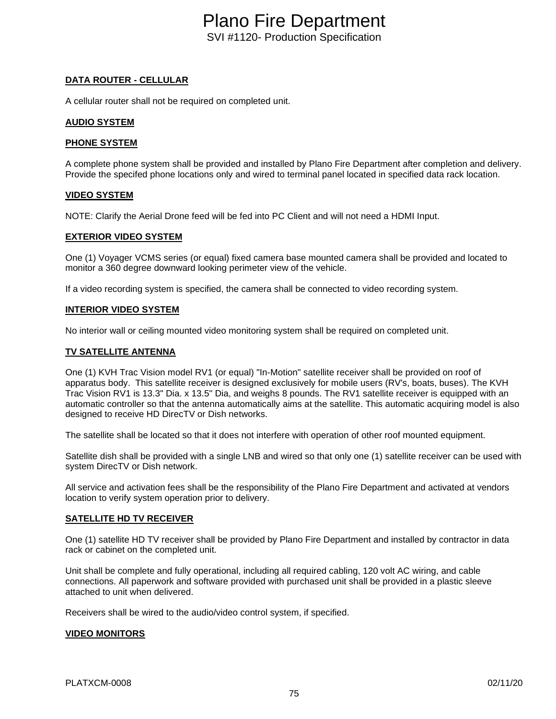# **DATA ROUTER - CELLULAR**

A cellular router shall not be required on completed unit.

# **AUDIO SYSTEM**

# **PHONE SYSTEM**

A complete phone system shall be provided and installed by Plano Fire Department after completion and delivery. Provide the specifed phone locations only and wired to terminal panel located in specified data rack location.

# **VIDEO SYSTEM**

NOTE: Clarify the Aerial Drone feed will be fed into PC Client and will not need a HDMI Input.

# **EXTERIOR VIDEO SYSTEM**

One (1) Voyager VCMS series (or equal) fixed camera base mounted camera shall be provided and located to monitor a 360 degree downward looking perimeter view of the vehicle.

If a video recording system is specified, the camera shall be connected to video recording system.

### **INTERIOR VIDEO SYSTEM**

No interior wall or ceiling mounted video monitoring system shall be required on completed unit.

# **TV SATELLITE ANTENNA**

One (1) KVH Trac Vision model RV1 (or equal) "In-Motion" satellite receiver shall be provided on roof of apparatus body. This satellite receiver is designed exclusively for mobile users (RV's, boats, buses). The KVH Trac Vision RV1 is 13.3" Dia. x 13.5" Dia, and weighs 8 pounds. The RV1 satellite receiver is equipped with an automatic controller so that the antenna automatically aims at the satellite. This automatic acquiring model is also designed to receive HD DirecTV or Dish networks.

The satellite shall be located so that it does not interfere with operation of other roof mounted equipment.

Satellite dish shall be provided with a single LNB and wired so that only one (1) satellite receiver can be used with system DirecTV or Dish network.

All service and activation fees shall be the responsibility of the Plano Fire Department and activated at vendors location to verify system operation prior to delivery.

# **SATELLITE HD TV RECEIVER**

One (1) satellite HD TV receiver shall be provided by Plano Fire Department and installed by contractor in data rack or cabinet on the completed unit.

Unit shall be complete and fully operational, including all required cabling, 120 volt AC wiring, and cable connections. All paperwork and software provided with purchased unit shall be provided in a plastic sleeve attached to unit when delivered.

Receivers shall be wired to the audio/video control system, if specified.

# **VIDEO MONITORS**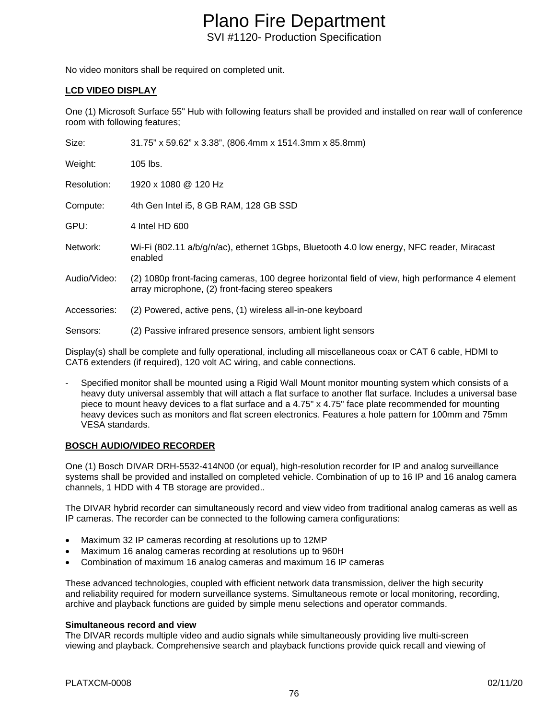No video monitors shall be required on completed unit.

# **LCD VIDEO DISPLAY**

One (1) Microsoft Surface 55" Hub with following featurs shall be provided and installed on rear wall of conference room with following features;

| Size:        | 31.75" x 59.62" x 3.38", (806.4mm x 1514.3mm x 85.8mm)                                                                                                |
|--------------|-------------------------------------------------------------------------------------------------------------------------------------------------------|
| Weight:      | 105 lbs.                                                                                                                                              |
| Resolution:  | 1920 x 1080 @ 120 Hz                                                                                                                                  |
| Compute:     | 4th Gen Intel i5, 8 GB RAM, 128 GB SSD                                                                                                                |
| GPU:         | 4 Intel HD 600                                                                                                                                        |
| Network:     | Wi-Fi (802.11 a/b/g/n/ac), ethernet 1Gbps, Bluetooth 4.0 low energy, NFC reader, Miracast<br>enabled                                                  |
| Audio/Video: | (2) 1080p front-facing cameras, 100 degree horizontal field of view, high performance 4 element<br>array microphone, (2) front-facing stereo speakers |
| Accessories: | (2) Powered, active pens, (1) wireless all-in-one keyboard                                                                                            |
| Sensors:     | (2) Passive infrared presence sensors, ambient light sensors                                                                                          |

Display(s) shall be complete and fully operational, including all miscellaneous coax or CAT 6 cable, HDMI to CAT6 extenders (if required), 120 volt AC wiring, and cable connections.

Specified monitor shall be mounted using a Rigid Wall Mount monitor mounting system which consists of a heavy duty universal assembly that will attach a flat surface to another flat surface. Includes a universal base piece to mount heavy devices to a flat surface and a 4.75" x 4.75" face plate recommended for mounting heavy devices such as monitors and flat screen electronics. Features a hole pattern for 100mm and 75mm VESA standards.

# **BOSCH AUDIO/VIDEO RECORDER**

One (1) Bosch DIVAR DRH-5532-414N00 (or equal), high-resolution recorder for IP and analog surveillance systems shall be provided and installed on completed vehicle. Combination of up to 16 IP and 16 analog camera channels, 1 HDD with 4 TB storage are provided..

The DIVAR hybrid recorder can simultaneously record and view video from traditional analog cameras as well as IP cameras. The recorder can be connected to the following camera configurations:

- Maximum 32 IP cameras recording at resolutions up to 12MP
- Maximum 16 analog cameras recording at resolutions up to 960H
- Combination of maximum 16 analog cameras and maximum 16 IP cameras

These advanced technologies, coupled with efficient network data transmission, deliver the high security and reliability required for modern surveillance systems. Simultaneous remote or local monitoring, recording, archive and playback functions are guided by simple menu selections and operator commands.

# **Simultaneous record and view**

The DIVAR records multiple video and audio signals while simultaneously providing live multi-screen viewing and playback. Comprehensive search and playback functions provide quick recall and viewing of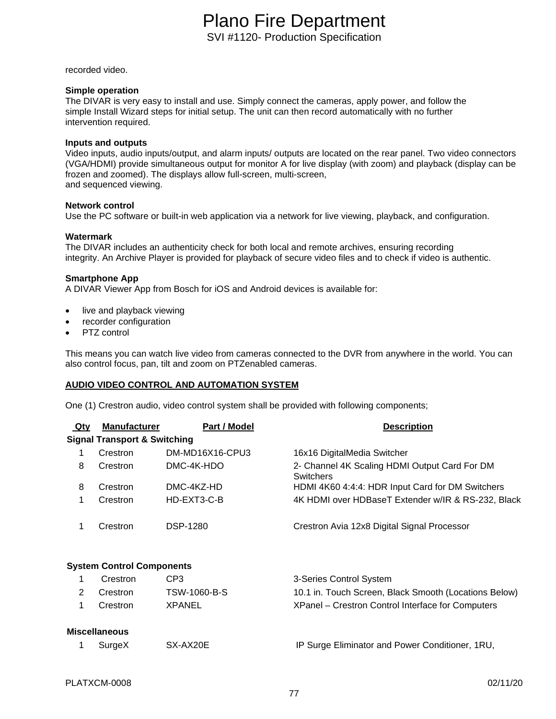recorded video.

### **Simple operation**

The DIVAR is very easy to install and use. Simply connect the cameras, apply power, and follow the simple Install Wizard steps for initial setup. The unit can then record automatically with no further intervention required.

### **Inputs and outputs**

Video inputs, audio inputs/output, and alarm inputs/ outputs are located on the rear panel. Two video connectors (VGA/HDMI) provide simultaneous output for monitor A for live display (with zoom) and playback (display can be frozen and zoomed). The displays allow full-screen, multi-screen, and sequenced viewing.

### **Network control**

Use the PC software or built-in web application via a network for live viewing, playback, and configuration.

### **Watermark**

The DIVAR includes an authenticity check for both local and remote archives, ensuring recording integrity. An Archive Player is provided for playback of secure video files and to check if video is authentic.

### **Smartphone App**

A DIVAR Viewer App from Bosch for iOS and Android devices is available for:

- live and playback viewing
- recorder configuration
- PTZ control

This means you can watch live video from cameras connected to the DVR from anywhere in the world. You can also control focus, pan, tilt and zoom on PTZenabled cameras.

# **AUDIO VIDEO CONTROL AND AUTOMATION SYSTEM**

One (1) Crestron audio, video control system shall be provided with following components;

| <u>Qty</u>                              | <b>Manufacturer</b> | Part / Model    | <b>Description</b>                                                |  |  |  |  |
|-----------------------------------------|---------------------|-----------------|-------------------------------------------------------------------|--|--|--|--|
| <b>Signal Transport &amp; Switching</b> |                     |                 |                                                                   |  |  |  |  |
| 1                                       | Crestron            | DM-MD16X16-CPU3 | 16x16 DigitalMedia Switcher                                       |  |  |  |  |
| 8                                       | Crestron            | DMC-4K-HDO      | 2- Channel 4K Scaling HDMI Output Card For DM<br><b>Switchers</b> |  |  |  |  |
| 8                                       | Crestron            | DMC-4KZ-HD      | HDMI 4K60 4:4:4: HDR Input Card for DM Switchers                  |  |  |  |  |
| 1                                       | Crestron            | HD-EXT3-C-B     | 4K HDMI over HDBaseT Extender w/IR & RS-232, Black                |  |  |  |  |
| 1                                       | Crestron            | <b>DSP-1280</b> | Crestron Avia 12x8 Digital Signal Processor                       |  |  |  |  |
| <b>System Control Components</b>        |                     |                 |                                                                   |  |  |  |  |
| 1                                       | Crestron            | CP <sub>3</sub> | 3-Series Control System                                           |  |  |  |  |
| 2                                       | Crestron            | TSW-1060-B-S    | 10.1 in. Touch Screen, Black Smooth (Locations Below)             |  |  |  |  |
| 1                                       | Crestron            | <b>XPANEL</b>   | XPanel - Crestron Control Interface for Computers                 |  |  |  |  |
| <b>Miscellaneous</b>                    |                     |                 |                                                                   |  |  |  |  |
|                                         | SurgeX              | SX-AX20E        | IP Surge Eliminator and Power Conditioner, 1RU,                   |  |  |  |  |
|                                         |                     |                 |                                                                   |  |  |  |  |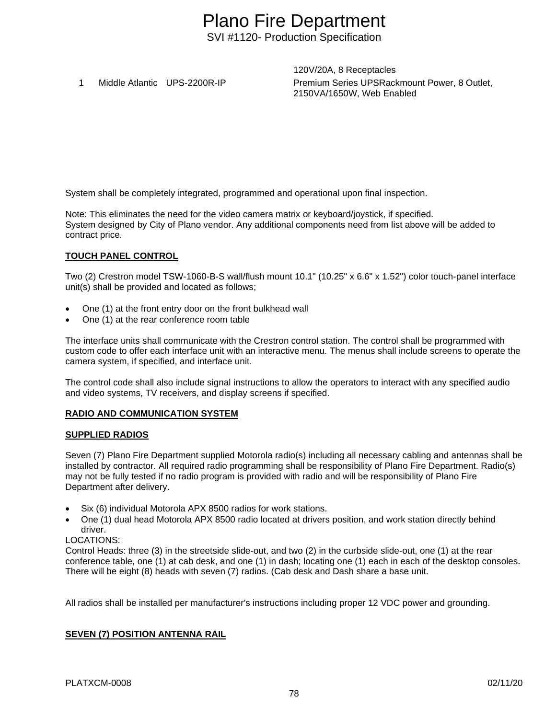120V/20A, 8 Receptacles 1 Middle Atlantic UPS-2200R-IP Premium Series UPSRackmount Power, 8 Outlet, 2150VA/1650W, Web Enabled

System shall be completely integrated, programmed and operational upon final inspection.

Note: This eliminates the need for the video camera matrix or keyboard/joystick, if specified. System designed by City of Plano vendor. Any additional components need from list above will be added to contract price.

# **TOUCH PANEL CONTROL**

Two (2) Crestron model TSW-1060-B-S wall/flush mount 10.1" (10.25" x 6.6" x 1.52") color touch-panel interface unit(s) shall be provided and located as follows;

- One (1) at the front entry door on the front bulkhead wall
- One (1) at the rear conference room table

The interface units shall communicate with the Crestron control station. The control shall be programmed with custom code to offer each interface unit with an interactive menu. The menus shall include screens to operate the camera system, if specified, and interface unit.

The control code shall also include signal instructions to allow the operators to interact with any specified audio and video systems, TV receivers, and display screens if specified.

# **RADIO AND COMMUNICATION SYSTEM**

# **SUPPLIED RADIOS**

Seven (7) Plano Fire Department supplied Motorola radio(s) including all necessary cabling and antennas shall be installed by contractor. All required radio programming shall be responsibility of Plano Fire Department. Radio(s) may not be fully tested if no radio program is provided with radio and will be responsibility of Plano Fire Department after delivery.

- Six (6) individual Motorola APX 8500 radios for work stations.
- One (1) dual head Motorola APX 8500 radio located at drivers position, and work station directly behind driver.

# LOCATIONS:

Control Heads: three (3) in the streetside slide-out, and two (2) in the curbside slide-out, one (1) at the rear conference table, one (1) at cab desk, and one (1) in dash; locating one (1) each in each of the desktop consoles. There will be eight (8) heads with seven (7) radios. (Cab desk and Dash share a base unit.

All radios shall be installed per manufacturer's instructions including proper 12 VDC power and grounding.

# **SEVEN (7) POSITION ANTENNA RAIL**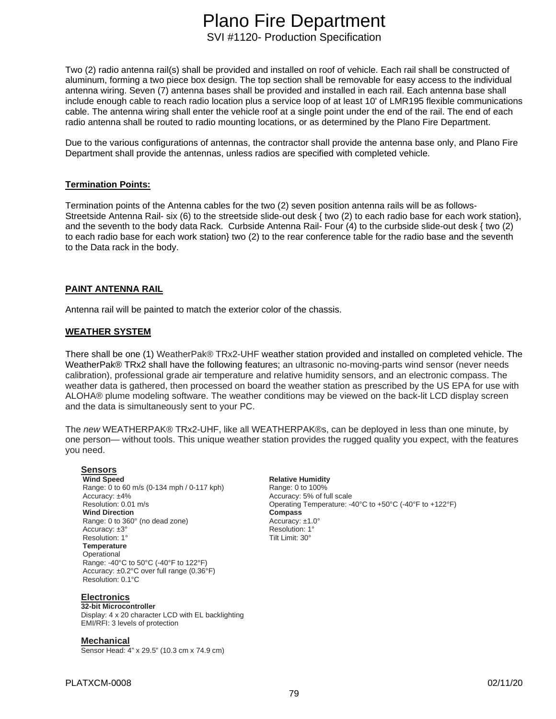Two (2) radio antenna rail(s) shall be provided and installed on roof of vehicle. Each rail shall be constructed of aluminum, forming a two piece box design. The top section shall be removable for easy access to the individual antenna wiring. Seven (7) antenna bases shall be provided and installed in each rail. Each antenna base shall include enough cable to reach radio location plus a service loop of at least 10' of LMR195 flexible communications cable. The antenna wiring shall enter the vehicle roof at a single point under the end of the rail. The end of each radio antenna shall be routed to radio mounting locations, or as determined by the Plano Fire Department.

Due to the various configurations of antennas, the contractor shall provide the antenna base only, and Plano Fire Department shall provide the antennas, unless radios are specified with completed vehicle.

# **Termination Points:**

Termination points of the Antenna cables for the two (2) seven position antenna rails will be as follows-Streetside Antenna Rail- six (6) to the streetside slide-out desk { two (2) to each radio base for each work station}, and the seventh to the body data Rack. Curbside Antenna Rail- Four (4) to the curbside slide-out desk { two (2) to each radio base for each work station} two (2) to the rear conference table for the radio base and the seventh to the Data rack in the body.

# **PAINT ANTENNA RAIL**

Antenna rail will be painted to match the exterior color of the chassis.

# **WEATHER SYSTEM**

There shall be one (1) WeatherPak® TRx2-UHF weather station provided and installed on completed vehicle. The WeatherPak® TRx2 shall have the following features; an ultrasonic no-moving-parts wind sensor (never needs calibration), professional grade air temperature and relative humidity sensors, and an electronic compass. The weather data is gathered, then processed on board the weather station as prescribed by the US EPA for use with ALOHA® plume modeling software. The weather conditions may be viewed on the back-lit LCD display screen and the data is simultaneously sent to your PC.

The *new* WEATHERPAK® TRx2-UHF, like all WEATHERPAK®s, can be deployed in less than one minute, by one person— without tools. This unique weather station provides the rugged quality you expect, with the features you need.

# **Sensors**

Range: 0 to 60 m/s (0-134 mph / 0-117 kph)<br>Accuracy: ±4% Accuracy: ±4%<br>
Resolution: 0.01 m/s<br>
Resolution: 0.01 m/s **Wind Direction**<br>Range: 0 to 360° (no dead zone) <br>Accuracy: ±1.0° Range: 0 to 360° (no dead zone) <br>Accuracy:  $\pm 3$ ° <br>Resolution: 1° Accuracy: ±3° **Resolution: 1°** Resolution: 1° **Resolution: 1°** Resolution: 1° Resolution: 1° **Temperature Operational** Range: -40°C to 50°C (-40°F to 122°F) Accuracy: ±0.2°C over full range (0.36°F) Resolution: 0.1°C

**Electronics** 

#### **32-bit Microcontroller**

Display: 4 x 20 character LCD with EL backlighting EMI/RFI: 3 levels of protection

**Mechanical**  Sensor Head: 4" x 29.5" (10.3 cm x 74.9 cm) **Relative Humidity**<br>Range: 0 to 100% Operating Temperature: -40°C to +50°C (-40°F to +122°F)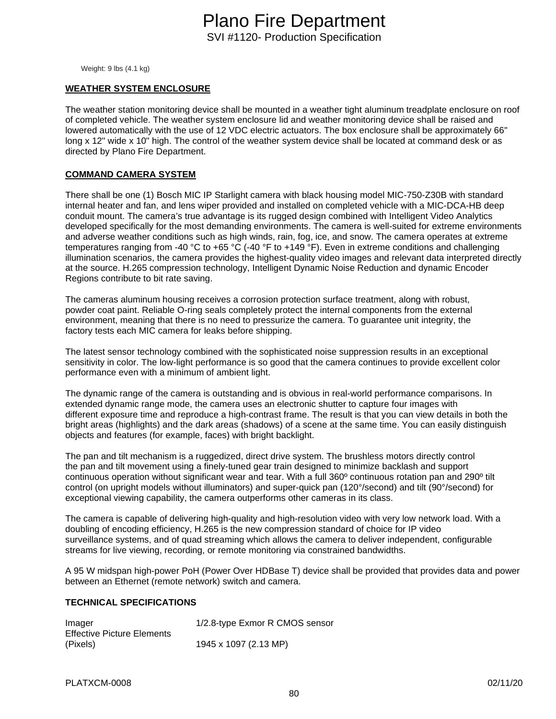Weight: 9 lbs (4.1 kg)

### **WEATHER SYSTEM ENCLOSURE**

The weather station monitoring device shall be mounted in a weather tight aluminum treadplate enclosure on roof of completed vehicle. The weather system enclosure lid and weather monitoring device shall be raised and lowered automatically with the use of 12 VDC electric actuators. The box enclosure shall be approximately 66" long x 12" wide x 10" high. The control of the weather system device shall be located at command desk or as directed by Plano Fire Department.

### **COMMAND CAMERA SYSTEM**

There shall be one (1) Bosch MIC IP Starlight camera with black housing model MIC-750-Z30B with standard internal heater and fan, and lens wiper provided and installed on completed vehicle with a MIC-DCA-HB deep conduit mount. The camera's true advantage is its rugged design combined with Intelligent Video Analytics developed specifically for the most demanding environments. The camera is well-suited for extreme environments and adverse weather conditions such as high winds, rain, fog, ice, and snow. The camera operates at extreme temperatures ranging from -40 °C to +65 °C (-40 °F to +149 °F). Even in extreme conditions and challenging illumination scenarios, the camera provides the highest-quality video images and relevant data interpreted directly at the source. H.265 compression technology, Intelligent Dynamic Noise Reduction and dynamic Encoder Regions contribute to bit rate saving.

The cameras aluminum housing receives a corrosion protection surface treatment, along with robust, powder coat paint. Reliable O-ring seals completely protect the internal components from the external environment, meaning that there is no need to pressurize the camera. To guarantee unit integrity, the factory tests each MIC camera for leaks before shipping.

The latest sensor technology combined with the sophisticated noise suppression results in an exceptional sensitivity in color. The low-light performance is so good that the camera continues to provide excellent color performance even with a minimum of ambient light.

The dynamic range of the camera is outstanding and is obvious in real-world performance comparisons. In extended dynamic range mode, the camera uses an electronic shutter to capture four images with different exposure time and reproduce a high-contrast frame. The result is that you can view details in both the bright areas (highlights) and the dark areas (shadows) of a scene at the same time. You can easily distinguish objects and features (for example, faces) with bright backlight.

The pan and tilt mechanism is a ruggedized, direct drive system. The brushless motors directly control the pan and tilt movement using a finely-tuned gear train designed to minimize backlash and support continuous operation without significant wear and tear. With a full 360º continuous rotation pan and 290º tilt control (on upright models without illuminators) and super-quick pan (120°/second) and tilt (90°/second) for exceptional viewing capability, the camera outperforms other cameras in its class.

The camera is capable of delivering high-quality and high-resolution video with very low network load. With a doubling of encoding efficiency, H.265 is the new compression standard of choice for IP video surveillance systems, and of quad streaming which allows the camera to deliver independent, configurable streams for live viewing, recording, or remote monitoring via constrained bandwidths.

A 95 W midspan high-power PoH (Power Over HDBase T) device shall be provided that provides data and power between an Ethernet (remote network) switch and camera.

### **TECHNICAL SPECIFICATIONS**

| Imager                            | 1/2.8-type Exmor R CMOS sensor |
|-----------------------------------|--------------------------------|
| <b>Effective Picture Elements</b> |                                |
| (Pixels)                          | 1945 x 1097 (2.13 MP)          |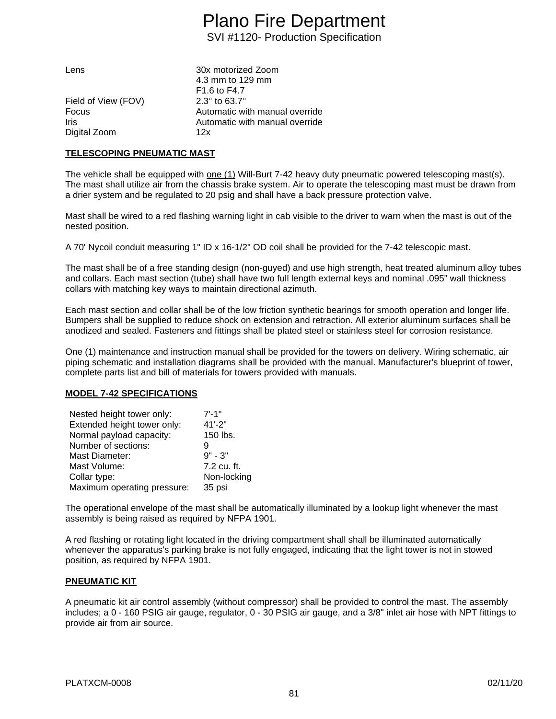| Lens                | 30x motorized Zoom                   |
|---------------------|--------------------------------------|
|                     | 4.3 mm to 129 mm                     |
|                     | F <sub>1.6</sub> to F <sub>4.7</sub> |
| Field of View (FOV) | 2.3 $\degree$ to 63.7 $\degree$      |
| Focus               | Automatic with manual override       |
| Iris                | Automatic with manual override       |
| Digital Zoom        | 12x                                  |
|                     |                                      |

### **TELESCOPING PNEUMATIC MAST**

The vehicle shall be equipped with one (1) Will-Burt 7-42 heavy duty pneumatic powered telescoping mast(s). The mast shall utilize air from the chassis brake system. Air to operate the telescoping mast must be drawn from a drier system and be regulated to 20 psig and shall have a back pressure protection valve.

Mast shall be wired to a red flashing warning light in cab visible to the driver to warn when the mast is out of the nested position.

A 70' Nycoil conduit measuring 1" ID x 16-1/2" OD coil shall be provided for the 7-42 telescopic mast.

The mast shall be of a free standing design (non-guyed) and use high strength, heat treated aluminum alloy tubes and collars. Each mast section (tube) shall have two full length external keys and nominal .095" wall thickness collars with matching key ways to maintain directional azimuth.

Each mast section and collar shall be of the low friction synthetic bearings for smooth operation and longer life. Bumpers shall be supplied to reduce shock on extension and retraction. All exterior aluminum surfaces shall be anodized and sealed. Fasteners and fittings shall be plated steel or stainless steel for corrosion resistance.

One (1) maintenance and instruction manual shall be provided for the towers on delivery. Wiring schematic, air piping schematic and installation diagrams shall be provided with the manual. Manufacturer's blueprint of tower, complete parts list and bill of materials for towers provided with manuals.

# **MODEL 7-42 SPECIFICATIONS**

| Nested height tower only:   | $7' - 1''$  |
|-----------------------------|-------------|
| Extended height tower only: | $41' - 2"$  |
| Normal payload capacity:    | 150 lbs.    |
| Number of sections:         | 9           |
| Mast Diameter:              | $9" - 3"$   |
| Mast Volume:                | 7.2 cu. ft. |
| Collar type:                | Non-locking |
| Maximum operating pressure: | 35 psi      |

The operational envelope of the mast shall be automatically illuminated by a lookup light whenever the mast assembly is being raised as required by NFPA 1901.

A red flashing or rotating light located in the driving compartment shall shall be illuminated automatically whenever the apparatus's parking brake is not fully engaged, indicating that the light tower is not in stowed position, as required by NFPA 1901.

# **PNEUMATIC KIT**

A pneumatic kit air control assembly (without compressor) shall be provided to control the mast. The assembly includes; a 0 - 160 PSIG air gauge, regulator, 0 - 30 PSIG air gauge, and a 3/8" inlet air hose with NPT fittings to provide air from air source.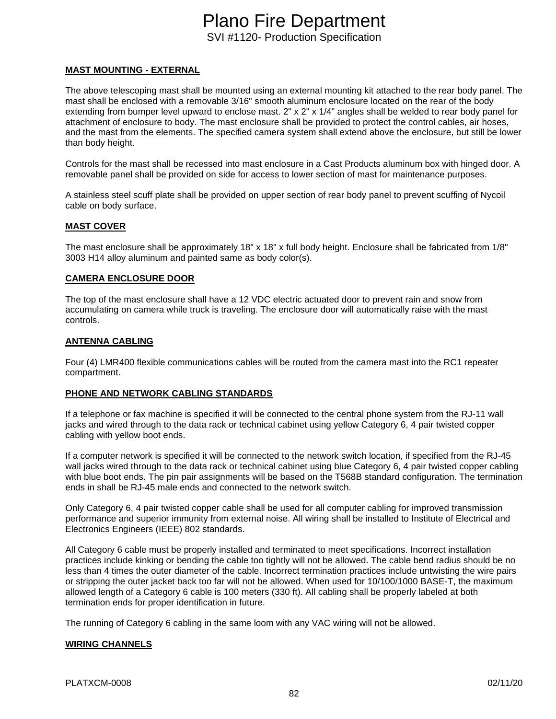# **MAST MOUNTING - EXTERNAL**

The above telescoping mast shall be mounted using an external mounting kit attached to the rear body panel. The mast shall be enclosed with a removable 3/16" smooth aluminum enclosure located on the rear of the body extending from bumper level upward to enclose mast. 2" x 2" x 1/4" angles shall be welded to rear body panel for attachment of enclosure to body. The mast enclosure shall be provided to protect the control cables, air hoses, and the mast from the elements. The specified camera system shall extend above the enclosure, but still be lower than body height.

Controls for the mast shall be recessed into mast enclosure in a Cast Products aluminum box with hinged door. A removable panel shall be provided on side for access to lower section of mast for maintenance purposes.

A stainless steel scuff plate shall be provided on upper section of rear body panel to prevent scuffing of Nycoil cable on body surface.

### **MAST COVER**

The mast enclosure shall be approximately 18" x 18" x full body height. Enclosure shall be fabricated from 1/8" 3003 H14 alloy aluminum and painted same as body color(s).

### **CAMERA ENCLOSURE DOOR**

The top of the mast enclosure shall have a 12 VDC electric actuated door to prevent rain and snow from accumulating on camera while truck is traveling. The enclosure door will automatically raise with the mast controls.

# **ANTENNA CABLING**

Four (4) LMR400 flexible communications cables will be routed from the camera mast into the RC1 repeater compartment.

# **PHONE AND NETWORK CABLING STANDARDS**

If a telephone or fax machine is specified it will be connected to the central phone system from the RJ-11 wall jacks and wired through to the data rack or technical cabinet using yellow Category 6, 4 pair twisted copper cabling with yellow boot ends.

If a computer network is specified it will be connected to the network switch location, if specified from the RJ-45 wall jacks wired through to the data rack or technical cabinet using blue Category 6, 4 pair twisted copper cabling with blue boot ends. The pin pair assignments will be based on the T568B standard configuration. The termination ends in shall be RJ-45 male ends and connected to the network switch.

Only Category 6, 4 pair twisted copper cable shall be used for all computer cabling for improved transmission performance and superior immunity from external noise. All wiring shall be installed to Institute of Electrical and Electronics Engineers (IEEE) 802 standards.

All Category 6 cable must be properly installed and terminated to meet specifications. Incorrect installation practices include kinking or bending the cable too tightly will not be allowed. The cable bend radius should be no less than 4 times the outer diameter of the cable. Incorrect termination practices include untwisting the wire pairs or stripping the outer jacket back too far will not be allowed. When used for 10/100/1000 BASE-T, the maximum allowed length of a Category 6 cable is 100 meters (330 ft). All cabling shall be properly labeled at both termination ends for proper identification in future.

The running of Category 6 cabling in the same loom with any VAC wiring will not be allowed.

# **WIRING CHANNELS**